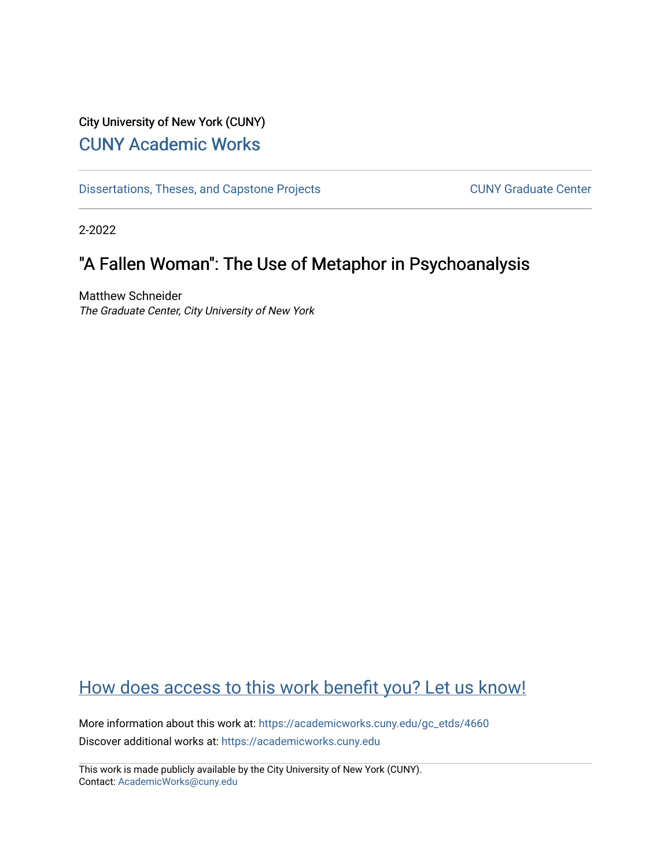## City University of New York (CUNY) [CUNY Academic Works](https://academicworks.cuny.edu/)

[Dissertations, Theses, and Capstone Projects](https://academicworks.cuny.edu/gc_etds) CUNY Graduate Center

2-2022

# "A Fallen Woman": The Use of Metaphor in Psychoanalysis

Matthew Schneider The Graduate Center, City University of New York

# [How does access to this work benefit you? Let us know!](http://ols.cuny.edu/academicworks/?ref=https://academicworks.cuny.edu/gc_etds/4660)

More information about this work at: [https://academicworks.cuny.edu/gc\\_etds/4660](https://academicworks.cuny.edu/gc_etds/4660) Discover additional works at: [https://academicworks.cuny.edu](https://academicworks.cuny.edu/?)

This work is made publicly available by the City University of New York (CUNY). Contact: [AcademicWorks@cuny.edu](mailto:AcademicWorks@cuny.edu)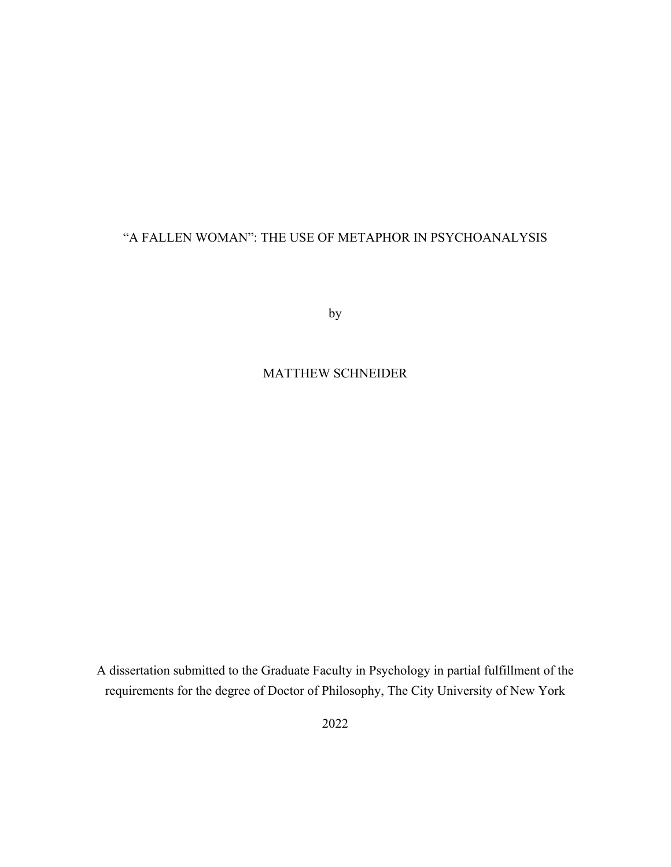### "A FALLEN WOMAN": THE USE OF METAPHOR IN PSYCHOANALYSIS

by

MATTHEW SCHNEIDER

A dissertation submitted to the Graduate Faculty in Psychology in partial fulfillment of the requirements for the degree of Doctor of Philosophy, The City University of New York

2022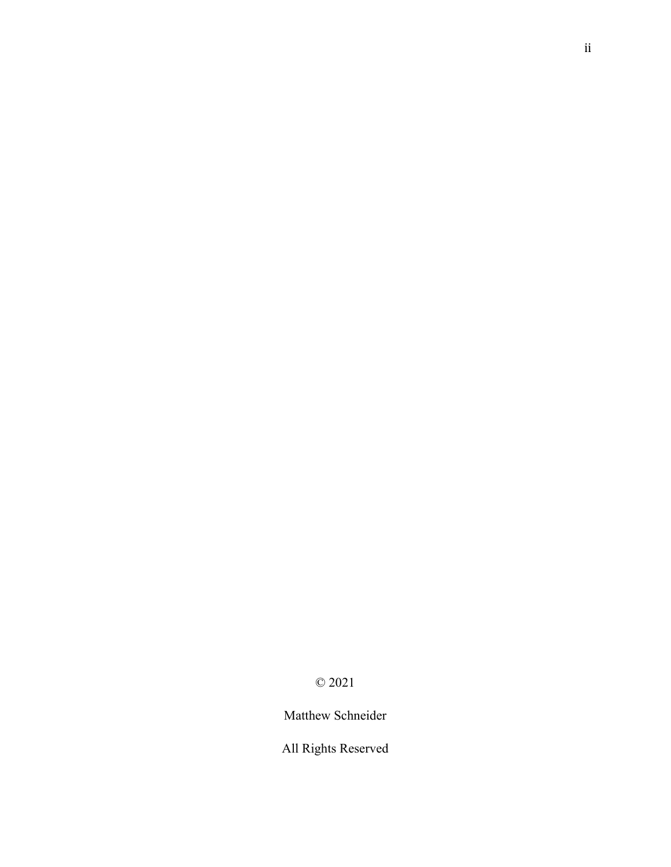### © 2021

Matthew Schneider

All Rights Reserved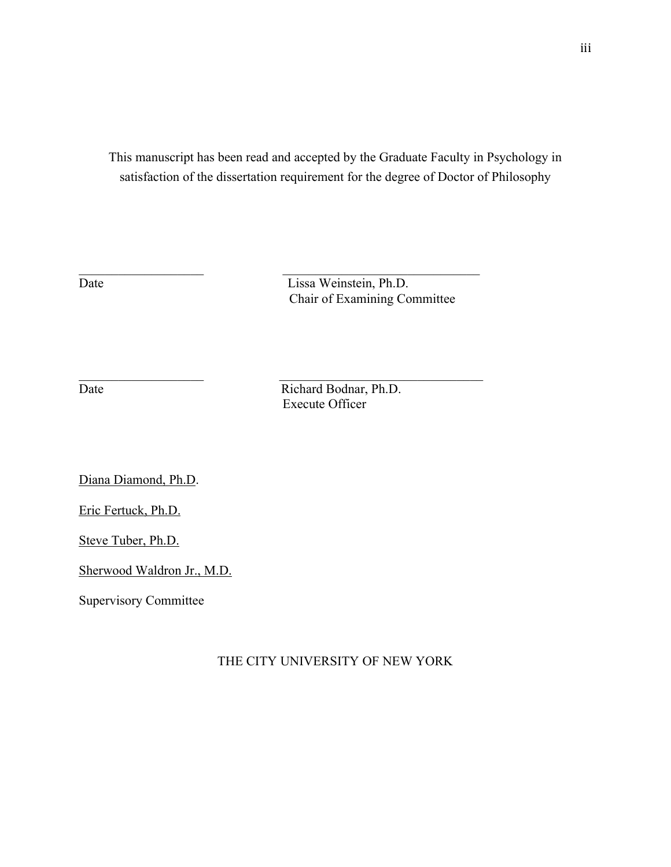This manuscript has been read and accepted by the Graduate Faculty in Psychology in satisfaction of the dissertation requirement for the degree of Doctor of Philosophy

Date Lissa Weinstein, Ph.D. Chair of Examining Committee

Date Richard Bodnar, Ph.D. Execute Officer

Diana Diamond, Ph.D.

Eric Fertuck, Ph.D.

Steve Tuber, Ph.D.

Sherwood Waldron Jr., M.D.

Supervisory Committee

### THE CITY UNIVERSITY OF NEW YORK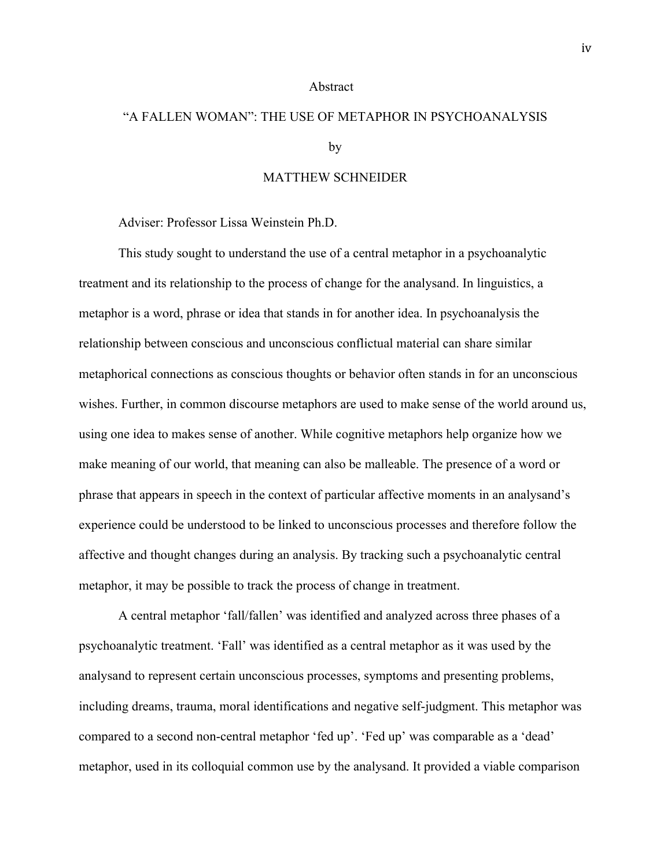#### Abstract

# "A FALLEN WOMAN": THE USE OF METAPHOR IN PSYCHOANALYSIS by

#### MATTHEW SCHNEIDER

Adviser: Professor Lissa Weinstein Ph.D.

This study sought to understand the use of a central metaphor in a psychoanalytic treatment and its relationship to the process of change for the analysand. In linguistics, a metaphor is a word, phrase or idea that stands in for another idea. In psychoanalysis the relationship between conscious and unconscious conflictual material can share similar metaphorical connections as conscious thoughts or behavior often stands in for an unconscious wishes. Further, in common discourse metaphors are used to make sense of the world around us, using one idea to makes sense of another. While cognitive metaphors help organize how we make meaning of our world, that meaning can also be malleable. The presence of a word or phrase that appears in speech in the context of particular affective moments in an analysand's experience could be understood to be linked to unconscious processes and therefore follow the affective and thought changes during an analysis. By tracking such a psychoanalytic central metaphor, it may be possible to track the process of change in treatment.

A central metaphor 'fall/fallen' was identified and analyzed across three phases of a psychoanalytic treatment. 'Fall' was identified as a central metaphor as it was used by the analysand to represent certain unconscious processes, symptoms and presenting problems, including dreams, trauma, moral identifications and negative self-judgment. This metaphor was compared to a second non-central metaphor 'fed up'. 'Fed up' was comparable as a 'dead' metaphor, used in its colloquial common use by the analysand. It provided a viable comparison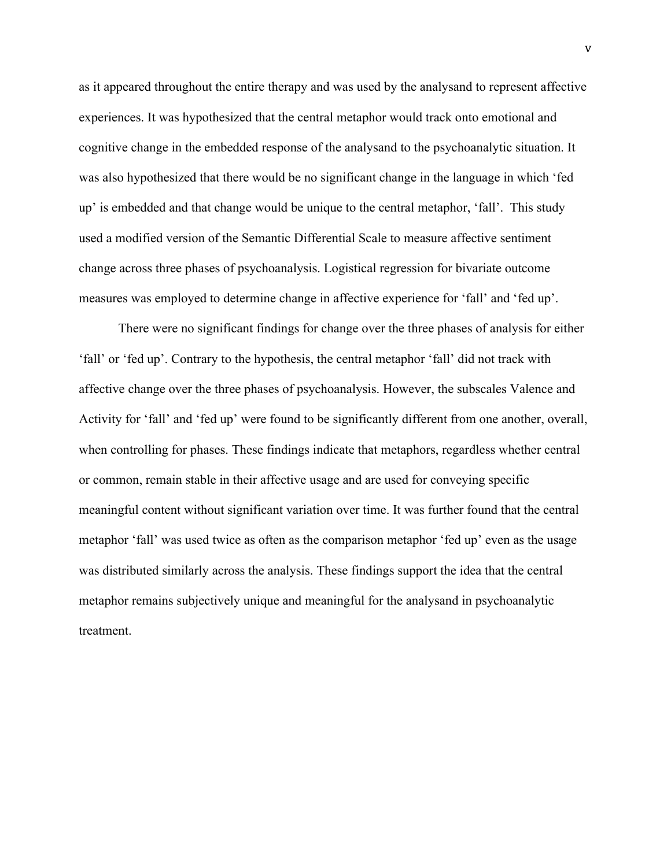as it appeared throughout the entire therapy and was used by the analysand to represent affective experiences. It was hypothesized that the central metaphor would track onto emotional and cognitive change in the embedded response of the analysand to the psychoanalytic situation. It was also hypothesized that there would be no significant change in the language in which 'fed up' is embedded and that change would be unique to the central metaphor, 'fall'. This study used a modified version of the Semantic Differential Scale to measure affective sentiment change across three phases of psychoanalysis. Logistical regression for bivariate outcome measures was employed to determine change in affective experience for 'fall' and 'fed up'.

There were no significant findings for change over the three phases of analysis for either 'fall' or 'fed up'. Contrary to the hypothesis, the central metaphor 'fall' did not track with affective change over the three phases of psychoanalysis. However, the subscales Valence and Activity for 'fall' and 'fed up' were found to be significantly different from one another, overall, when controlling for phases. These findings indicate that metaphors, regardless whether central or common, remain stable in their affective usage and are used for conveying specific meaningful content without significant variation over time. It was further found that the central metaphor 'fall' was used twice as often as the comparison metaphor 'fed up' even as the usage was distributed similarly across the analysis. These findings support the idea that the central metaphor remains subjectively unique and meaningful for the analysand in psychoanalytic treatment.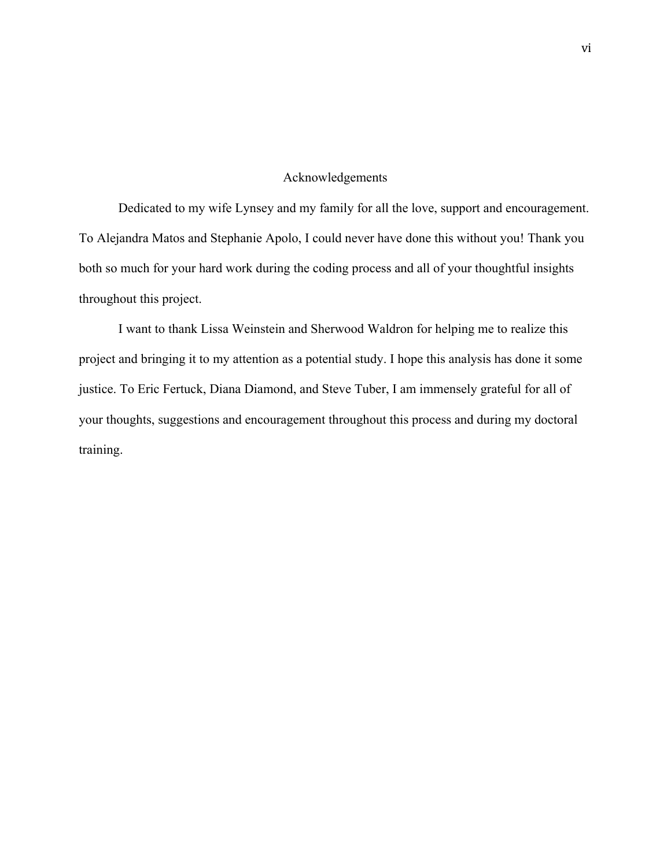#### Acknowledgements

Dedicated to my wife Lynsey and my family for all the love, support and encouragement. To Alejandra Matos and Stephanie Apolo, I could never have done this without you! Thank you both so much for your hard work during the coding process and all of your thoughtful insights throughout this project.

I want to thank Lissa Weinstein and Sherwood Waldron for helping me to realize this project and bringing it to my attention as a potential study. I hope this analysis has done it some justice. To Eric Fertuck, Diana Diamond, and Steve Tuber, I am immensely grateful for all of your thoughts, suggestions and encouragement throughout this process and during my doctoral training.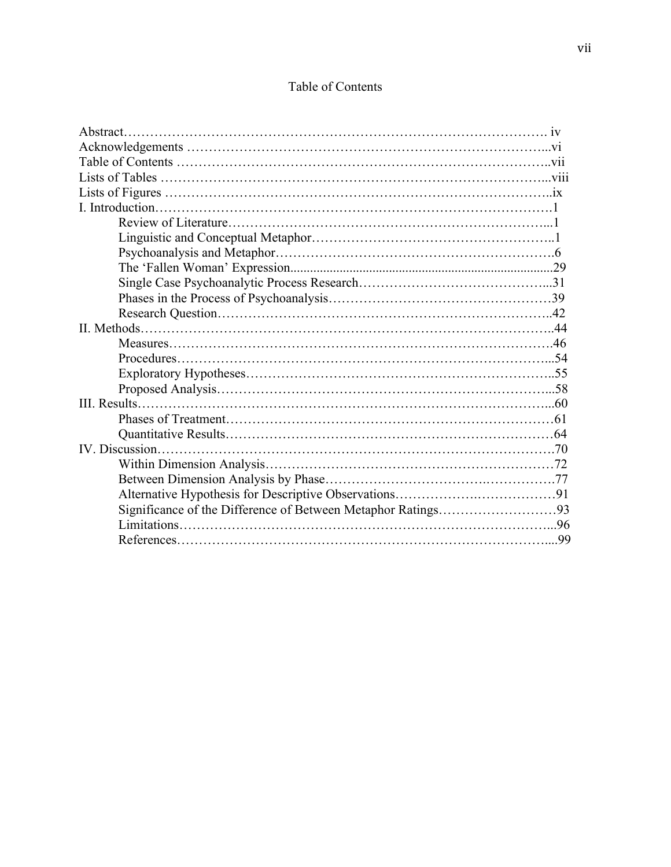### Table of Contents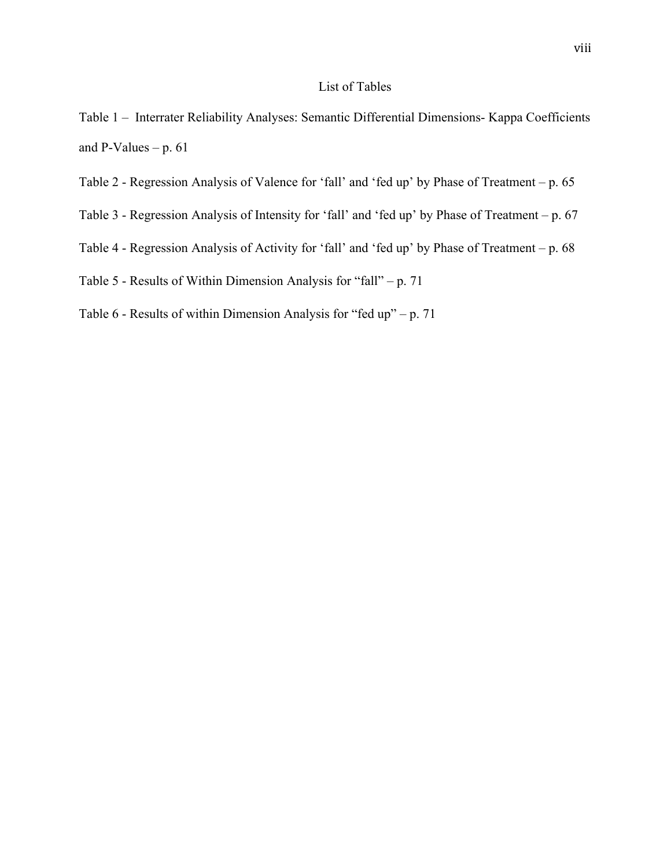### List of Tables

- Table 1 Interrater Reliability Analyses: Semantic Differential Dimensions- Kappa Coefficients and P-Values –  $p. 61$
- Table 2 Regression Analysis of Valence for 'fall' and 'fed up' by Phase of Treatment p. 65
- Table 3 Regression Analysis of Intensity for 'fall' and 'fed up' by Phase of Treatment p. 67
- Table 4 Regression Analysis of Activity for 'fall' and 'fed up' by Phase of Treatment p. 68
- Table 5 Results of Within Dimension Analysis for "fall" p. 71
- Table 6 Results of within Dimension Analysis for "fed up" p. 71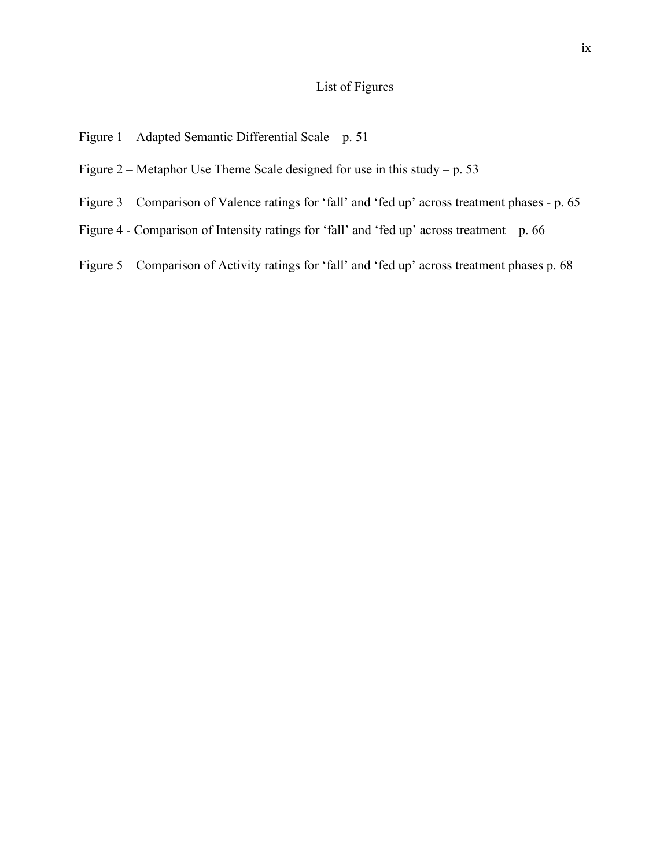### List of Figures

- Figure 1 Adapted Semantic Differential Scale p. 51
- Figure 2 Metaphor Use Theme Scale designed for use in this study p. 53
- Figure 3 Comparison of Valence ratings for 'fall' and 'fed up' across treatment phases p. 65
- Figure 4 Comparison of Intensity ratings for 'fall' and 'fed up' across treatment p. 66
- Figure 5 Comparison of Activity ratings for 'fall' and 'fed up' across treatment phases p. 68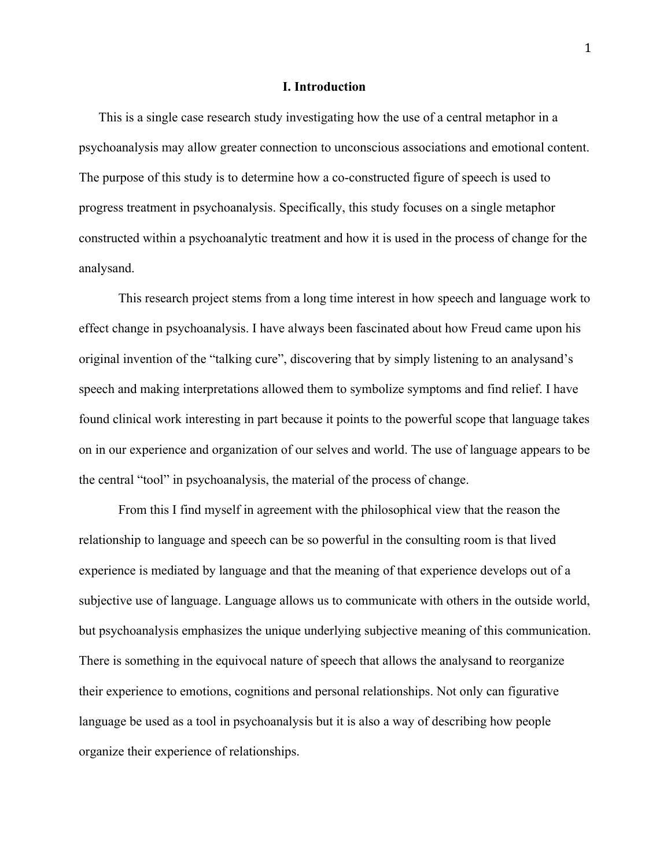#### **I. Introduction**

This is a single case research study investigating how the use of a central metaphor in a psychoanalysis may allow greater connection to unconscious associations and emotional content. The purpose of this study is to determine how a co-constructed figure of speech is used to progress treatment in psychoanalysis. Specifically, this study focuses on a single metaphor constructed within a psychoanalytic treatment and how it is used in the process of change for the analysand.

This research project stems from a long time interest in how speech and language work to effect change in psychoanalysis. I have always been fascinated about how Freud came upon his original invention of the "talking cure", discovering that by simply listening to an analysand's speech and making interpretations allowed them to symbolize symptoms and find relief. I have found clinical work interesting in part because it points to the powerful scope that language takes on in our experience and organization of our selves and world. The use of language appears to be the central "tool" in psychoanalysis, the material of the process of change.

From this I find myself in agreement with the philosophical view that the reason the relationship to language and speech can be so powerful in the consulting room is that lived experience is mediated by language and that the meaning of that experience develops out of a subjective use of language. Language allows us to communicate with others in the outside world, but psychoanalysis emphasizes the unique underlying subjective meaning of this communication. There is something in the equivocal nature of speech that allows the analysand to reorganize their experience to emotions, cognitions and personal relationships. Not only can figurative language be used as a tool in psychoanalysis but it is also a way of describing how people organize their experience of relationships.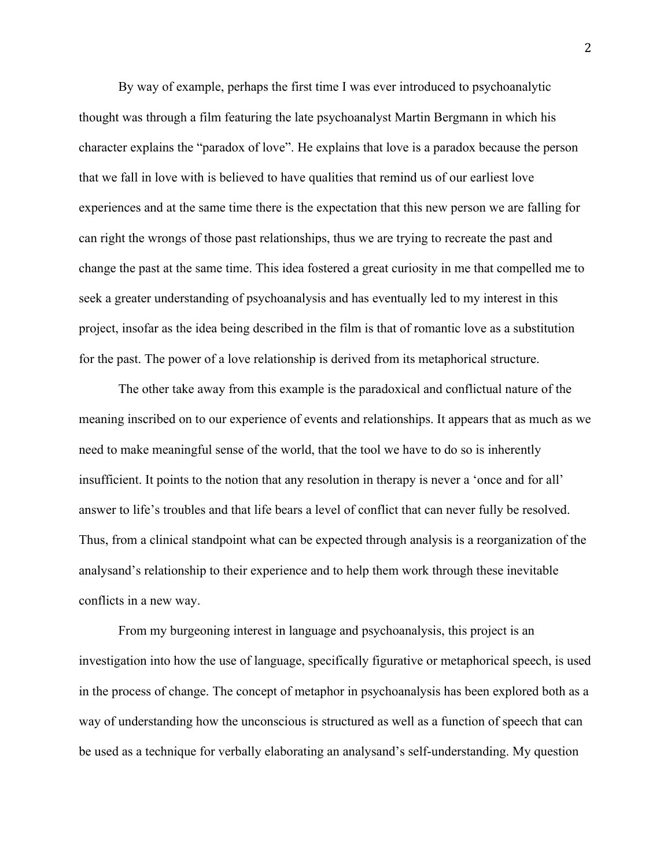By way of example, perhaps the first time I was ever introduced to psychoanalytic thought was through a film featuring the late psychoanalyst Martin Bergmann in which his character explains the "paradox of love". He explains that love is a paradox because the person that we fall in love with is believed to have qualities that remind us of our earliest love experiences and at the same time there is the expectation that this new person we are falling for can right the wrongs of those past relationships, thus we are trying to recreate the past and change the past at the same time. This idea fostered a great curiosity in me that compelled me to seek a greater understanding of psychoanalysis and has eventually led to my interest in this project, insofar as the idea being described in the film is that of romantic love as a substitution for the past. The power of a love relationship is derived from its metaphorical structure.

The other take away from this example is the paradoxical and conflictual nature of the meaning inscribed on to our experience of events and relationships. It appears that as much as we need to make meaningful sense of the world, that the tool we have to do so is inherently insufficient. It points to the notion that any resolution in therapy is never a 'once and for all' answer to life's troubles and that life bears a level of conflict that can never fully be resolved. Thus, from a clinical standpoint what can be expected through analysis is a reorganization of the analysand's relationship to their experience and to help them work through these inevitable conflicts in a new way.

From my burgeoning interest in language and psychoanalysis, this project is an investigation into how the use of language, specifically figurative or metaphorical speech, is used in the process of change. The concept of metaphor in psychoanalysis has been explored both as a way of understanding how the unconscious is structured as well as a function of speech that can be used as a technique for verbally elaborating an analysand's self-understanding. My question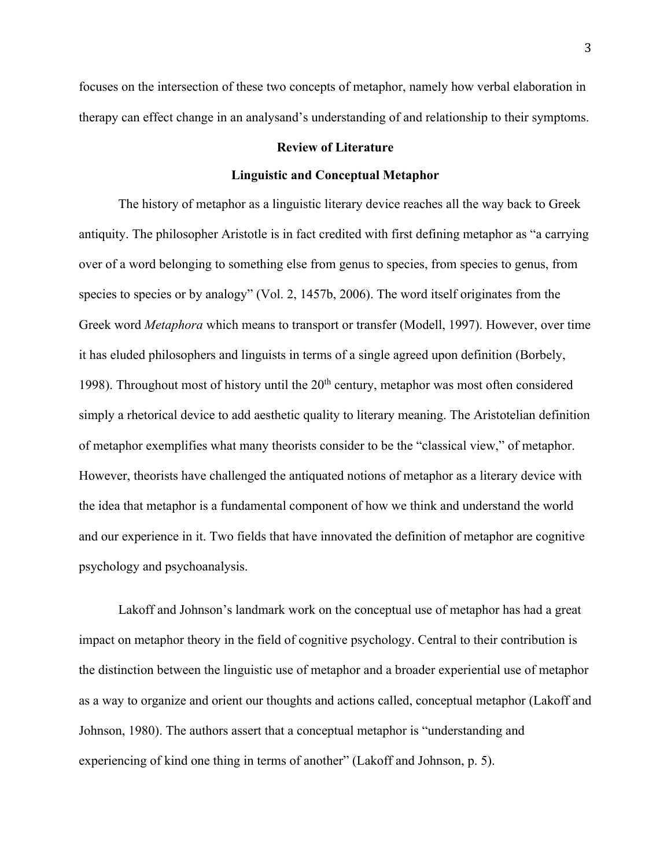focuses on the intersection of these two concepts of metaphor, namely how verbal elaboration in therapy can effect change in an analysand's understanding of and relationship to their symptoms.

#### **Review of Literature**

#### **Linguistic and Conceptual Metaphor**

The history of metaphor as a linguistic literary device reaches all the way back to Greek antiquity. The philosopher Aristotle is in fact credited with first defining metaphor as "a carrying over of a word belonging to something else from genus to species, from species to genus, from species to species or by analogy" (Vol. 2, 1457b, 2006). The word itself originates from the Greek word *Metaphora* which means to transport or transfer (Modell, 1997). However, over time it has eluded philosophers and linguists in terms of a single agreed upon definition (Borbely, 1998). Throughout most of history until the  $20<sup>th</sup>$  century, metaphor was most often considered simply a rhetorical device to add aesthetic quality to literary meaning. The Aristotelian definition of metaphor exemplifies what many theorists consider to be the "classical view," of metaphor. However, theorists have challenged the antiquated notions of metaphor as a literary device with the idea that metaphor is a fundamental component of how we think and understand the world and our experience in it. Two fields that have innovated the definition of metaphor are cognitive psychology and psychoanalysis.

Lakoff and Johnson's landmark work on the conceptual use of metaphor has had a great impact on metaphor theory in the field of cognitive psychology. Central to their contribution is the distinction between the linguistic use of metaphor and a broader experiential use of metaphor as a way to organize and orient our thoughts and actions called, conceptual metaphor (Lakoff and Johnson, 1980). The authors assert that a conceptual metaphor is "understanding and experiencing of kind one thing in terms of another" (Lakoff and Johnson, p. 5).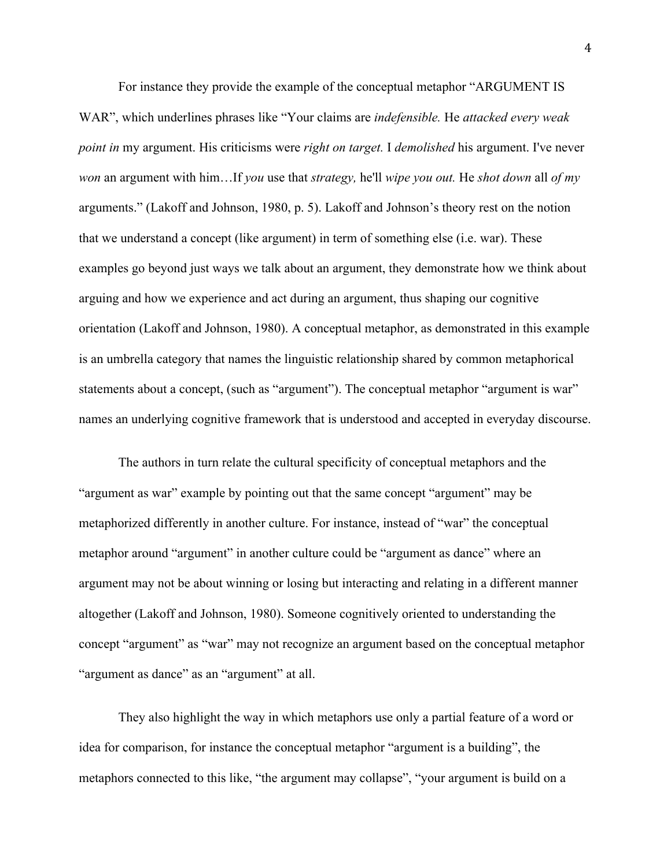For instance they provide the example of the conceptual metaphor "ARGUMENT IS WAR", which underlines phrases like "Your claims are *indefensible.* He *attacked every weak point in* my argument. His criticisms were *right on target.* I *demolished* his argument. I've never *won* an argument with him…If *you* use that *strategy,* he'll *wipe you out.* He *shot down* all *of my*  arguments." (Lakoff and Johnson, 1980, p. 5). Lakoff and Johnson's theory rest on the notion that we understand a concept (like argument) in term of something else (i.e. war). These examples go beyond just ways we talk about an argument, they demonstrate how we think about arguing and how we experience and act during an argument, thus shaping our cognitive orientation (Lakoff and Johnson, 1980). A conceptual metaphor, as demonstrated in this example is an umbrella category that names the linguistic relationship shared by common metaphorical statements about a concept, (such as "argument"). The conceptual metaphor "argument is war" names an underlying cognitive framework that is understood and accepted in everyday discourse.

The authors in turn relate the cultural specificity of conceptual metaphors and the "argument as war" example by pointing out that the same concept "argument" may be metaphorized differently in another culture. For instance, instead of "war" the conceptual metaphor around "argument" in another culture could be "argument as dance" where an argument may not be about winning or losing but interacting and relating in a different manner altogether (Lakoff and Johnson, 1980). Someone cognitively oriented to understanding the concept "argument" as "war" may not recognize an argument based on the conceptual metaphor "argument as dance" as an "argument" at all.

They also highlight the way in which metaphors use only a partial feature of a word or idea for comparison, for instance the conceptual metaphor "argument is a building", the metaphors connected to this like, "the argument may collapse", "your argument is build on a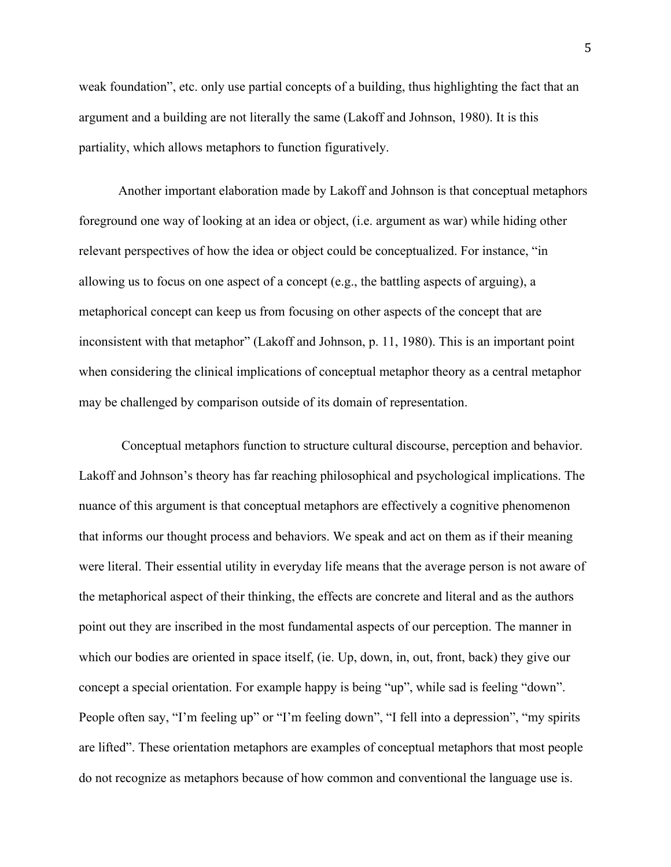weak foundation", etc. only use partial concepts of a building, thus highlighting the fact that an argument and a building are not literally the same (Lakoff and Johnson, 1980). It is this partiality, which allows metaphors to function figuratively.

Another important elaboration made by Lakoff and Johnson is that conceptual metaphors foreground one way of looking at an idea or object, (i.e. argument as war) while hiding other relevant perspectives of how the idea or object could be conceptualized. For instance, "in allowing us to focus on one aspect of a concept (e.g., the battling aspects of arguing), a metaphorical concept can keep us from focusing on other aspects of the concept that are inconsistent with that metaphor" (Lakoff and Johnson, p. 11, 1980). This is an important point when considering the clinical implications of conceptual metaphor theory as a central metaphor may be challenged by comparison outside of its domain of representation.

Conceptual metaphors function to structure cultural discourse, perception and behavior. Lakoff and Johnson's theory has far reaching philosophical and psychological implications. The nuance of this argument is that conceptual metaphors are effectively a cognitive phenomenon that informs our thought process and behaviors. We speak and act on them as if their meaning were literal. Their essential utility in everyday life means that the average person is not aware of the metaphorical aspect of their thinking, the effects are concrete and literal and as the authors point out they are inscribed in the most fundamental aspects of our perception. The manner in which our bodies are oriented in space itself, (ie. Up, down, in, out, front, back) they give our concept a special orientation. For example happy is being "up", while sad is feeling "down". People often say, "I'm feeling up" or "I'm feeling down", "I fell into a depression", "my spirits are lifted". These orientation metaphors are examples of conceptual metaphors that most people do not recognize as metaphors because of how common and conventional the language use is.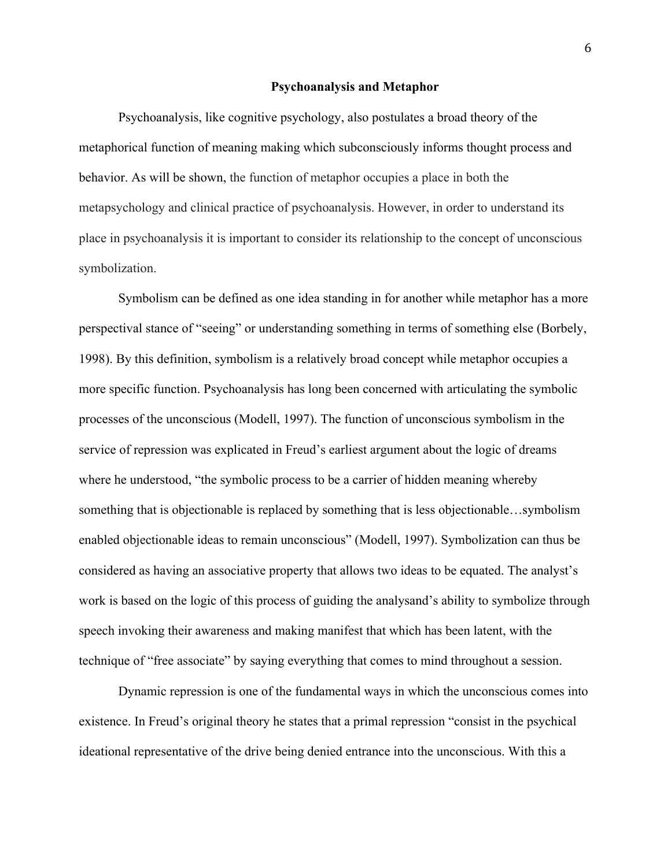#### **Psychoanalysis and Metaphor**

Psychoanalysis, like cognitive psychology, also postulates a broad theory of the metaphorical function of meaning making which subconsciously informs thought process and behavior. As will be shown, the function of metaphor occupies a place in both the metapsychology and clinical practice of psychoanalysis. However, in order to understand its place in psychoanalysis it is important to consider its relationship to the concept of unconscious symbolization.

Symbolism can be defined as one idea standing in for another while metaphor has a more perspectival stance of "seeing" or understanding something in terms of something else (Borbely, 1998). By this definition, symbolism is a relatively broad concept while metaphor occupies a more specific function. Psychoanalysis has long been concerned with articulating the symbolic processes of the unconscious (Modell, 1997). The function of unconscious symbolism in the service of repression was explicated in Freud's earliest argument about the logic of dreams where he understood, "the symbolic process to be a carrier of hidden meaning whereby something that is objectionable is replaced by something that is less objectionable…symbolism enabled objectionable ideas to remain unconscious" (Modell, 1997). Symbolization can thus be considered as having an associative property that allows two ideas to be equated. The analyst's work is based on the logic of this process of guiding the analysand's ability to symbolize through speech invoking their awareness and making manifest that which has been latent, with the technique of "free associate" by saying everything that comes to mind throughout a session.

Dynamic repression is one of the fundamental ways in which the unconscious comes into existence. In Freud's original theory he states that a primal repression "consist in the psychical ideational representative of the drive being denied entrance into the unconscious. With this a

6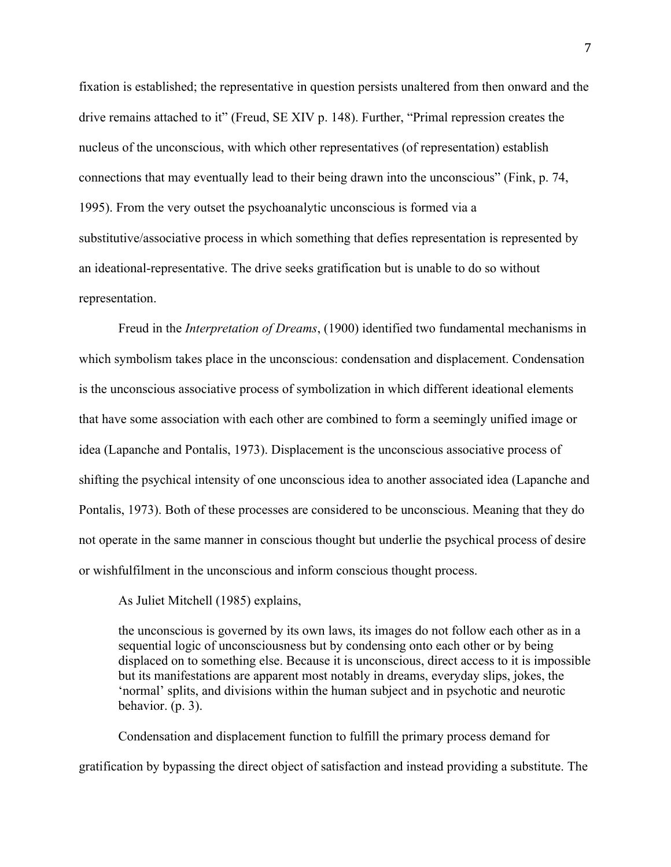fixation is established; the representative in question persists unaltered from then onward and the drive remains attached to it" (Freud, SE XIV p. 148). Further, "Primal repression creates the nucleus of the unconscious, with which other representatives (of representation) establish connections that may eventually lead to their being drawn into the unconscious" (Fink, p. 74, 1995). From the very outset the psychoanalytic unconscious is formed via a substitutive/associative process in which something that defies representation is represented by an ideational-representative. The drive seeks gratification but is unable to do so without representation.

Freud in the *Interpretation of Dreams*, (1900) identified two fundamental mechanisms in which symbolism takes place in the unconscious: condensation and displacement. Condensation is the unconscious associative process of symbolization in which different ideational elements that have some association with each other are combined to form a seemingly unified image or idea (Lapanche and Pontalis, 1973). Displacement is the unconscious associative process of shifting the psychical intensity of one unconscious idea to another associated idea (Lapanche and Pontalis, 1973). Both of these processes are considered to be unconscious. Meaning that they do not operate in the same manner in conscious thought but underlie the psychical process of desire or wishfulfilment in the unconscious and inform conscious thought process.

As Juliet Mitchell (1985) explains,

the unconscious is governed by its own laws, its images do not follow each other as in a sequential logic of unconsciousness but by condensing onto each other or by being displaced on to something else. Because it is unconscious, direct access to it is impossible but its manifestations are apparent most notably in dreams, everyday slips, jokes, the 'normal' splits, and divisions within the human subject and in psychotic and neurotic behavior. (p. 3).

Condensation and displacement function to fulfill the primary process demand for gratification by bypassing the direct object of satisfaction and instead providing a substitute. The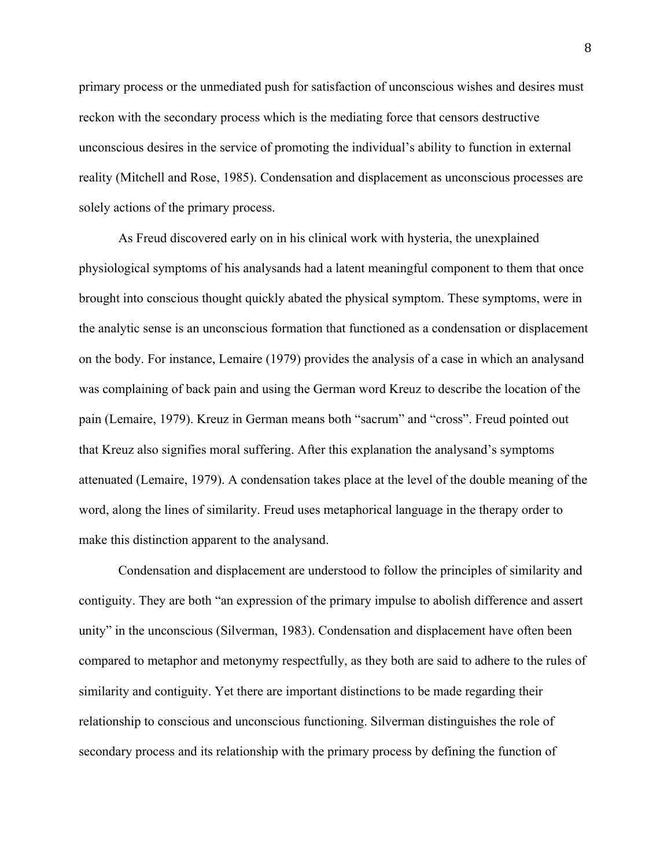primary process or the unmediated push for satisfaction of unconscious wishes and desires must reckon with the secondary process which is the mediating force that censors destructive unconscious desires in the service of promoting the individual's ability to function in external reality (Mitchell and Rose, 1985). Condensation and displacement as unconscious processes are solely actions of the primary process.

As Freud discovered early on in his clinical work with hysteria, the unexplained physiological symptoms of his analysands had a latent meaningful component to them that once brought into conscious thought quickly abated the physical symptom. These symptoms, were in the analytic sense is an unconscious formation that functioned as a condensation or displacement on the body. For instance, Lemaire (1979) provides the analysis of a case in which an analysand was complaining of back pain and using the German word Kreuz to describe the location of the pain (Lemaire, 1979). Kreuz in German means both "sacrum" and "cross". Freud pointed out that Kreuz also signifies moral suffering. After this explanation the analysand's symptoms attenuated (Lemaire, 1979). A condensation takes place at the level of the double meaning of the word, along the lines of similarity. Freud uses metaphorical language in the therapy order to make this distinction apparent to the analysand.

Condensation and displacement are understood to follow the principles of similarity and contiguity. They are both "an expression of the primary impulse to abolish difference and assert unity" in the unconscious (Silverman, 1983). Condensation and displacement have often been compared to metaphor and metonymy respectfully, as they both are said to adhere to the rules of similarity and contiguity. Yet there are important distinctions to be made regarding their relationship to conscious and unconscious functioning. Silverman distinguishes the role of secondary process and its relationship with the primary process by defining the function of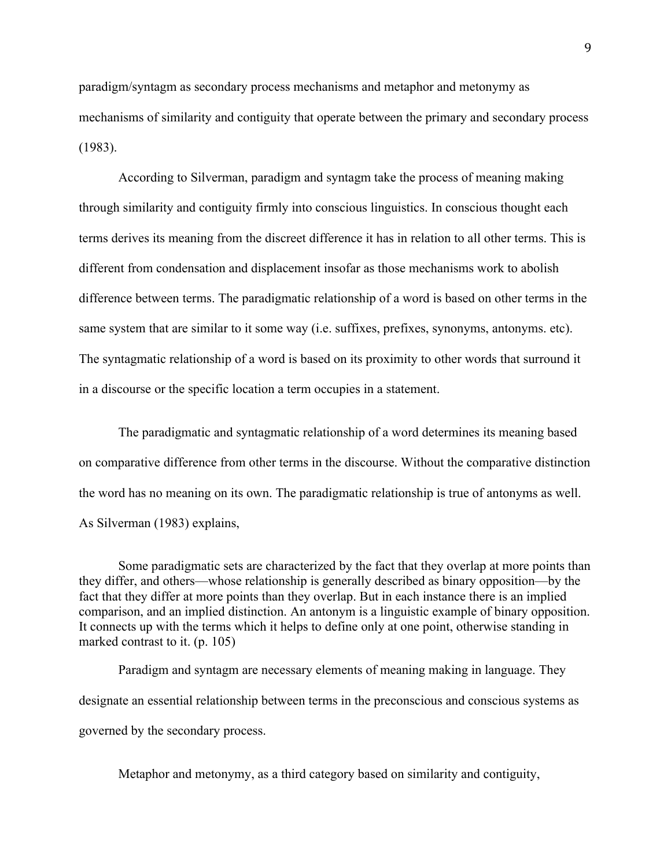paradigm/syntagm as secondary process mechanisms and metaphor and metonymy as mechanisms of similarity and contiguity that operate between the primary and secondary process (1983).

According to Silverman, paradigm and syntagm take the process of meaning making through similarity and contiguity firmly into conscious linguistics. In conscious thought each terms derives its meaning from the discreet difference it has in relation to all other terms. This is different from condensation and displacement insofar as those mechanisms work to abolish difference between terms. The paradigmatic relationship of a word is based on other terms in the same system that are similar to it some way (i.e. suffixes, prefixes, synonyms, antonyms. etc). The syntagmatic relationship of a word is based on its proximity to other words that surround it in a discourse or the specific location a term occupies in a statement.

The paradigmatic and syntagmatic relationship of a word determines its meaning based on comparative difference from other terms in the discourse. Without the comparative distinction the word has no meaning on its own. The paradigmatic relationship is true of antonyms as well. As Silverman (1983) explains,

Some paradigmatic sets are characterized by the fact that they overlap at more points than they differ, and others—whose relationship is generally described as binary opposition—by the fact that they differ at more points than they overlap. But in each instance there is an implied comparison, and an implied distinction. An antonym is a linguistic example of binary opposition. It connects up with the terms which it helps to define only at one point, otherwise standing in marked contrast to it. (p. 105)

Paradigm and syntagm are necessary elements of meaning making in language. They designate an essential relationship between terms in the preconscious and conscious systems as governed by the secondary process.

Metaphor and metonymy, as a third category based on similarity and contiguity,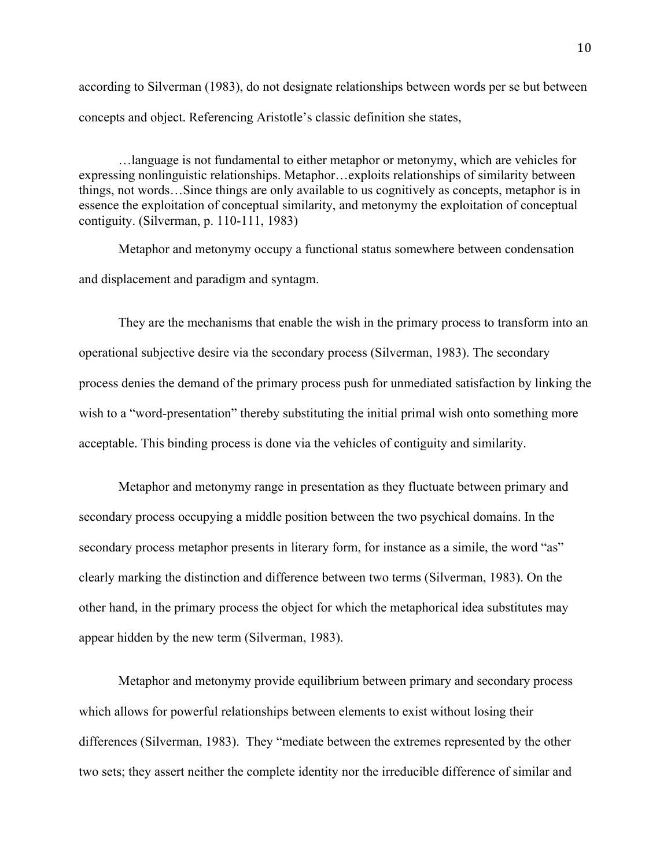according to Silverman (1983), do not designate relationships between words per se but between concepts and object. Referencing Aristotle's classic definition she states,

…language is not fundamental to either metaphor or metonymy, which are vehicles for expressing nonlinguistic relationships. Metaphor…exploits relationships of similarity between things, not words…Since things are only available to us cognitively as concepts, metaphor is in essence the exploitation of conceptual similarity, and metonymy the exploitation of conceptual contiguity. (Silverman, p. 110-111, 1983)

Metaphor and metonymy occupy a functional status somewhere between condensation and displacement and paradigm and syntagm.

They are the mechanisms that enable the wish in the primary process to transform into an operational subjective desire via the secondary process (Silverman, 1983). The secondary process denies the demand of the primary process push for unmediated satisfaction by linking the wish to a "word-presentation" thereby substituting the initial primal wish onto something more acceptable. This binding process is done via the vehicles of contiguity and similarity.

Metaphor and metonymy range in presentation as they fluctuate between primary and secondary process occupying a middle position between the two psychical domains. In the secondary process metaphor presents in literary form, for instance as a simile, the word "as" clearly marking the distinction and difference between two terms (Silverman, 1983). On the other hand, in the primary process the object for which the metaphorical idea substitutes may appear hidden by the new term (Silverman, 1983).

Metaphor and metonymy provide equilibrium between primary and secondary process which allows for powerful relationships between elements to exist without losing their differences (Silverman, 1983). They "mediate between the extremes represented by the other two sets; they assert neither the complete identity nor the irreducible difference of similar and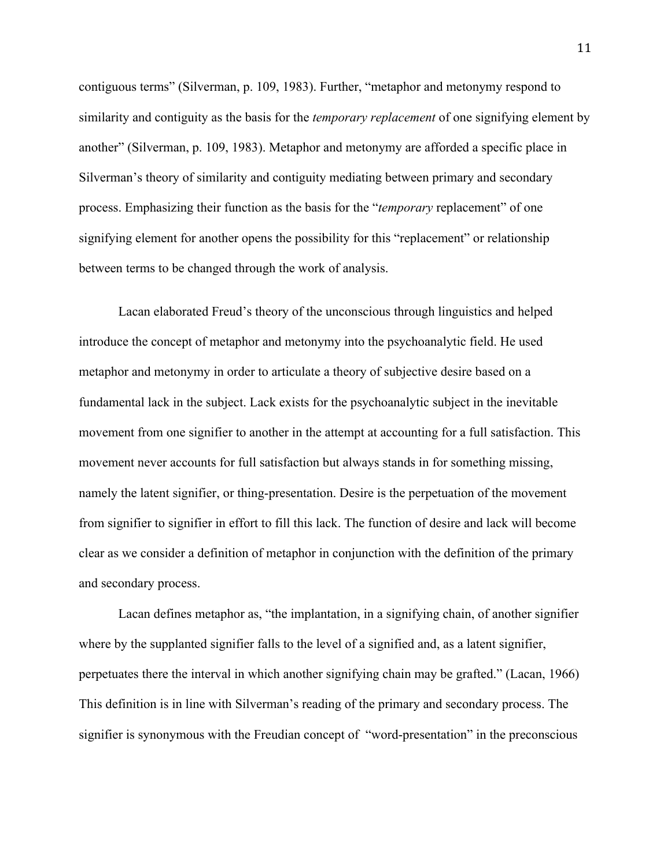contiguous terms" (Silverman, p. 109, 1983). Further, "metaphor and metonymy respond to similarity and contiguity as the basis for the *temporary replacement* of one signifying element by another" (Silverman, p. 109, 1983). Metaphor and metonymy are afforded a specific place in Silverman's theory of similarity and contiguity mediating between primary and secondary process. Emphasizing their function as the basis for the "*temporary* replacement" of one signifying element for another opens the possibility for this "replacement" or relationship between terms to be changed through the work of analysis.

Lacan elaborated Freud's theory of the unconscious through linguistics and helped introduce the concept of metaphor and metonymy into the psychoanalytic field. He used metaphor and metonymy in order to articulate a theory of subjective desire based on a fundamental lack in the subject. Lack exists for the psychoanalytic subject in the inevitable movement from one signifier to another in the attempt at accounting for a full satisfaction. This movement never accounts for full satisfaction but always stands in for something missing, namely the latent signifier, or thing-presentation. Desire is the perpetuation of the movement from signifier to signifier in effort to fill this lack. The function of desire and lack will become clear as we consider a definition of metaphor in conjunction with the definition of the primary and secondary process.

Lacan defines metaphor as, "the implantation, in a signifying chain, of another signifier where by the supplanted signifier falls to the level of a signified and, as a latent signifier, perpetuates there the interval in which another signifying chain may be grafted." (Lacan, 1966) This definition is in line with Silverman's reading of the primary and secondary process. The signifier is synonymous with the Freudian concept of "word-presentation" in the preconscious

11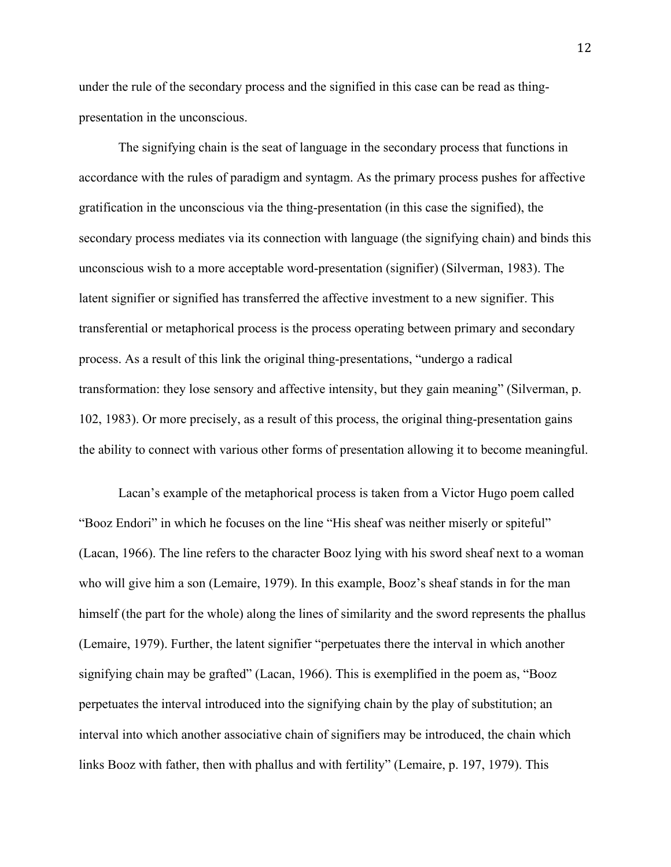under the rule of the secondary process and the signified in this case can be read as thingpresentation in the unconscious.

The signifying chain is the seat of language in the secondary process that functions in accordance with the rules of paradigm and syntagm. As the primary process pushes for affective gratification in the unconscious via the thing-presentation (in this case the signified), the secondary process mediates via its connection with language (the signifying chain) and binds this unconscious wish to a more acceptable word-presentation (signifier) (Silverman, 1983). The latent signifier or signified has transferred the affective investment to a new signifier. This transferential or metaphorical process is the process operating between primary and secondary process. As a result of this link the original thing-presentations, "undergo a radical transformation: they lose sensory and affective intensity, but they gain meaning" (Silverman, p. 102, 1983). Or more precisely, as a result of this process, the original thing-presentation gains the ability to connect with various other forms of presentation allowing it to become meaningful.

Lacan's example of the metaphorical process is taken from a Victor Hugo poem called "Booz Endori" in which he focuses on the line "His sheaf was neither miserly or spiteful" (Lacan, 1966). The line refers to the character Booz lying with his sword sheaf next to a woman who will give him a son (Lemaire, 1979). In this example, Booz's sheaf stands in for the man himself (the part for the whole) along the lines of similarity and the sword represents the phallus (Lemaire, 1979). Further, the latent signifier "perpetuates there the interval in which another signifying chain may be grafted" (Lacan, 1966). This is exemplified in the poem as, "Booz perpetuates the interval introduced into the signifying chain by the play of substitution; an interval into which another associative chain of signifiers may be introduced, the chain which links Booz with father, then with phallus and with fertility" (Lemaire, p. 197, 1979). This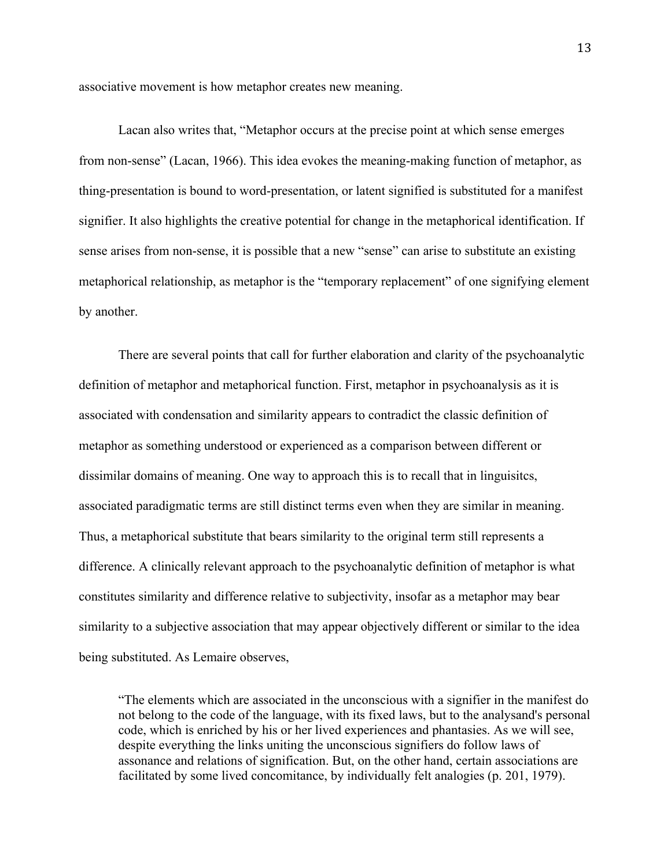associative movement is how metaphor creates new meaning.

Lacan also writes that, "Metaphor occurs at the precise point at which sense emerges from non-sense" (Lacan, 1966). This idea evokes the meaning-making function of metaphor, as thing-presentation is bound to word-presentation, or latent signified is substituted for a manifest signifier. It also highlights the creative potential for change in the metaphorical identification. If sense arises from non-sense, it is possible that a new "sense" can arise to substitute an existing metaphorical relationship, as metaphor is the "temporary replacement" of one signifying element by another.

There are several points that call for further elaboration and clarity of the psychoanalytic definition of metaphor and metaphorical function. First, metaphor in psychoanalysis as it is associated with condensation and similarity appears to contradict the classic definition of metaphor as something understood or experienced as a comparison between different or dissimilar domains of meaning. One way to approach this is to recall that in linguisitcs, associated paradigmatic terms are still distinct terms even when they are similar in meaning. Thus, a metaphorical substitute that bears similarity to the original term still represents a difference. A clinically relevant approach to the psychoanalytic definition of metaphor is what constitutes similarity and difference relative to subjectivity, insofar as a metaphor may bear similarity to a subjective association that may appear objectively different or similar to the idea being substituted. As Lemaire observes,

"The elements which are associated in the unconscious with a signifier in the manifest do not belong to the code of the language, with its fixed laws, but to the analysand's personal code, which is enriched by his or her lived experiences and phantasies. As we will see, despite everything the links uniting the unconscious signifiers do follow laws of assonance and relations of signification. But, on the other hand, certain associations are facilitated by some lived concomitance, by individually felt analogies (p. 201, 1979).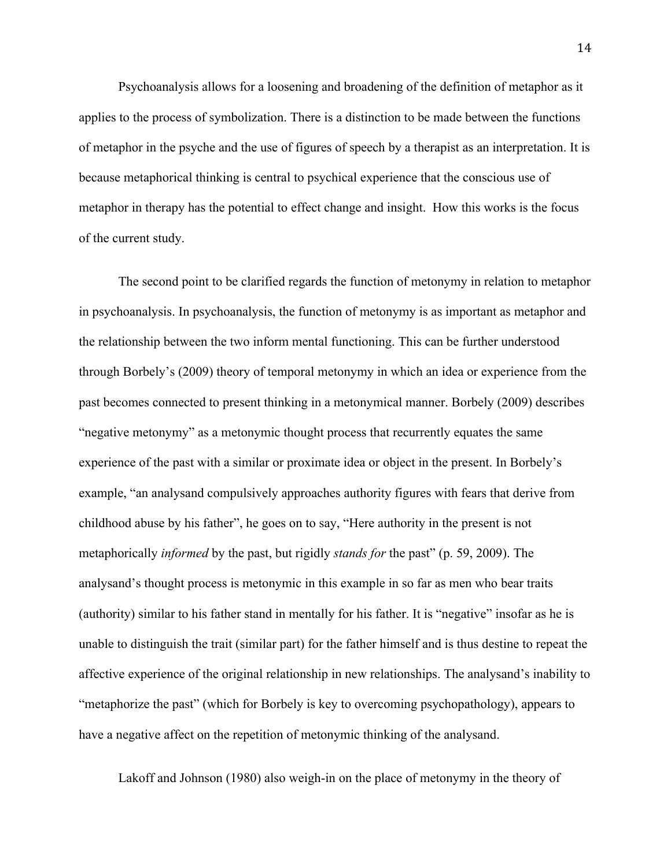Psychoanalysis allows for a loosening and broadening of the definition of metaphor as it applies to the process of symbolization. There is a distinction to be made between the functions of metaphor in the psyche and the use of figures of speech by a therapist as an interpretation. It is because metaphorical thinking is central to psychical experience that the conscious use of metaphor in therapy has the potential to effect change and insight. How this works is the focus of the current study.

The second point to be clarified regards the function of metonymy in relation to metaphor in psychoanalysis. In psychoanalysis, the function of metonymy is as important as metaphor and the relationship between the two inform mental functioning. This can be further understood through Borbely's (2009) theory of temporal metonymy in which an idea or experience from the past becomes connected to present thinking in a metonymical manner. Borbely (2009) describes "negative metonymy" as a metonymic thought process that recurrently equates the same experience of the past with a similar or proximate idea or object in the present. In Borbely's example, "an analysand compulsively approaches authority figures with fears that derive from childhood abuse by his father", he goes on to say, "Here authority in the present is not metaphorically *informed* by the past, but rigidly *stands for* the past" (p. 59, 2009). The analysand's thought process is metonymic in this example in so far as men who bear traits (authority) similar to his father stand in mentally for his father. It is "negative" insofar as he is unable to distinguish the trait (similar part) for the father himself and is thus destine to repeat the affective experience of the original relationship in new relationships. The analysand's inability to "metaphorize the past" (which for Borbely is key to overcoming psychopathology), appears to have a negative affect on the repetition of metonymic thinking of the analysand.

Lakoff and Johnson (1980) also weigh-in on the place of metonymy in the theory of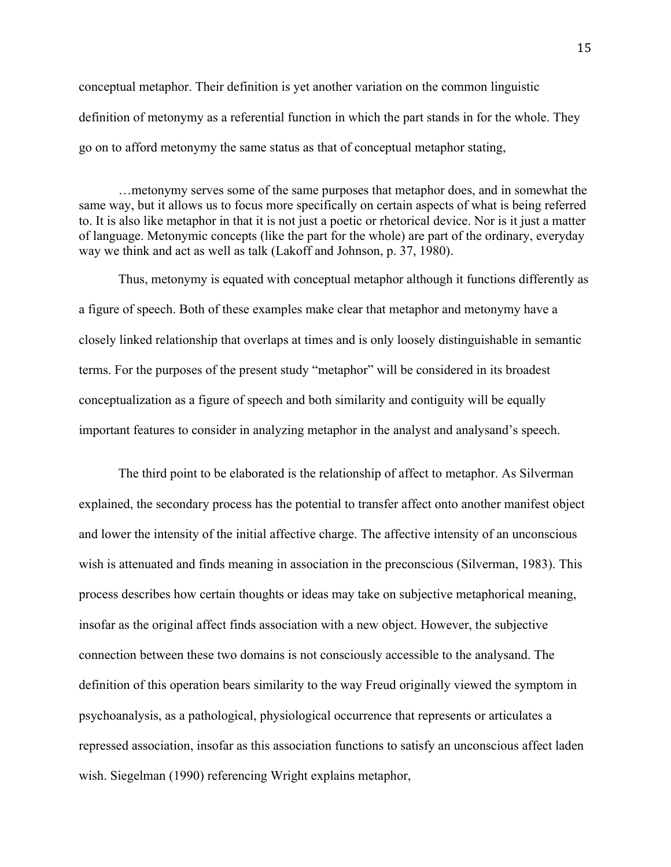conceptual metaphor. Their definition is yet another variation on the common linguistic definition of metonymy as a referential function in which the part stands in for the whole. They go on to afford metonymy the same status as that of conceptual metaphor stating,

…metonymy serves some of the same purposes that metaphor does, and in somewhat the same way, but it allows us to focus more specifically on certain aspects of what is being referred to. It is also like metaphor in that it is not just a poetic or rhetorical device. Nor is it just a matter of language. Metonymic concepts (like the part for the whole) are part of the ordinary, everyday way we think and act as well as talk (Lakoff and Johnson, p. 37, 1980).

Thus, metonymy is equated with conceptual metaphor although it functions differently as a figure of speech. Both of these examples make clear that metaphor and metonymy have a closely linked relationship that overlaps at times and is only loosely distinguishable in semantic terms. For the purposes of the present study "metaphor" will be considered in its broadest conceptualization as a figure of speech and both similarity and contiguity will be equally important features to consider in analyzing metaphor in the analyst and analysand's speech.

The third point to be elaborated is the relationship of affect to metaphor. As Silverman explained, the secondary process has the potential to transfer affect onto another manifest object and lower the intensity of the initial affective charge. The affective intensity of an unconscious wish is attenuated and finds meaning in association in the preconscious (Silverman, 1983). This process describes how certain thoughts or ideas may take on subjective metaphorical meaning, insofar as the original affect finds association with a new object. However, the subjective connection between these two domains is not consciously accessible to the analysand. The definition of this operation bears similarity to the way Freud originally viewed the symptom in psychoanalysis, as a pathological, physiological occurrence that represents or articulates a repressed association, insofar as this association functions to satisfy an unconscious affect laden wish. Siegelman (1990) referencing Wright explains metaphor,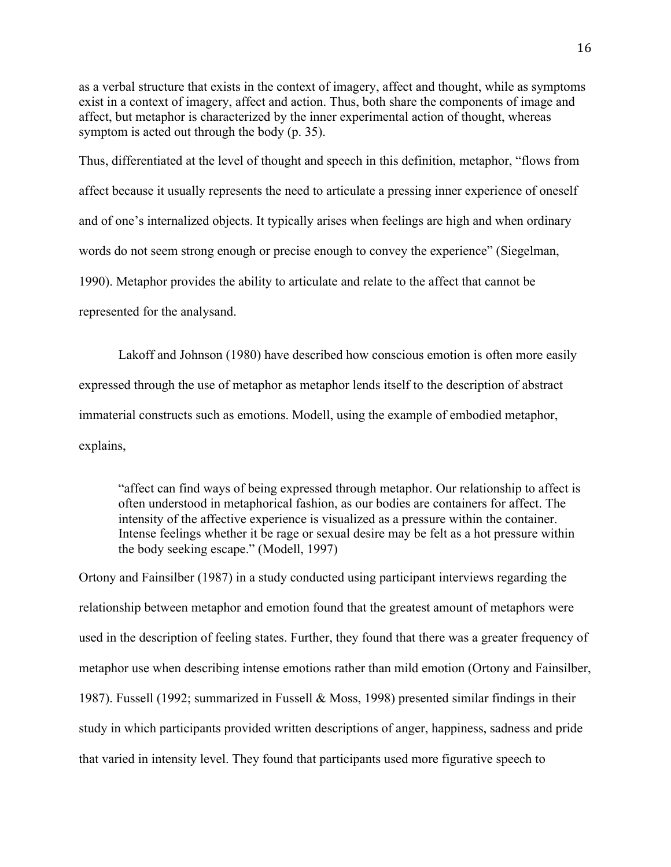as a verbal structure that exists in the context of imagery, affect and thought, while as symptoms exist in a context of imagery, affect and action. Thus, both share the components of image and affect, but metaphor is characterized by the inner experimental action of thought, whereas symptom is acted out through the body (p. 35).

Thus, differentiated at the level of thought and speech in this definition, metaphor, "flows from affect because it usually represents the need to articulate a pressing inner experience of oneself and of one's internalized objects. It typically arises when feelings are high and when ordinary words do not seem strong enough or precise enough to convey the experience" (Siegelman, 1990). Metaphor provides the ability to articulate and relate to the affect that cannot be represented for the analysand.

Lakoff and Johnson (1980) have described how conscious emotion is often more easily expressed through the use of metaphor as metaphor lends itself to the description of abstract immaterial constructs such as emotions. Modell, using the example of embodied metaphor, explains,

"affect can find ways of being expressed through metaphor. Our relationship to affect is often understood in metaphorical fashion, as our bodies are containers for affect. The intensity of the affective experience is visualized as a pressure within the container. Intense feelings whether it be rage or sexual desire may be felt as a hot pressure within the body seeking escape." (Modell, 1997)

Ortony and Fainsilber (1987) in a study conducted using participant interviews regarding the relationship between metaphor and emotion found that the greatest amount of metaphors were used in the description of feeling states. Further, they found that there was a greater frequency of metaphor use when describing intense emotions rather than mild emotion (Ortony and Fainsilber, 1987). Fussell (1992; summarized in Fussell & Moss, 1998) presented similar findings in their study in which participants provided written descriptions of anger, happiness, sadness and pride that varied in intensity level. They found that participants used more figurative speech to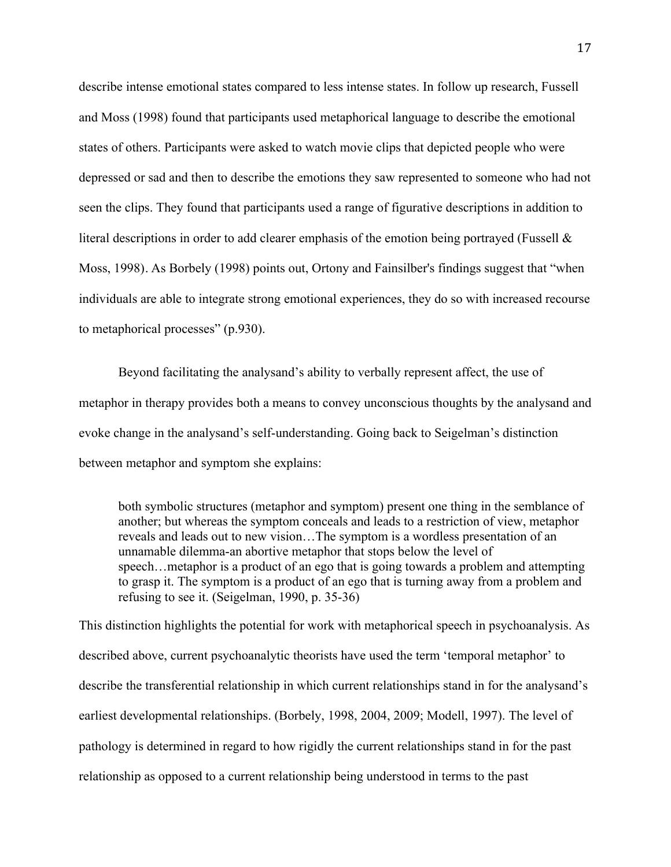describe intense emotional states compared to less intense states. In follow up research, Fussell and Moss (1998) found that participants used metaphorical language to describe the emotional states of others. Participants were asked to watch movie clips that depicted people who were depressed or sad and then to describe the emotions they saw represented to someone who had not seen the clips. They found that participants used a range of figurative descriptions in addition to literal descriptions in order to add clearer emphasis of the emotion being portrayed (Fussell & Moss, 1998). As Borbely (1998) points out, Ortony and Fainsilber's findings suggest that "when individuals are able to integrate strong emotional experiences, they do so with increased recourse to metaphorical processes" (p.930).

Beyond facilitating the analysand's ability to verbally represent affect, the use of metaphor in therapy provides both a means to convey unconscious thoughts by the analysand and evoke change in the analysand's self-understanding. Going back to Seigelman's distinction between metaphor and symptom she explains:

both symbolic structures (metaphor and symptom) present one thing in the semblance of another; but whereas the symptom conceals and leads to a restriction of view, metaphor reveals and leads out to new vision…The symptom is a wordless presentation of an unnamable dilemma-an abortive metaphor that stops below the level of speech…metaphor is a product of an ego that is going towards a problem and attempting to grasp it. The symptom is a product of an ego that is turning away from a problem and refusing to see it. (Seigelman, 1990, p. 35-36)

This distinction highlights the potential for work with metaphorical speech in psychoanalysis. As described above, current psychoanalytic theorists have used the term 'temporal metaphor' to describe the transferential relationship in which current relationships stand in for the analysand's earliest developmental relationships. (Borbely, 1998, 2004, 2009; Modell, 1997). The level of pathology is determined in regard to how rigidly the current relationships stand in for the past relationship as opposed to a current relationship being understood in terms to the past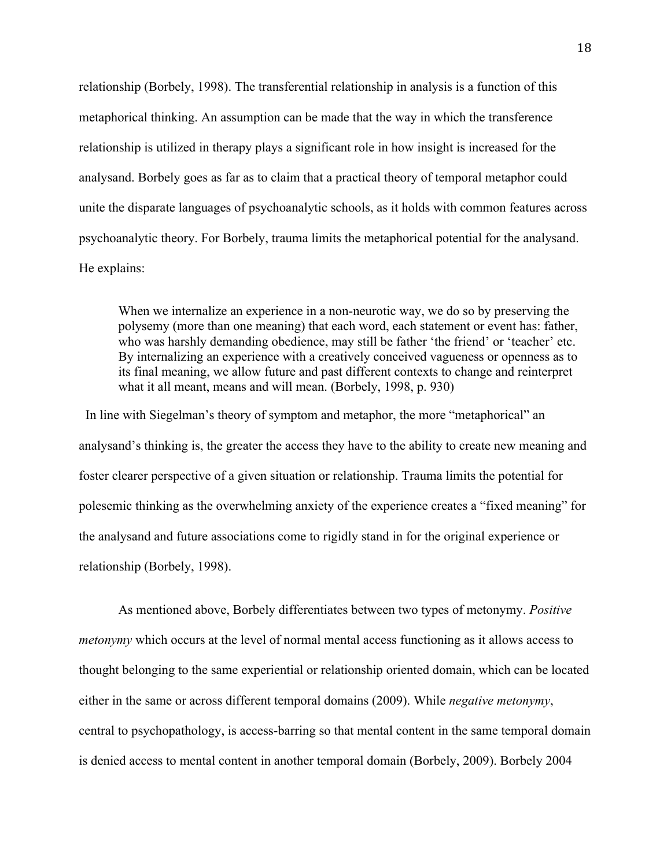relationship (Borbely, 1998). The transferential relationship in analysis is a function of this metaphorical thinking. An assumption can be made that the way in which the transference relationship is utilized in therapy plays a significant role in how insight is increased for the analysand. Borbely goes as far as to claim that a practical theory of temporal metaphor could unite the disparate languages of psychoanalytic schools, as it holds with common features across psychoanalytic theory. For Borbely, trauma limits the metaphorical potential for the analysand. He explains:

When we internalize an experience in a non-neurotic way, we do so by preserving the polysemy (more than one meaning) that each word, each statement or event has: father, who was harshly demanding obedience, may still be father 'the friend' or 'teacher' etc. By internalizing an experience with a creatively conceived vagueness or openness as to its final meaning, we allow future and past different contexts to change and reinterpret what it all meant, means and will mean. (Borbely, 1998, p. 930)

In line with Siegelman's theory of symptom and metaphor, the more "metaphorical" an analysand's thinking is, the greater the access they have to the ability to create new meaning and foster clearer perspective of a given situation or relationship. Trauma limits the potential for polesemic thinking as the overwhelming anxiety of the experience creates a "fixed meaning" for the analysand and future associations come to rigidly stand in for the original experience or relationship (Borbely, 1998).

As mentioned above, Borbely differentiates between two types of metonymy. *Positive metonymy* which occurs at the level of normal mental access functioning as it allows access to thought belonging to the same experiential or relationship oriented domain, which can be located either in the same or across different temporal domains (2009). While *negative metonymy*, central to psychopathology, is access-barring so that mental content in the same temporal domain is denied access to mental content in another temporal domain (Borbely, 2009). Borbely 2004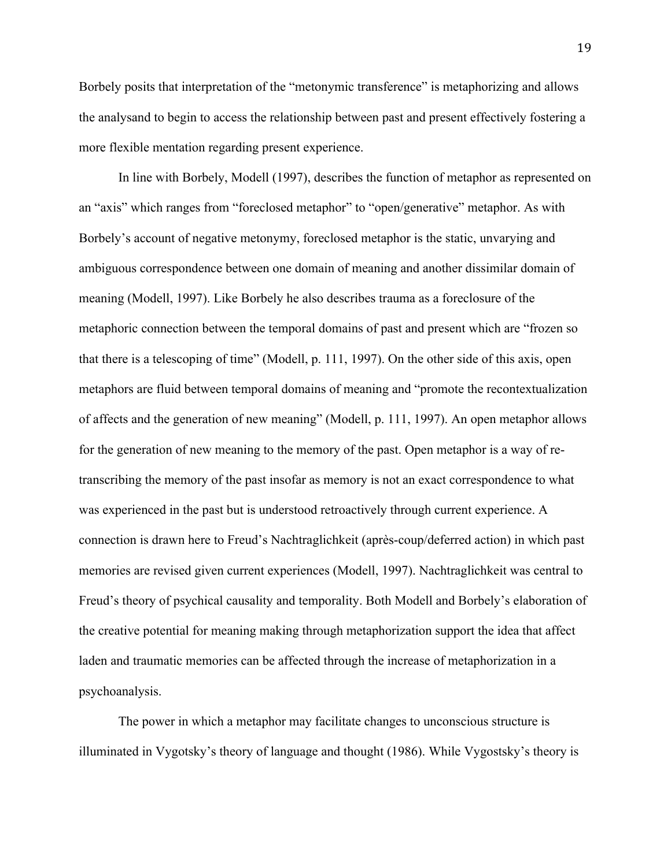Borbely posits that interpretation of the "metonymic transference" is metaphorizing and allows the analysand to begin to access the relationship between past and present effectively fostering a more flexible mentation regarding present experience.

In line with Borbely, Modell (1997), describes the function of metaphor as represented on an "axis" which ranges from "foreclosed metaphor" to "open/generative" metaphor. As with Borbely's account of negative metonymy, foreclosed metaphor is the static, unvarying and ambiguous correspondence between one domain of meaning and another dissimilar domain of meaning (Modell, 1997). Like Borbely he also describes trauma as a foreclosure of the metaphoric connection between the temporal domains of past and present which are "frozen so that there is a telescoping of time" (Modell, p. 111, 1997). On the other side of this axis, open metaphors are fluid between temporal domains of meaning and "promote the recontextualization of affects and the generation of new meaning" (Modell, p. 111, 1997). An open metaphor allows for the generation of new meaning to the memory of the past. Open metaphor is a way of retranscribing the memory of the past insofar as memory is not an exact correspondence to what was experienced in the past but is understood retroactively through current experience. A connection is drawn here to Freud's Nachtraglichkeit (après-coup/deferred action) in which past memories are revised given current experiences (Modell, 1997). Nachtraglichkeit was central to Freud's theory of psychical causality and temporality. Both Modell and Borbely's elaboration of the creative potential for meaning making through metaphorization support the idea that affect laden and traumatic memories can be affected through the increase of metaphorization in a psychoanalysis.

The power in which a metaphor may facilitate changes to unconscious structure is illuminated in Vygotsky's theory of language and thought (1986). While Vygostsky's theory is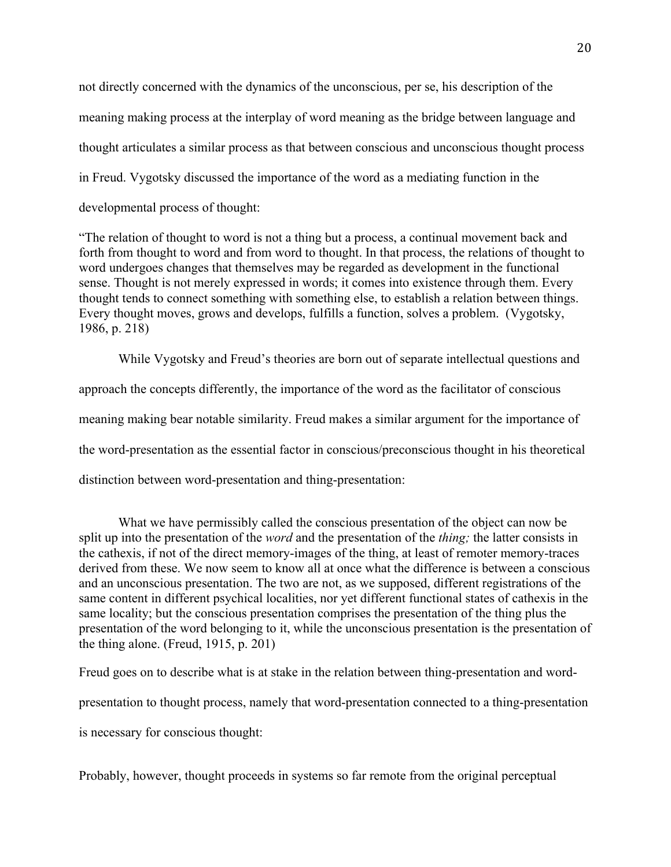not directly concerned with the dynamics of the unconscious, per se, his description of the meaning making process at the interplay of word meaning as the bridge between language and thought articulates a similar process as that between conscious and unconscious thought process in Freud. Vygotsky discussed the importance of the word as a mediating function in the developmental process of thought:

"The relation of thought to word is not a thing but a process, a continual movement back and forth from thought to word and from word to thought. In that process, the relations of thought to word undergoes changes that themselves may be regarded as development in the functional sense. Thought is not merely expressed in words; it comes into existence through them. Every thought tends to connect something with something else, to establish a relation between things. Every thought moves, grows and develops, fulfills a function, solves a problem. (Vygotsky, 1986, p. 218)

While Vygotsky and Freud's theories are born out of separate intellectual questions and approach the concepts differently, the importance of the word as the facilitator of conscious meaning making bear notable similarity. Freud makes a similar argument for the importance of the word-presentation as the essential factor in conscious/preconscious thought in his theoretical distinction between word-presentation and thing-presentation:

What we have permissibly called the conscious presentation of the object can now be split up into the presentation of the *word* and the presentation of the *thing;* the latter consists in the cathexis, if not of the direct memory-images of the thing, at least of remoter memory-traces derived from these. We now seem to know all at once what the difference is between a conscious and an unconscious presentation. The two are not, as we supposed, different registrations of the same content in different psychical localities, nor yet different functional states of cathexis in the same locality; but the conscious presentation comprises the presentation of the thing plus the presentation of the word belonging to it, while the unconscious presentation is the presentation of the thing alone. (Freud, 1915, p. 201)

Freud goes on to describe what is at stake in the relation between thing-presentation and word-

presentation to thought process, namely that word-presentation connected to a thing-presentation

is necessary for conscious thought:

Probably, however, thought proceeds in systems so far remote from the original perceptual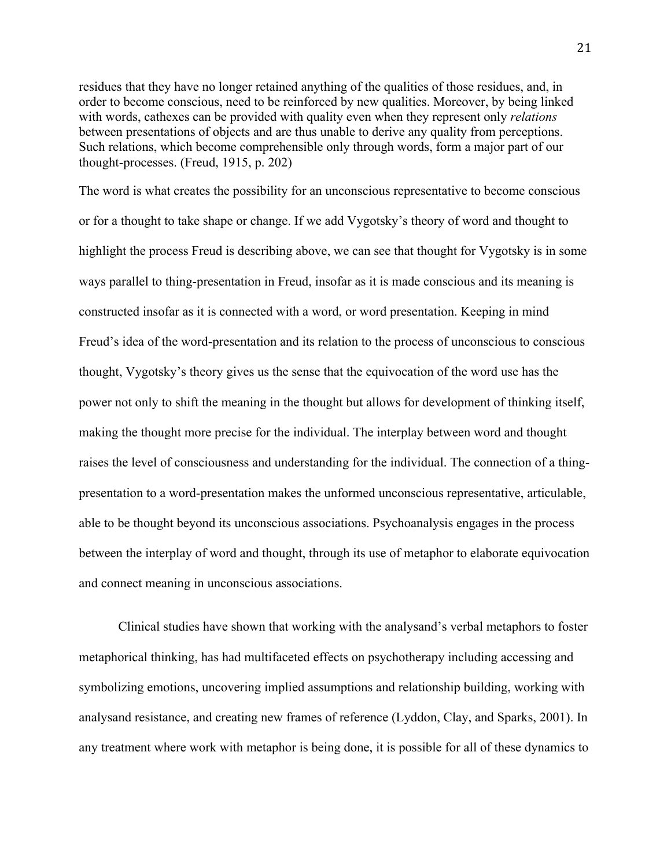residues that they have no longer retained anything of the qualities of those residues, and, in order to become conscious, need to be reinforced by new qualities. Moreover, by being linked with words, cathexes can be provided with quality even when they represent only *relations*  between presentations of objects and are thus unable to derive any quality from perceptions. Such relations, which become comprehensible only through words, form a major part of our thought-processes. (Freud, 1915, p. 202)

The word is what creates the possibility for an unconscious representative to become conscious or for a thought to take shape or change. If we add Vygotsky's theory of word and thought to highlight the process Freud is describing above, we can see that thought for Vygotsky is in some ways parallel to thing-presentation in Freud, insofar as it is made conscious and its meaning is constructed insofar as it is connected with a word, or word presentation. Keeping in mind Freud's idea of the word-presentation and its relation to the process of unconscious to conscious thought, Vygotsky's theory gives us the sense that the equivocation of the word use has the power not only to shift the meaning in the thought but allows for development of thinking itself, making the thought more precise for the individual. The interplay between word and thought raises the level of consciousness and understanding for the individual. The connection of a thingpresentation to a word-presentation makes the unformed unconscious representative, articulable, able to be thought beyond its unconscious associations. Psychoanalysis engages in the process between the interplay of word and thought, through its use of metaphor to elaborate equivocation and connect meaning in unconscious associations.

Clinical studies have shown that working with the analysand's verbal metaphors to foster metaphorical thinking, has had multifaceted effects on psychotherapy including accessing and symbolizing emotions, uncovering implied assumptions and relationship building, working with analysand resistance, and creating new frames of reference (Lyddon, Clay, and Sparks, 2001). In any treatment where work with metaphor is being done, it is possible for all of these dynamics to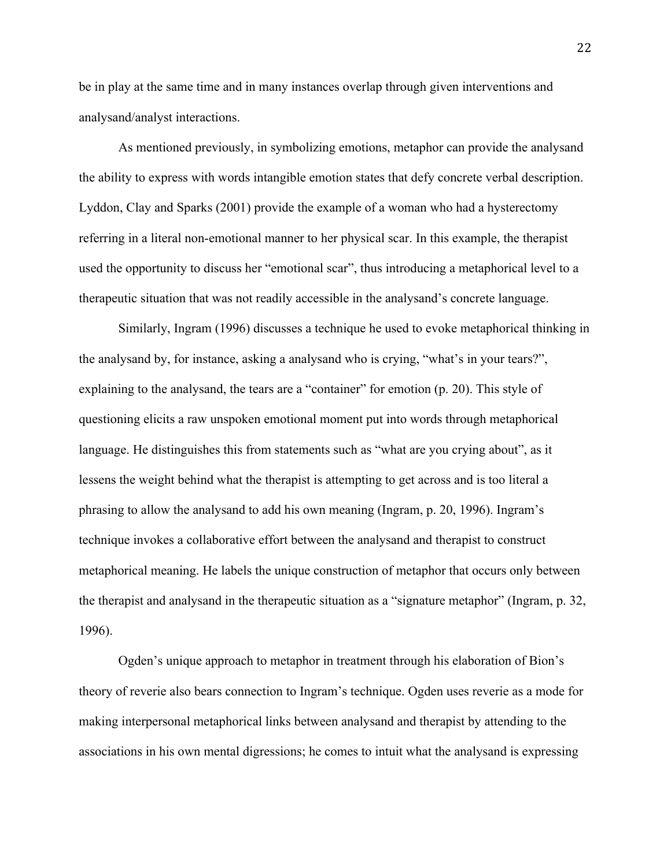be in play at the same time and in many instances overlap through given interventions and analysand/analyst interactions.

As mentioned previously, in symbolizing emotions, metaphor can provide the analysand the ability to express with words intangible emotion states that defy concrete verbal description. Lyddon, Clay and Sparks (2001) provide the example of a woman who had a hysterectomy referring in a literal non-emotional manner to her physical scar. In this example, the therapist used the opportunity to discuss her "emotional scar", thus introducing a metaphorical level to a therapeutic situation that was not readily accessible in the analysand's concrete language.

Similarly, Ingram (1996) discusses a technique he used to evoke metaphorical thinking in the analysand by, for instance, asking a analysand who is crying, "what's in your tears?", explaining to the analysand, the tears are a "container" for emotion (p. 20). This style of questioning elicits a raw unspoken emotional moment put into words through metaphorical language. He distinguishes this from statements such as "what are you crying about", as it lessens the weight behind what the therapist is attempting to get across and is too literal a phrasing to allow the analysand to add his own meaning (Ingram, p. 20, 1996). Ingram's technique invokes a collaborative effort between the analysand and therapist to construct metaphorical meaning. He labels the unique construction of metaphor that occurs only between the therapist and analysand in the therapeutic situation as a "signature metaphor" (Ingram, p. 32, 1996).

Ogden's unique approach to metaphor in treatment through his elaboration of Bion's theory of reverie also bears connection to Ingram's technique. Ogden uses reverie as a mode for making interpersonal metaphorical links between analysand and therapist by attending to the associations in his own mental digressions; he comes to intuit what the analysand is expressing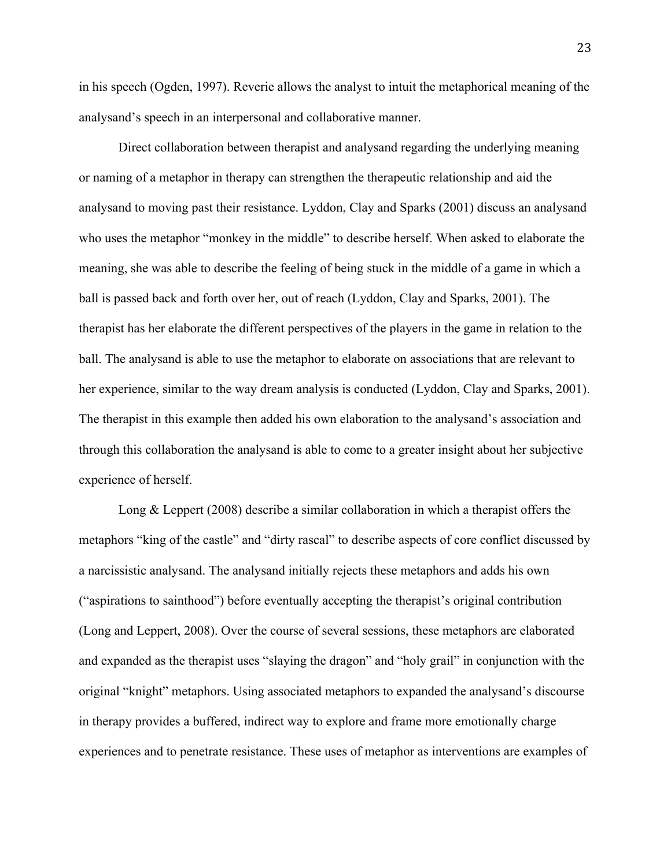in his speech (Ogden, 1997). Reverie allows the analyst to intuit the metaphorical meaning of the analysand's speech in an interpersonal and collaborative manner.

Direct collaboration between therapist and analysand regarding the underlying meaning or naming of a metaphor in therapy can strengthen the therapeutic relationship and aid the analysand to moving past their resistance. Lyddon, Clay and Sparks (2001) discuss an analysand who uses the metaphor "monkey in the middle" to describe herself. When asked to elaborate the meaning, she was able to describe the feeling of being stuck in the middle of a game in which a ball is passed back and forth over her, out of reach (Lyddon, Clay and Sparks, 2001). The therapist has her elaborate the different perspectives of the players in the game in relation to the ball. The analysand is able to use the metaphor to elaborate on associations that are relevant to her experience, similar to the way dream analysis is conducted (Lyddon, Clay and Sparks, 2001). The therapist in this example then added his own elaboration to the analysand's association and through this collaboration the analysand is able to come to a greater insight about her subjective experience of herself.

Long & Leppert (2008) describe a similar collaboration in which a therapist offers the metaphors "king of the castle" and "dirty rascal" to describe aspects of core conflict discussed by a narcissistic analysand. The analysand initially rejects these metaphors and adds his own ("aspirations to sainthood") before eventually accepting the therapist's original contribution (Long and Leppert, 2008). Over the course of several sessions, these metaphors are elaborated and expanded as the therapist uses "slaying the dragon" and "holy grail" in conjunction with the original "knight" metaphors. Using associated metaphors to expanded the analysand's discourse in therapy provides a buffered, indirect way to explore and frame more emotionally charge experiences and to penetrate resistance. These uses of metaphor as interventions are examples of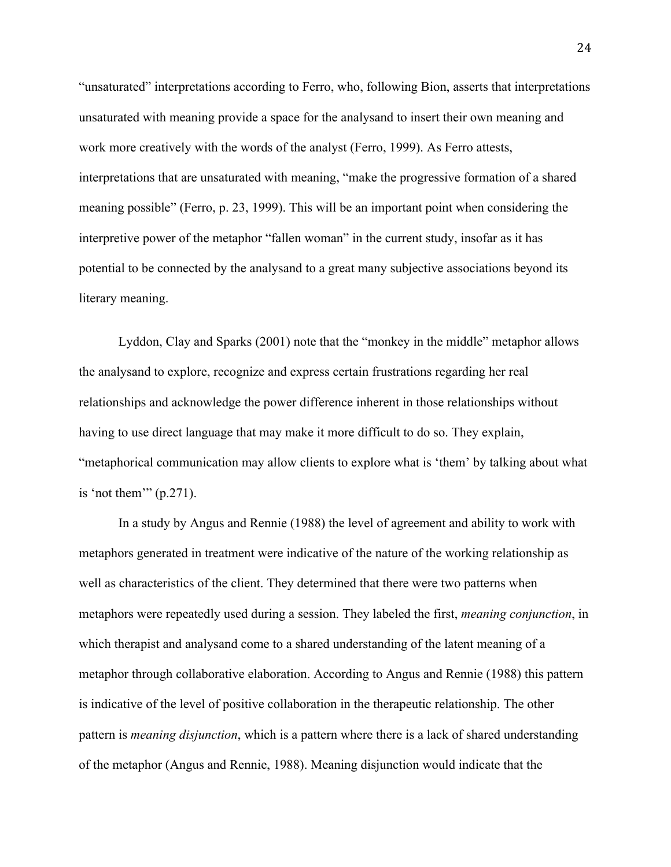"unsaturated" interpretations according to Ferro, who, following Bion, asserts that interpretations unsaturated with meaning provide a space for the analysand to insert their own meaning and work more creatively with the words of the analyst (Ferro, 1999). As Ferro attests, interpretations that are unsaturated with meaning, "make the progressive formation of a shared meaning possible" (Ferro, p. 23, 1999). This will be an important point when considering the interpretive power of the metaphor "fallen woman" in the current study, insofar as it has potential to be connected by the analysand to a great many subjective associations beyond its literary meaning.

Lyddon, Clay and Sparks (2001) note that the "monkey in the middle" metaphor allows the analysand to explore, recognize and express certain frustrations regarding her real relationships and acknowledge the power difference inherent in those relationships without having to use direct language that may make it more difficult to do so. They explain, "metaphorical communication may allow clients to explore what is 'them' by talking about what is 'not them'"  $(p.271)$ .

In a study by Angus and Rennie (1988) the level of agreement and ability to work with metaphors generated in treatment were indicative of the nature of the working relationship as well as characteristics of the client. They determined that there were two patterns when metaphors were repeatedly used during a session. They labeled the first, *meaning conjunction*, in which therapist and analysand come to a shared understanding of the latent meaning of a metaphor through collaborative elaboration. According to Angus and Rennie (1988) this pattern is indicative of the level of positive collaboration in the therapeutic relationship. The other pattern is *meaning disjunction*, which is a pattern where there is a lack of shared understanding of the metaphor (Angus and Rennie, 1988). Meaning disjunction would indicate that the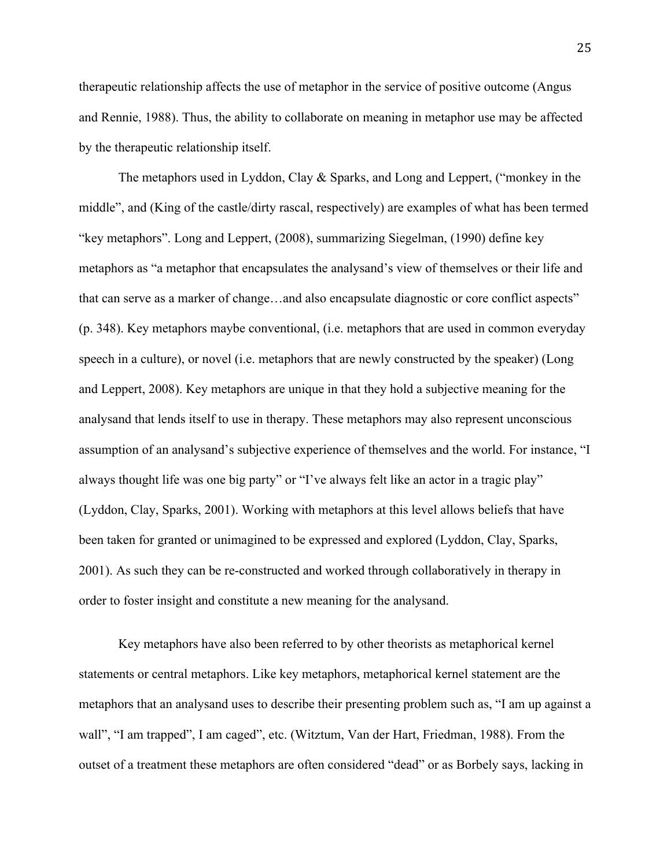therapeutic relationship affects the use of metaphor in the service of positive outcome (Angus and Rennie, 1988). Thus, the ability to collaborate on meaning in metaphor use may be affected by the therapeutic relationship itself.

The metaphors used in Lyddon, Clay & Sparks, and Long and Leppert, ("monkey in the middle", and (King of the castle/dirty rascal, respectively) are examples of what has been termed "key metaphors". Long and Leppert, (2008), summarizing Siegelman, (1990) define key metaphors as "a metaphor that encapsulates the analysand's view of themselves or their life and that can serve as a marker of change…and also encapsulate diagnostic or core conflict aspects" (p. 348). Key metaphors maybe conventional, (i.e. metaphors that are used in common everyday speech in a culture), or novel (i.e. metaphors that are newly constructed by the speaker) (Long and Leppert, 2008). Key metaphors are unique in that they hold a subjective meaning for the analysand that lends itself to use in therapy. These metaphors may also represent unconscious assumption of an analysand's subjective experience of themselves and the world. For instance, "I always thought life was one big party" or "I've always felt like an actor in a tragic play" (Lyddon, Clay, Sparks, 2001). Working with metaphors at this level allows beliefs that have been taken for granted or unimagined to be expressed and explored (Lyddon, Clay, Sparks, 2001). As such they can be re-constructed and worked through collaboratively in therapy in order to foster insight and constitute a new meaning for the analysand.

Key metaphors have also been referred to by other theorists as metaphorical kernel statements or central metaphors. Like key metaphors, metaphorical kernel statement are the metaphors that an analysand uses to describe their presenting problem such as, "I am up against a wall", "I am trapped", I am caged", etc. (Witztum, Van der Hart, Friedman, 1988). From the outset of a treatment these metaphors are often considered "dead" or as Borbely says, lacking in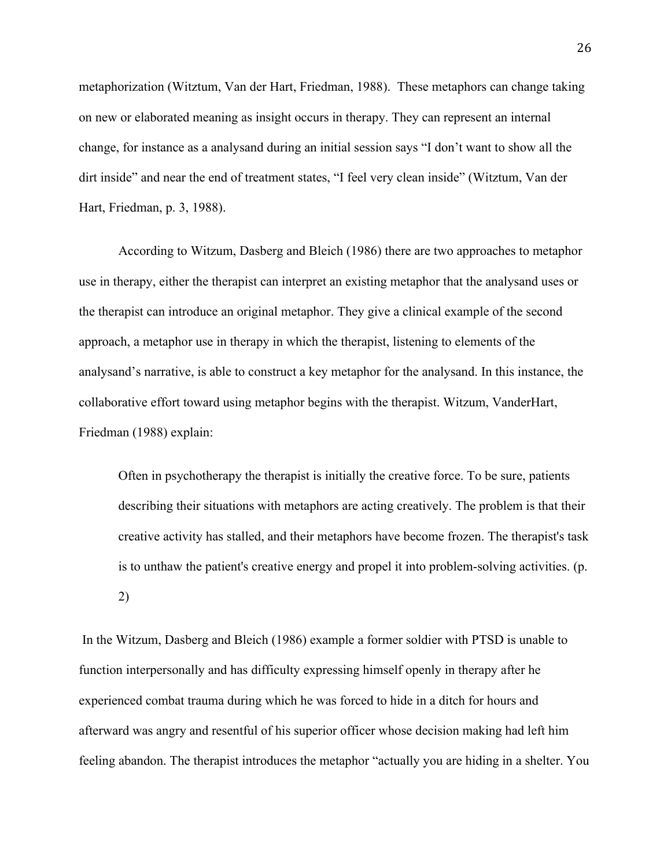metaphorization (Witztum, Van der Hart, Friedman, 1988). These metaphors can change taking on new or elaborated meaning as insight occurs in therapy. They can represent an internal change, for instance as a analysand during an initial session says "I don't want to show all the dirt inside" and near the end of treatment states, "I feel very clean inside" (Witztum, Van der Hart, Friedman, p. 3, 1988).

According to Witzum, Dasberg and Bleich (1986) there are two approaches to metaphor use in therapy, either the therapist can interpret an existing metaphor that the analysand uses or the therapist can introduce an original metaphor. They give a clinical example of the second approach, a metaphor use in therapy in which the therapist, listening to elements of the analysand's narrative, is able to construct a key metaphor for the analysand. In this instance, the collaborative effort toward using metaphor begins with the therapist. Witzum, VanderHart, Friedman (1988) explain:

Often in psychotherapy the therapist is initially the creative force. To be sure, patients describing their situations with metaphors are acting creatively. The problem is that their creative activity has stalled, and their metaphors have become frozen. The therapist's task is to unthaw the patient's creative energy and propel it into problem-solving activities. (p. 2)

In the Witzum, Dasberg and Bleich (1986) example a former soldier with PTSD is unable to function interpersonally and has difficulty expressing himself openly in therapy after he experienced combat trauma during which he was forced to hide in a ditch for hours and afterward was angry and resentful of his superior officer whose decision making had left him feeling abandon. The therapist introduces the metaphor "actually you are hiding in a shelter. You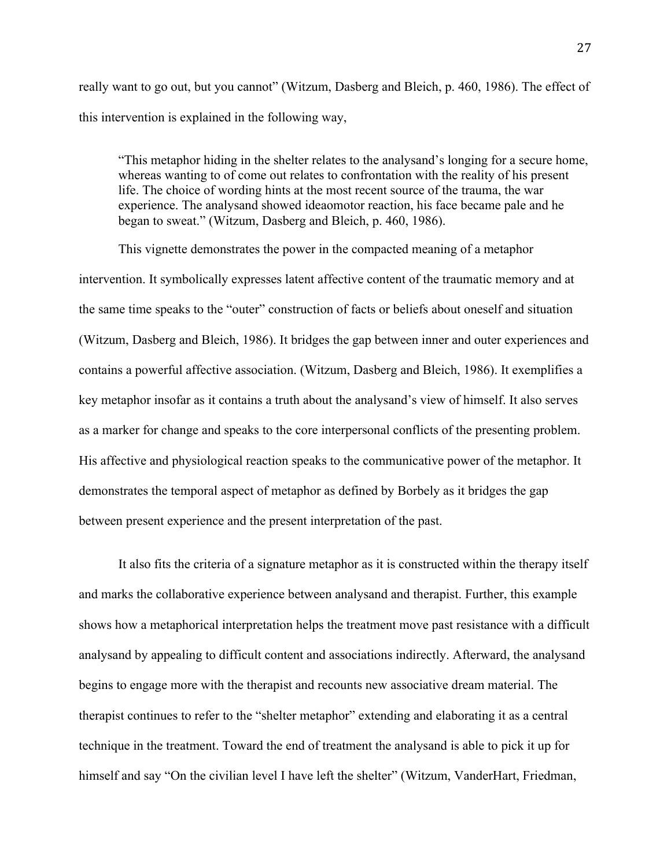really want to go out, but you cannot" (Witzum, Dasberg and Bleich, p. 460, 1986). The effect of this intervention is explained in the following way,

"This metaphor hiding in the shelter relates to the analysand's longing for a secure home, whereas wanting to of come out relates to confrontation with the reality of his present life. The choice of wording hints at the most recent source of the trauma, the war experience. The analysand showed ideaomotor reaction, his face became pale and he began to sweat." (Witzum, Dasberg and Bleich, p. 460, 1986).

This vignette demonstrates the power in the compacted meaning of a metaphor intervention. It symbolically expresses latent affective content of the traumatic memory and at the same time speaks to the "outer" construction of facts or beliefs about oneself and situation (Witzum, Dasberg and Bleich, 1986). It bridges the gap between inner and outer experiences and contains a powerful affective association. (Witzum, Dasberg and Bleich, 1986). It exemplifies a key metaphor insofar as it contains a truth about the analysand's view of himself. It also serves as a marker for change and speaks to the core interpersonal conflicts of the presenting problem. His affective and physiological reaction speaks to the communicative power of the metaphor. It demonstrates the temporal aspect of metaphor as defined by Borbely as it bridges the gap between present experience and the present interpretation of the past.

It also fits the criteria of a signature metaphor as it is constructed within the therapy itself and marks the collaborative experience between analysand and therapist. Further, this example shows how a metaphorical interpretation helps the treatment move past resistance with a difficult analysand by appealing to difficult content and associations indirectly. Afterward, the analysand begins to engage more with the therapist and recounts new associative dream material. The therapist continues to refer to the "shelter metaphor" extending and elaborating it as a central technique in the treatment. Toward the end of treatment the analysand is able to pick it up for himself and say "On the civilian level I have left the shelter" (Witzum, VanderHart, Friedman,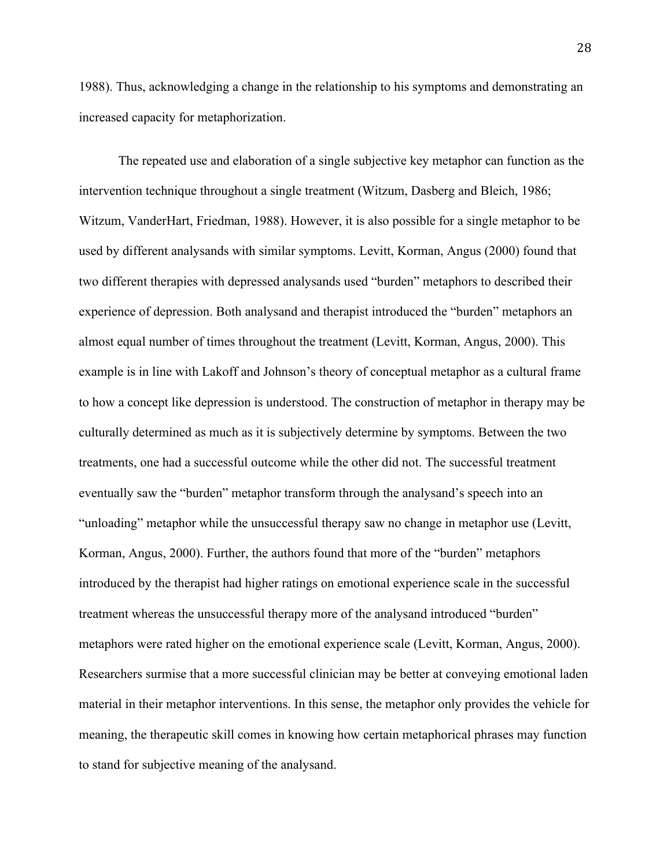1988). Thus, acknowledging a change in the relationship to his symptoms and demonstrating an increased capacity for metaphorization.

The repeated use and elaboration of a single subjective key metaphor can function as the intervention technique throughout a single treatment (Witzum, Dasberg and Bleich, 1986; Witzum, VanderHart, Friedman, 1988). However, it is also possible for a single metaphor to be used by different analysands with similar symptoms. Levitt, Korman, Angus (2000) found that two different therapies with depressed analysands used "burden" metaphors to described their experience of depression. Both analysand and therapist introduced the "burden" metaphors an almost equal number of times throughout the treatment (Levitt, Korman, Angus, 2000). This example is in line with Lakoff and Johnson's theory of conceptual metaphor as a cultural frame to how a concept like depression is understood. The construction of metaphor in therapy may be culturally determined as much as it is subjectively determine by symptoms. Between the two treatments, one had a successful outcome while the other did not. The successful treatment eventually saw the "burden" metaphor transform through the analysand's speech into an "unloading" metaphor while the unsuccessful therapy saw no change in metaphor use (Levitt, Korman, Angus, 2000). Further, the authors found that more of the "burden" metaphors introduced by the therapist had higher ratings on emotional experience scale in the successful treatment whereas the unsuccessful therapy more of the analysand introduced "burden" metaphors were rated higher on the emotional experience scale (Levitt, Korman, Angus, 2000). Researchers surmise that a more successful clinician may be better at conveying emotional laden material in their metaphor interventions. In this sense, the metaphor only provides the vehicle for meaning, the therapeutic skill comes in knowing how certain metaphorical phrases may function to stand for subjective meaning of the analysand.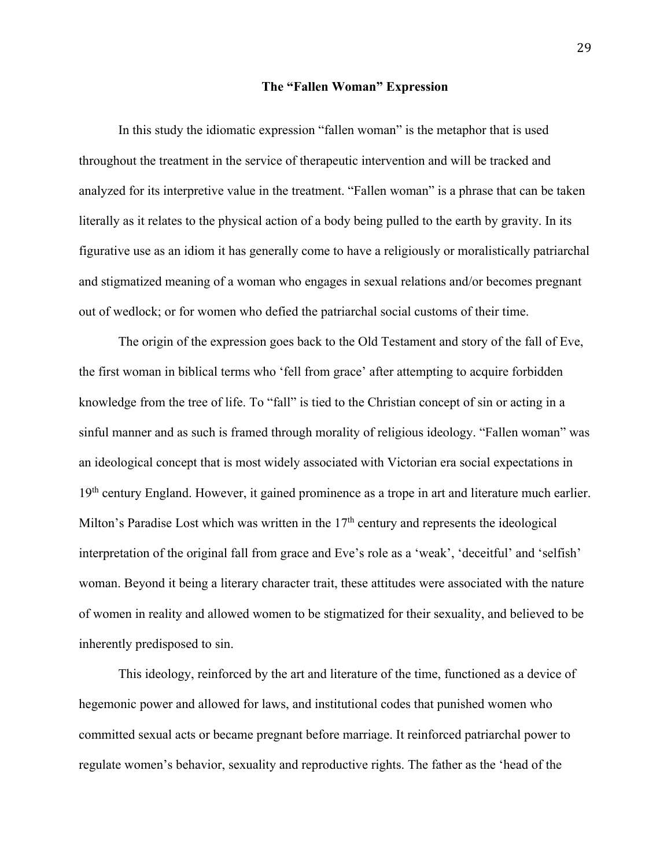#### **The "Fallen Woman" Expression**

In this study the idiomatic expression "fallen woman" is the metaphor that is used throughout the treatment in the service of therapeutic intervention and will be tracked and analyzed for its interpretive value in the treatment. "Fallen woman" is a phrase that can be taken literally as it relates to the physical action of a body being pulled to the earth by gravity. In its figurative use as an idiom it has generally come to have a religiously or moralistically patriarchal and stigmatized meaning of a woman who engages in sexual relations and/or becomes pregnant out of wedlock; or for women who defied the patriarchal social customs of their time.

The origin of the expression goes back to the Old Testament and story of the fall of Eve, the first woman in biblical terms who 'fell from grace' after attempting to acquire forbidden knowledge from the tree of life. To "fall" is tied to the Christian concept of sin or acting in a sinful manner and as such is framed through morality of religious ideology. "Fallen woman" was an ideological concept that is most widely associated with Victorian era social expectations in 19<sup>th</sup> century England. However, it gained prominence as a trope in art and literature much earlier. Milton's Paradise Lost which was written in the  $17<sup>th</sup>$  century and represents the ideological interpretation of the original fall from grace and Eve's role as a 'weak', 'deceitful' and 'selfish' woman. Beyond it being a literary character trait, these attitudes were associated with the nature of women in reality and allowed women to be stigmatized for their sexuality, and believed to be inherently predisposed to sin.

This ideology, reinforced by the art and literature of the time, functioned as a device of hegemonic power and allowed for laws, and institutional codes that punished women who committed sexual acts or became pregnant before marriage. It reinforced patriarchal power to regulate women's behavior, sexuality and reproductive rights. The father as the 'head of the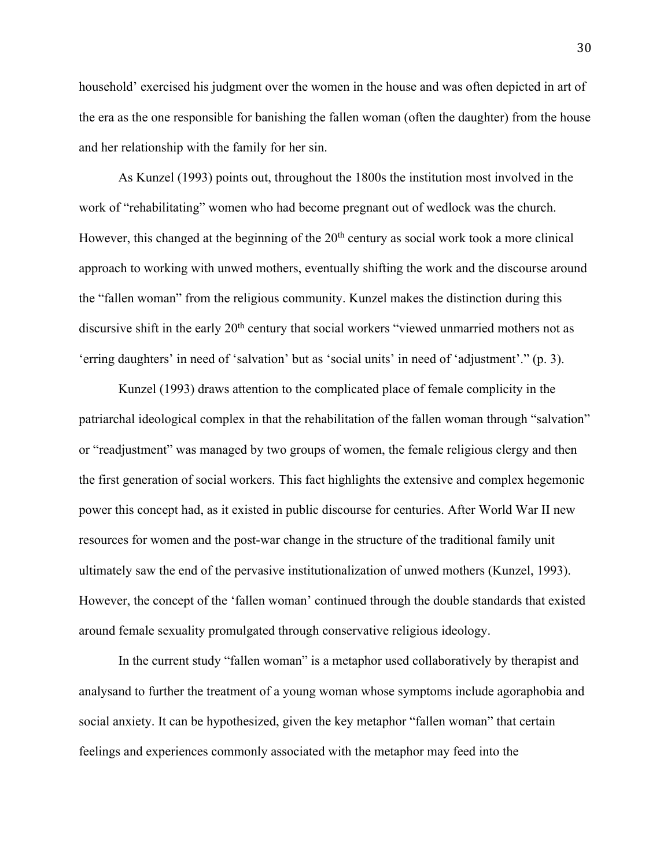household' exercised his judgment over the women in the house and was often depicted in art of the era as the one responsible for banishing the fallen woman (often the daughter) from the house and her relationship with the family for her sin.

As Kunzel (1993) points out, throughout the 1800s the institution most involved in the work of "rehabilitating" women who had become pregnant out of wedlock was the church. However, this changed at the beginning of the  $20<sup>th</sup>$  century as social work took a more clinical approach to working with unwed mothers, eventually shifting the work and the discourse around the "fallen woman" from the religious community. Kunzel makes the distinction during this discursive shift in the early 20<sup>th</sup> century that social workers "viewed unmarried mothers not as 'erring daughters' in need of 'salvation' but as 'social units' in need of 'adjustment'." (p. 3).

Kunzel (1993) draws attention to the complicated place of female complicity in the patriarchal ideological complex in that the rehabilitation of the fallen woman through "salvation" or "readjustment" was managed by two groups of women, the female religious clergy and then the first generation of social workers. This fact highlights the extensive and complex hegemonic power this concept had, as it existed in public discourse for centuries. After World War II new resources for women and the post-war change in the structure of the traditional family unit ultimately saw the end of the pervasive institutionalization of unwed mothers (Kunzel, 1993). However, the concept of the 'fallen woman' continued through the double standards that existed around female sexuality promulgated through conservative religious ideology.

In the current study "fallen woman" is a metaphor used collaboratively by therapist and analysand to further the treatment of a young woman whose symptoms include agoraphobia and social anxiety. It can be hypothesized, given the key metaphor "fallen woman" that certain feelings and experiences commonly associated with the metaphor may feed into the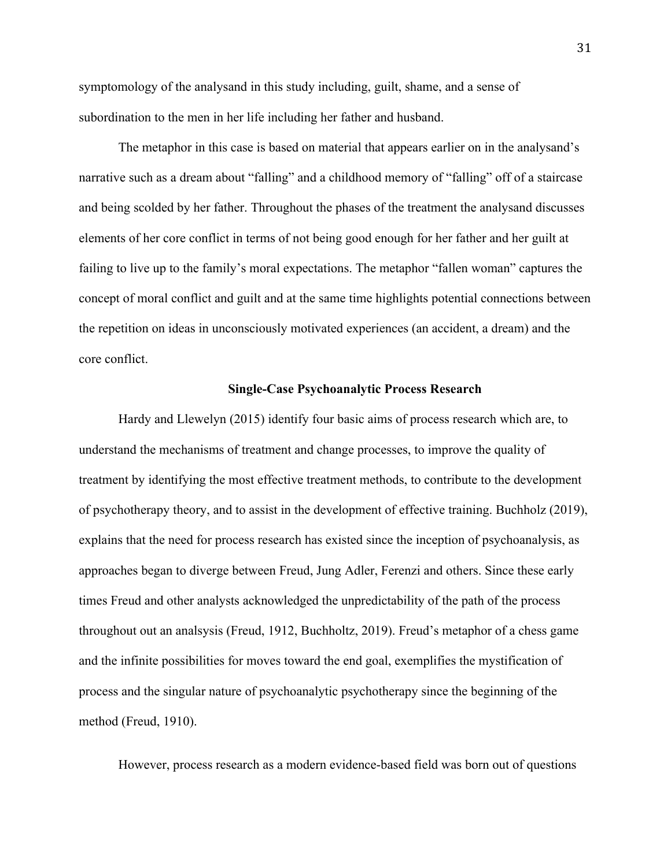symptomology of the analysand in this study including, guilt, shame, and a sense of subordination to the men in her life including her father and husband.

The metaphor in this case is based on material that appears earlier on in the analysand's narrative such as a dream about "falling" and a childhood memory of "falling" off of a staircase and being scolded by her father. Throughout the phases of the treatment the analysand discusses elements of her core conflict in terms of not being good enough for her father and her guilt at failing to live up to the family's moral expectations. The metaphor "fallen woman" captures the concept of moral conflict and guilt and at the same time highlights potential connections between the repetition on ideas in unconsciously motivated experiences (an accident, a dream) and the core conflict.

#### **Single-Case Psychoanalytic Process Research**

Hardy and Llewelyn (2015) identify four basic aims of process research which are, to understand the mechanisms of treatment and change processes, to improve the quality of treatment by identifying the most effective treatment methods, to contribute to the development of psychotherapy theory, and to assist in the development of effective training. Buchholz (2019), explains that the need for process research has existed since the inception of psychoanalysis, as approaches began to diverge between Freud, Jung Adler, Ferenzi and others. Since these early times Freud and other analysts acknowledged the unpredictability of the path of the process throughout out an analsysis (Freud, 1912, Buchholtz, 2019). Freud's metaphor of a chess game and the infinite possibilities for moves toward the end goal, exemplifies the mystification of process and the singular nature of psychoanalytic psychotherapy since the beginning of the method (Freud, 1910).

However, process research as a modern evidence-based field was born out of questions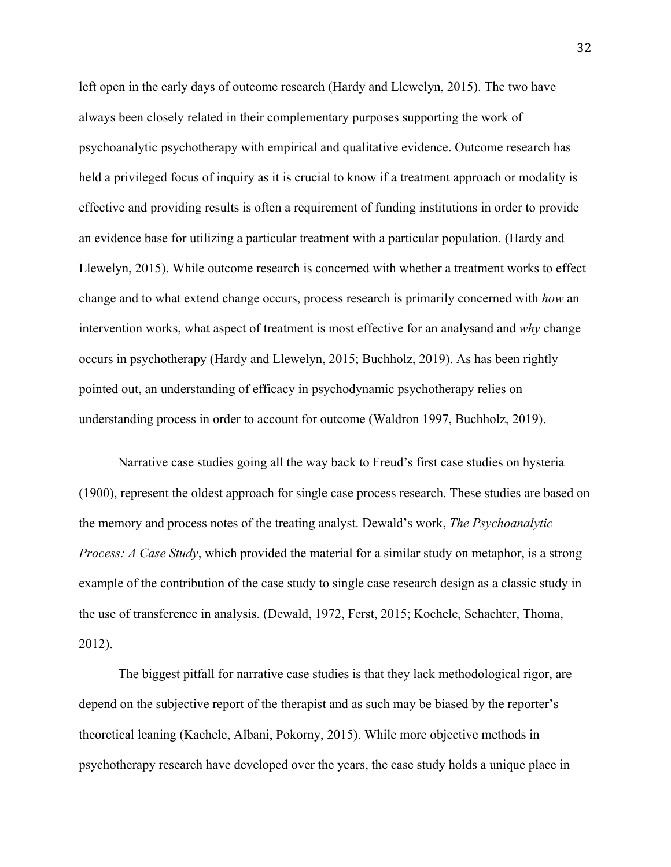left open in the early days of outcome research (Hardy and Llewelyn, 2015). The two have always been closely related in their complementary purposes supporting the work of psychoanalytic psychotherapy with empirical and qualitative evidence. Outcome research has held a privileged focus of inquiry as it is crucial to know if a treatment approach or modality is effective and providing results is often a requirement of funding institutions in order to provide an evidence base for utilizing a particular treatment with a particular population. (Hardy and Llewelyn, 2015). While outcome research is concerned with whether a treatment works to effect change and to what extend change occurs, process research is primarily concerned with *how* an intervention works, what aspect of treatment is most effective for an analysand and *why* change occurs in psychotherapy (Hardy and Llewelyn, 2015; Buchholz, 2019). As has been rightly pointed out, an understanding of efficacy in psychodynamic psychotherapy relies on understanding process in order to account for outcome (Waldron 1997, Buchholz, 2019).

Narrative case studies going all the way back to Freud's first case studies on hysteria (1900), represent the oldest approach for single case process research. These studies are based on the memory and process notes of the treating analyst. Dewald's work, *The Psychoanalytic Process: A Case Study*, which provided the material for a similar study on metaphor, is a strong example of the contribution of the case study to single case research design as a classic study in the use of transference in analysis. (Dewald, 1972, Ferst, 2015; Kochele, Schachter, Thoma, 2012).

The biggest pitfall for narrative case studies is that they lack methodological rigor, are depend on the subjective report of the therapist and as such may be biased by the reporter's theoretical leaning (Kachele, Albani, Pokorny, 2015). While more objective methods in psychotherapy research have developed over the years, the case study holds a unique place in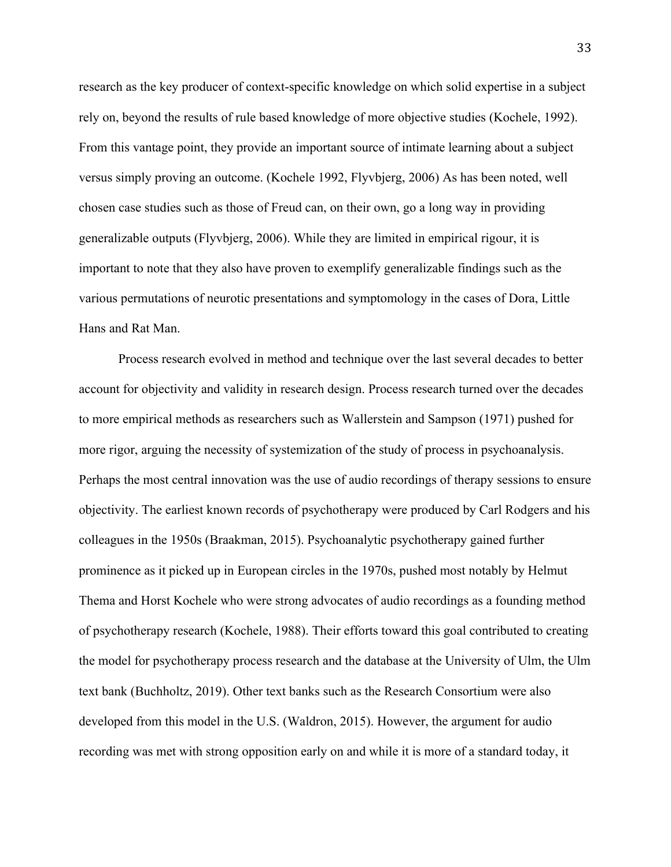research as the key producer of context-specific knowledge on which solid expertise in a subject rely on, beyond the results of rule based knowledge of more objective studies (Kochele, 1992). From this vantage point, they provide an important source of intimate learning about a subject versus simply proving an outcome. (Kochele 1992, Flyvbjerg, 2006) As has been noted, well chosen case studies such as those of Freud can, on their own, go a long way in providing generalizable outputs (Flyvbjerg, 2006). While they are limited in empirical rigour, it is important to note that they also have proven to exemplify generalizable findings such as the various permutations of neurotic presentations and symptomology in the cases of Dora, Little Hans and Rat Man.

Process research evolved in method and technique over the last several decades to better account for objectivity and validity in research design. Process research turned over the decades to more empirical methods as researchers such as Wallerstein and Sampson (1971) pushed for more rigor, arguing the necessity of systemization of the study of process in psychoanalysis. Perhaps the most central innovation was the use of audio recordings of therapy sessions to ensure objectivity. The earliest known records of psychotherapy were produced by Carl Rodgers and his colleagues in the 1950s (Braakman, 2015). Psychoanalytic psychotherapy gained further prominence as it picked up in European circles in the 1970s, pushed most notably by Helmut Thema and Horst Kochele who were strong advocates of audio recordings as a founding method of psychotherapy research (Kochele, 1988). Their efforts toward this goal contributed to creating the model for psychotherapy process research and the database at the University of Ulm, the Ulm text bank (Buchholtz, 2019). Other text banks such as the Research Consortium were also developed from this model in the U.S. (Waldron, 2015). However, the argument for audio recording was met with strong opposition early on and while it is more of a standard today, it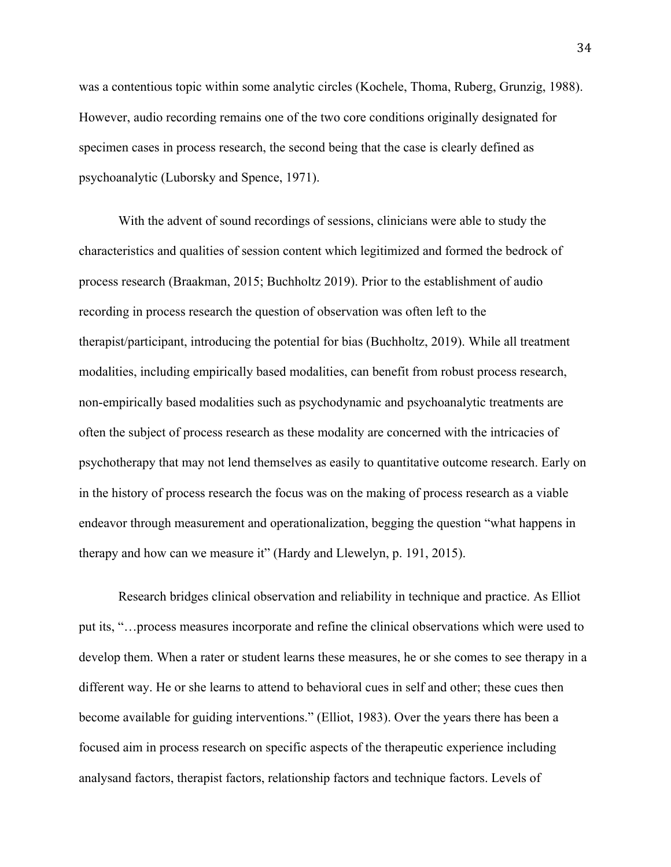was a contentious topic within some analytic circles (Kochele, Thoma, Ruberg, Grunzig, 1988). However, audio recording remains one of the two core conditions originally designated for specimen cases in process research, the second being that the case is clearly defined as psychoanalytic (Luborsky and Spence, 1971).

With the advent of sound recordings of sessions, clinicians were able to study the characteristics and qualities of session content which legitimized and formed the bedrock of process research (Braakman, 2015; Buchholtz 2019). Prior to the establishment of audio recording in process research the question of observation was often left to the therapist/participant, introducing the potential for bias (Buchholtz, 2019). While all treatment modalities, including empirically based modalities, can benefit from robust process research, non-empirically based modalities such as psychodynamic and psychoanalytic treatments are often the subject of process research as these modality are concerned with the intricacies of psychotherapy that may not lend themselves as easily to quantitative outcome research. Early on in the history of process research the focus was on the making of process research as a viable endeavor through measurement and operationalization, begging the question "what happens in therapy and how can we measure it" (Hardy and Llewelyn, p. 191, 2015).

Research bridges clinical observation and reliability in technique and practice. As Elliot put its, "…process measures incorporate and refine the clinical observations which were used to develop them. When a rater or student learns these measures, he or she comes to see therapy in a different way. He or she learns to attend to behavioral cues in self and other; these cues then become available for guiding interventions." (Elliot, 1983). Over the years there has been a focused aim in process research on specific aspects of the therapeutic experience including analysand factors, therapist factors, relationship factors and technique factors. Levels of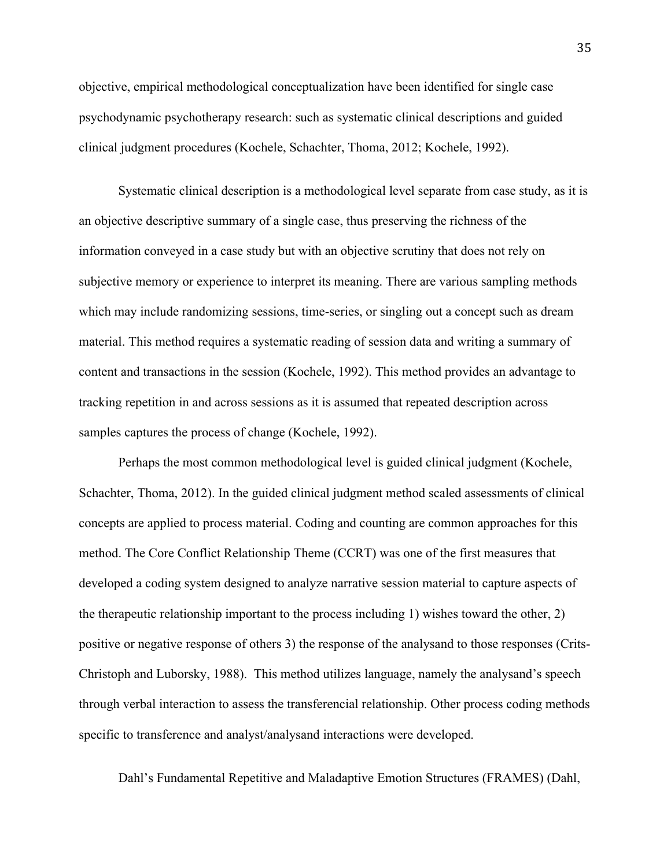objective, empirical methodological conceptualization have been identified for single case psychodynamic psychotherapy research: such as systematic clinical descriptions and guided clinical judgment procedures (Kochele, Schachter, Thoma, 2012; Kochele, 1992).

Systematic clinical description is a methodological level separate from case study, as it is an objective descriptive summary of a single case, thus preserving the richness of the information conveyed in a case study but with an objective scrutiny that does not rely on subjective memory or experience to interpret its meaning. There are various sampling methods which may include randomizing sessions, time-series, or singling out a concept such as dream material. This method requires a systematic reading of session data and writing a summary of content and transactions in the session (Kochele, 1992). This method provides an advantage to tracking repetition in and across sessions as it is assumed that repeated description across samples captures the process of change (Kochele, 1992).

Perhaps the most common methodological level is guided clinical judgment (Kochele, Schachter, Thoma, 2012). In the guided clinical judgment method scaled assessments of clinical concepts are applied to process material. Coding and counting are common approaches for this method. The Core Conflict Relationship Theme (CCRT) was one of the first measures that developed a coding system designed to analyze narrative session material to capture aspects of the therapeutic relationship important to the process including 1) wishes toward the other, 2) positive or negative response of others 3) the response of the analysand to those responses (Crits-Christoph and Luborsky, 1988). This method utilizes language, namely the analysand's speech through verbal interaction to assess the transferencial relationship. Other process coding methods specific to transference and analyst/analysand interactions were developed.

Dahl's Fundamental Repetitive and Maladaptive Emotion Structures (FRAMES) (Dahl,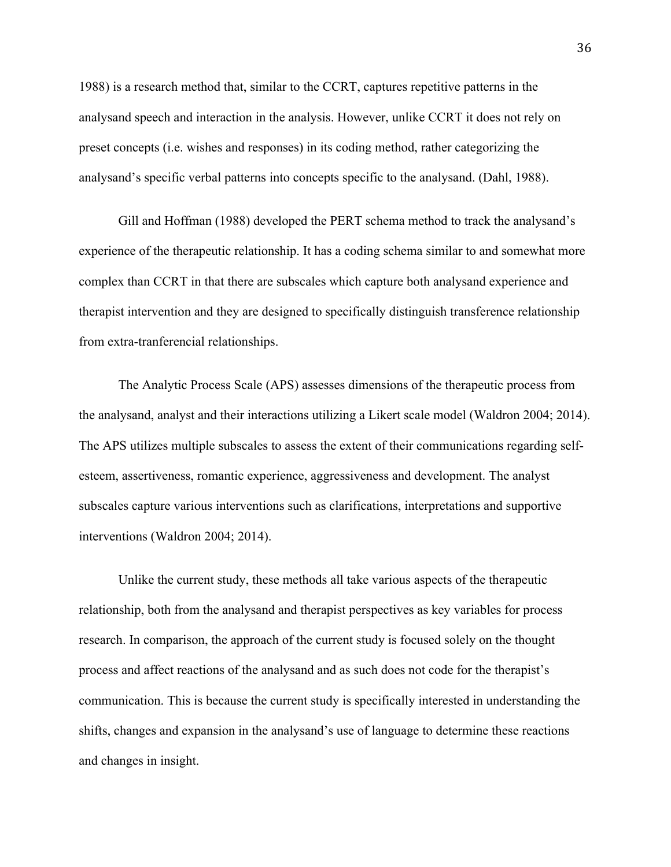1988) is a research method that, similar to the CCRT, captures repetitive patterns in the analysand speech and interaction in the analysis. However, unlike CCRT it does not rely on preset concepts (i.e. wishes and responses) in its coding method, rather categorizing the analysand's specific verbal patterns into concepts specific to the analysand. (Dahl, 1988).

Gill and Hoffman (1988) developed the PERT schema method to track the analysand's experience of the therapeutic relationship. It has a coding schema similar to and somewhat more complex than CCRT in that there are subscales which capture both analysand experience and therapist intervention and they are designed to specifically distinguish transference relationship from extra-tranferencial relationships.

The Analytic Process Scale (APS) assesses dimensions of the therapeutic process from the analysand, analyst and their interactions utilizing a Likert scale model (Waldron 2004; 2014). The APS utilizes multiple subscales to assess the extent of their communications regarding selfesteem, assertiveness, romantic experience, aggressiveness and development. The analyst subscales capture various interventions such as clarifications, interpretations and supportive interventions (Waldron 2004; 2014).

Unlike the current study, these methods all take various aspects of the therapeutic relationship, both from the analysand and therapist perspectives as key variables for process research. In comparison, the approach of the current study is focused solely on the thought process and affect reactions of the analysand and as such does not code for the therapist's communication. This is because the current study is specifically interested in understanding the shifts, changes and expansion in the analysand's use of language to determine these reactions and changes in insight.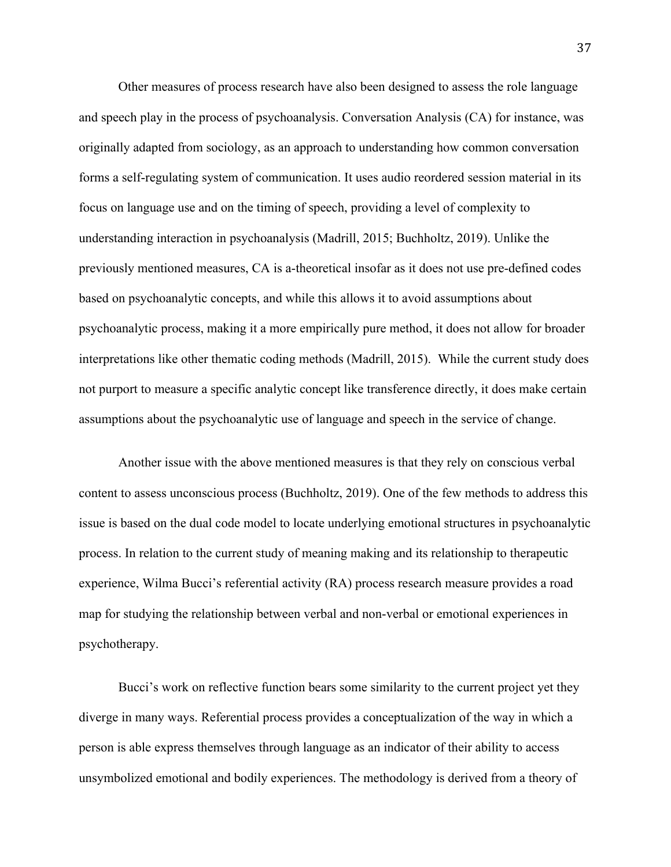Other measures of process research have also been designed to assess the role language and speech play in the process of psychoanalysis. Conversation Analysis (CA) for instance, was originally adapted from sociology, as an approach to understanding how common conversation forms a self-regulating system of communication. It uses audio reordered session material in its focus on language use and on the timing of speech, providing a level of complexity to understanding interaction in psychoanalysis (Madrill, 2015; Buchholtz, 2019). Unlike the previously mentioned measures, CA is a-theoretical insofar as it does not use pre-defined codes based on psychoanalytic concepts, and while this allows it to avoid assumptions about psychoanalytic process, making it a more empirically pure method, it does not allow for broader interpretations like other thematic coding methods (Madrill, 2015). While the current study does not purport to measure a specific analytic concept like transference directly, it does make certain assumptions about the psychoanalytic use of language and speech in the service of change.

Another issue with the above mentioned measures is that they rely on conscious verbal content to assess unconscious process (Buchholtz, 2019). One of the few methods to address this issue is based on the dual code model to locate underlying emotional structures in psychoanalytic process. In relation to the current study of meaning making and its relationship to therapeutic experience, Wilma Bucci's referential activity (RA) process research measure provides a road map for studying the relationship between verbal and non-verbal or emotional experiences in psychotherapy.

Bucci's work on reflective function bears some similarity to the current project yet they diverge in many ways. Referential process provides a conceptualization of the way in which a person is able express themselves through language as an indicator of their ability to access unsymbolized emotional and bodily experiences. The methodology is derived from a theory of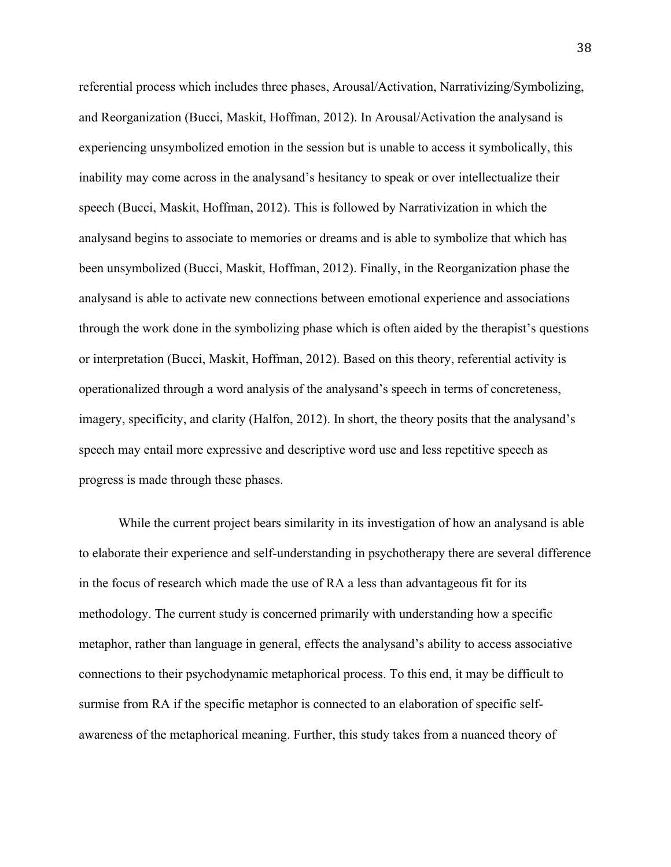referential process which includes three phases, Arousal/Activation, Narrativizing/Symbolizing, and Reorganization (Bucci, Maskit, Hoffman, 2012). In Arousal/Activation the analysand is experiencing unsymbolized emotion in the session but is unable to access it symbolically, this inability may come across in the analysand's hesitancy to speak or over intellectualize their speech (Bucci, Maskit, Hoffman, 2012). This is followed by Narrativization in which the analysand begins to associate to memories or dreams and is able to symbolize that which has been unsymbolized (Bucci, Maskit, Hoffman, 2012). Finally, in the Reorganization phase the analysand is able to activate new connections between emotional experience and associations through the work done in the symbolizing phase which is often aided by the therapist's questions or interpretation (Bucci, Maskit, Hoffman, 2012). Based on this theory, referential activity is operationalized through a word analysis of the analysand's speech in terms of concreteness, imagery, specificity, and clarity (Halfon, 2012). In short, the theory posits that the analysand's speech may entail more expressive and descriptive word use and less repetitive speech as progress is made through these phases.

While the current project bears similarity in its investigation of how an analysand is able to elaborate their experience and self-understanding in psychotherapy there are several difference in the focus of research which made the use of RA a less than advantageous fit for its methodology. The current study is concerned primarily with understanding how a specific metaphor, rather than language in general, effects the analysand's ability to access associative connections to their psychodynamic metaphorical process. To this end, it may be difficult to surmise from RA if the specific metaphor is connected to an elaboration of specific selfawareness of the metaphorical meaning. Further, this study takes from a nuanced theory of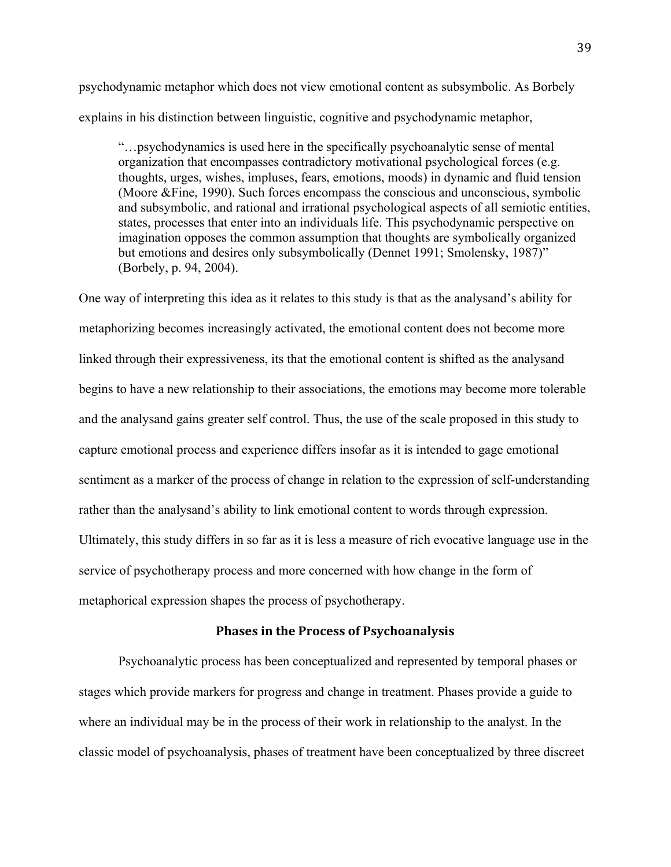psychodynamic metaphor which does not view emotional content as subsymbolic. As Borbely explains in his distinction between linguistic, cognitive and psychodynamic metaphor,

"…psychodynamics is used here in the specifically psychoanalytic sense of mental organization that encompasses contradictory motivational psychological forces (e.g. thoughts, urges, wishes, impluses, fears, emotions, moods) in dynamic and fluid tension (Moore &Fine, 1990). Such forces encompass the conscious and unconscious, symbolic and subsymbolic, and rational and irrational psychological aspects of all semiotic entities, states, processes that enter into an individuals life. This psychodynamic perspective on imagination opposes the common assumption that thoughts are symbolically organized but emotions and desires only subsymbolically (Dennet 1991; Smolensky, 1987)" (Borbely, p. 94, 2004).

One way of interpreting this idea as it relates to this study is that as the analysand's ability for metaphorizing becomes increasingly activated, the emotional content does not become more linked through their expressiveness, its that the emotional content is shifted as the analysand begins to have a new relationship to their associations, the emotions may become more tolerable and the analysand gains greater self control. Thus, the use of the scale proposed in this study to capture emotional process and experience differs insofar as it is intended to gage emotional sentiment as a marker of the process of change in relation to the expression of self-understanding rather than the analysand's ability to link emotional content to words through expression. Ultimately, this study differs in so far as it is less a measure of rich evocative language use in the service of psychotherapy process and more concerned with how change in the form of metaphorical expression shapes the process of psychotherapy.

#### **Phases in the Process of Psychoanalysis**

Psychoanalytic process has been conceptualized and represented by temporal phases or stages which provide markers for progress and change in treatment. Phases provide a guide to where an individual may be in the process of their work in relationship to the analyst. In the classic model of psychoanalysis, phases of treatment have been conceptualized by three discreet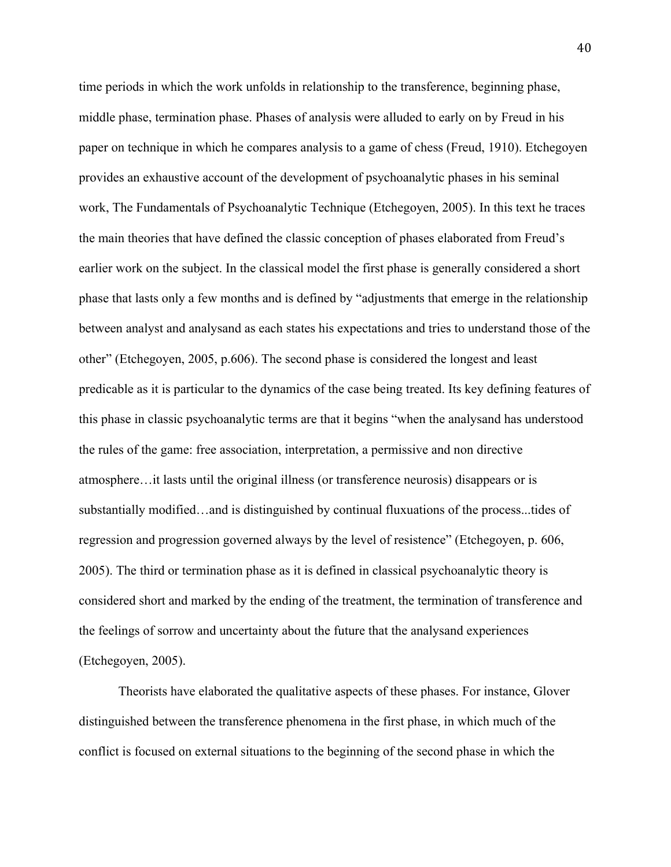time periods in which the work unfolds in relationship to the transference, beginning phase, middle phase, termination phase. Phases of analysis were alluded to early on by Freud in his paper on technique in which he compares analysis to a game of chess (Freud, 1910). Etchegoyen provides an exhaustive account of the development of psychoanalytic phases in his seminal work, The Fundamentals of Psychoanalytic Technique (Etchegoyen, 2005). In this text he traces the main theories that have defined the classic conception of phases elaborated from Freud's earlier work on the subject. In the classical model the first phase is generally considered a short phase that lasts only a few months and is defined by "adjustments that emerge in the relationship between analyst and analysand as each states his expectations and tries to understand those of the other" (Etchegoyen, 2005, p.606). The second phase is considered the longest and least predicable as it is particular to the dynamics of the case being treated. Its key defining features of this phase in classic psychoanalytic terms are that it begins "when the analysand has understood the rules of the game: free association, interpretation, a permissive and non directive atmosphere…it lasts until the original illness (or transference neurosis) disappears or is substantially modified…and is distinguished by continual fluxuations of the process...tides of regression and progression governed always by the level of resistence" (Etchegoyen, p. 606, 2005). The third or termination phase as it is defined in classical psychoanalytic theory is considered short and marked by the ending of the treatment, the termination of transference and the feelings of sorrow and uncertainty about the future that the analysand experiences (Etchegoyen, 2005).

Theorists have elaborated the qualitative aspects of these phases. For instance, Glover distinguished between the transference phenomena in the first phase, in which much of the conflict is focused on external situations to the beginning of the second phase in which the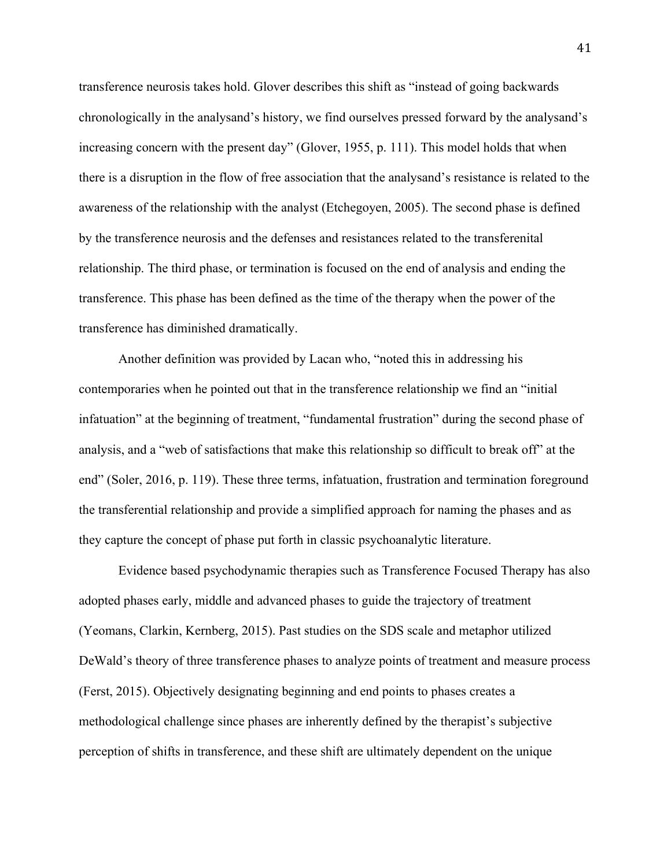transference neurosis takes hold. Glover describes this shift as "instead of going backwards chronologically in the analysand's history, we find ourselves pressed forward by the analysand's increasing concern with the present day" (Glover, 1955, p. 111). This model holds that when there is a disruption in the flow of free association that the analysand's resistance is related to the awareness of the relationship with the analyst (Etchegoyen, 2005). The second phase is defined by the transference neurosis and the defenses and resistances related to the transferenital relationship. The third phase, or termination is focused on the end of analysis and ending the transference. This phase has been defined as the time of the therapy when the power of the transference has diminished dramatically.

Another definition was provided by Lacan who, "noted this in addressing his contemporaries when he pointed out that in the transference relationship we find an "initial infatuation" at the beginning of treatment, "fundamental frustration" during the second phase of analysis, and a "web of satisfactions that make this relationship so difficult to break off" at the end" (Soler, 2016, p. 119). These three terms, infatuation, frustration and termination foreground the transferential relationship and provide a simplified approach for naming the phases and as they capture the concept of phase put forth in classic psychoanalytic literature.

Evidence based psychodynamic therapies such as Transference Focused Therapy has also adopted phases early, middle and advanced phases to guide the trajectory of treatment (Yeomans, Clarkin, Kernberg, 2015). Past studies on the SDS scale and metaphor utilized DeWald's theory of three transference phases to analyze points of treatment and measure process (Ferst, 2015). Objectively designating beginning and end points to phases creates a methodological challenge since phases are inherently defined by the therapist's subjective perception of shifts in transference, and these shift are ultimately dependent on the unique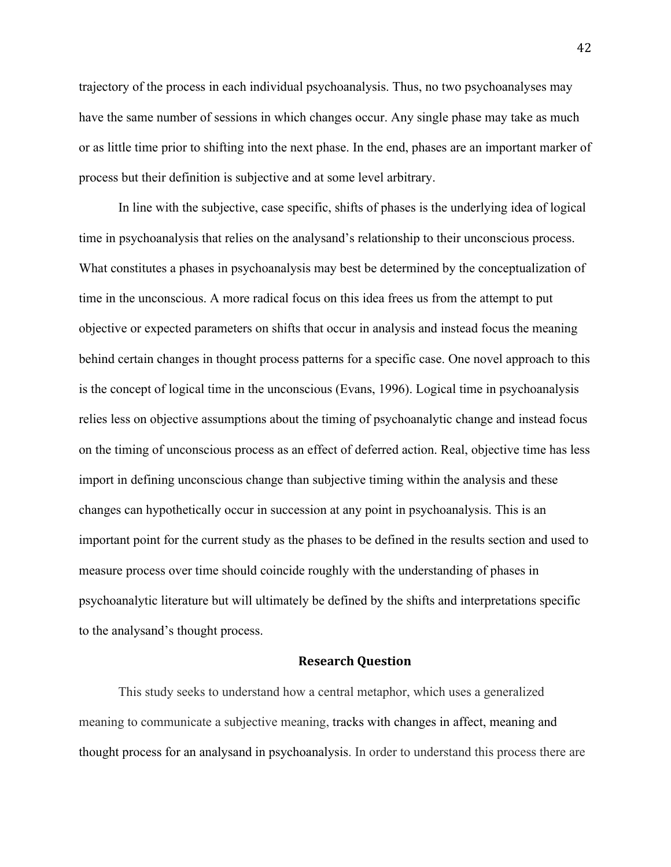trajectory of the process in each individual psychoanalysis. Thus, no two psychoanalyses may have the same number of sessions in which changes occur. Any single phase may take as much or as little time prior to shifting into the next phase. In the end, phases are an important marker of process but their definition is subjective and at some level arbitrary.

In line with the subjective, case specific, shifts of phases is the underlying idea of logical time in psychoanalysis that relies on the analysand's relationship to their unconscious process. What constitutes a phases in psychoanalysis may best be determined by the conceptualization of time in the unconscious. A more radical focus on this idea frees us from the attempt to put objective or expected parameters on shifts that occur in analysis and instead focus the meaning behind certain changes in thought process patterns for a specific case. One novel approach to this is the concept of logical time in the unconscious (Evans, 1996). Logical time in psychoanalysis relies less on objective assumptions about the timing of psychoanalytic change and instead focus on the timing of unconscious process as an effect of deferred action. Real, objective time has less import in defining unconscious change than subjective timing within the analysis and these changes can hypothetically occur in succession at any point in psychoanalysis. This is an important point for the current study as the phases to be defined in the results section and used to measure process over time should coincide roughly with the understanding of phases in psychoanalytic literature but will ultimately be defined by the shifts and interpretations specific to the analysand's thought process.

# **Research Question**

This study seeks to understand how a central metaphor, which uses a generalized meaning to communicate a subjective meaning, tracks with changes in affect, meaning and thought process for an analysand in psychoanalysis. In order to understand this process there are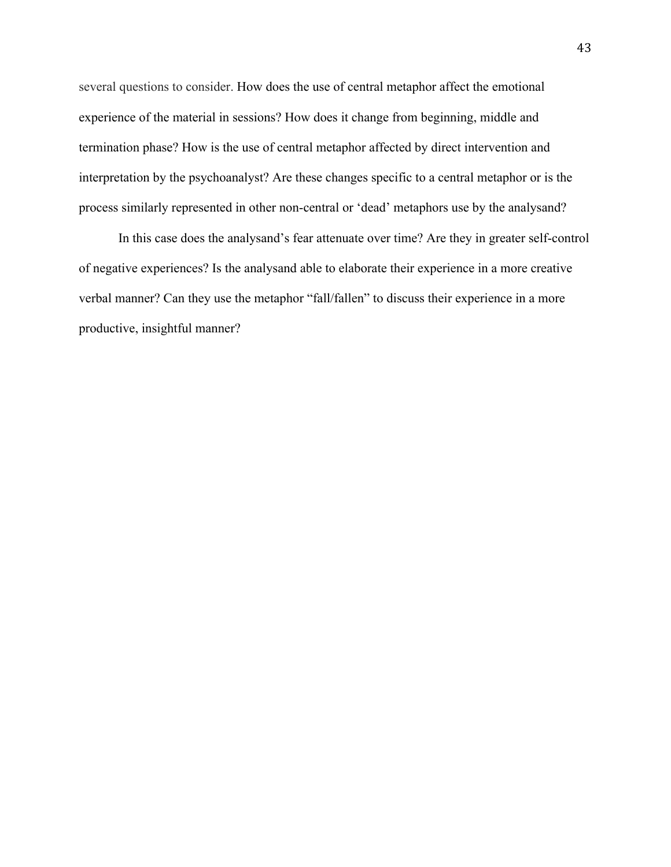several questions to consider. How does the use of central metaphor affect the emotional experience of the material in sessions? How does it change from beginning, middle and termination phase? How is the use of central metaphor affected by direct intervention and interpretation by the psychoanalyst? Are these changes specific to a central metaphor or is the process similarly represented in other non-central or 'dead' metaphors use by the analysand?

In this case does the analysand's fear attenuate over time? Are they in greater self-control of negative experiences? Is the analysand able to elaborate their experience in a more creative verbal manner? Can they use the metaphor "fall/fallen" to discuss their experience in a more productive, insightful manner?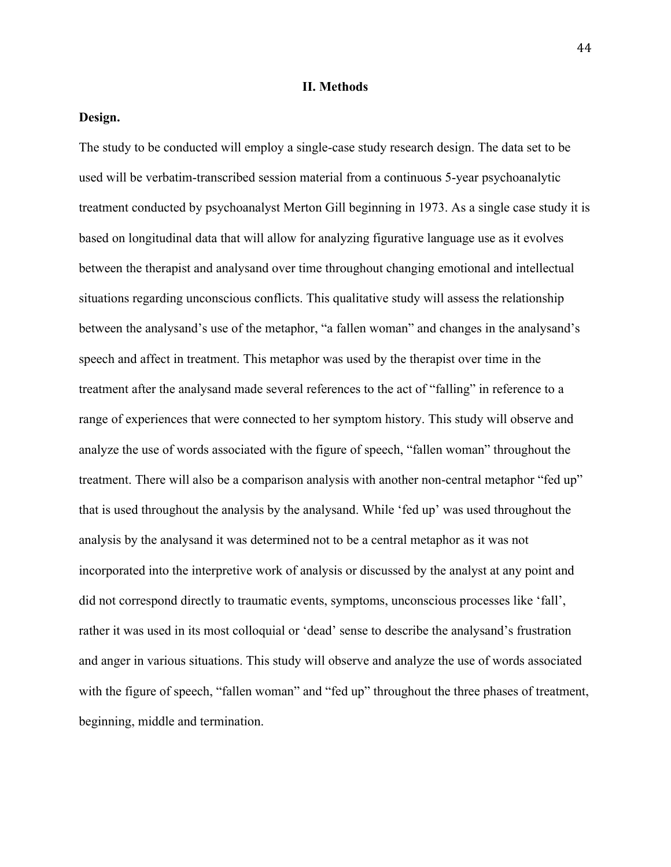## **II. Methods**

# **Design.**

The study to be conducted will employ a single-case study research design. The data set to be used will be verbatim-transcribed session material from a continuous 5-year psychoanalytic treatment conducted by psychoanalyst Merton Gill beginning in 1973. As a single case study it is based on longitudinal data that will allow for analyzing figurative language use as it evolves between the therapist and analysand over time throughout changing emotional and intellectual situations regarding unconscious conflicts. This qualitative study will assess the relationship between the analysand's use of the metaphor, "a fallen woman" and changes in the analysand's speech and affect in treatment. This metaphor was used by the therapist over time in the treatment after the analysand made several references to the act of "falling" in reference to a range of experiences that were connected to her symptom history. This study will observe and analyze the use of words associated with the figure of speech, "fallen woman" throughout the treatment. There will also be a comparison analysis with another non-central metaphor "fed up" that is used throughout the analysis by the analysand. While 'fed up' was used throughout the analysis by the analysand it was determined not to be a central metaphor as it was not incorporated into the interpretive work of analysis or discussed by the analyst at any point and did not correspond directly to traumatic events, symptoms, unconscious processes like 'fall', rather it was used in its most colloquial or 'dead' sense to describe the analysand's frustration and anger in various situations. This study will observe and analyze the use of words associated with the figure of speech, "fallen woman" and "fed up" throughout the three phases of treatment, beginning, middle and termination.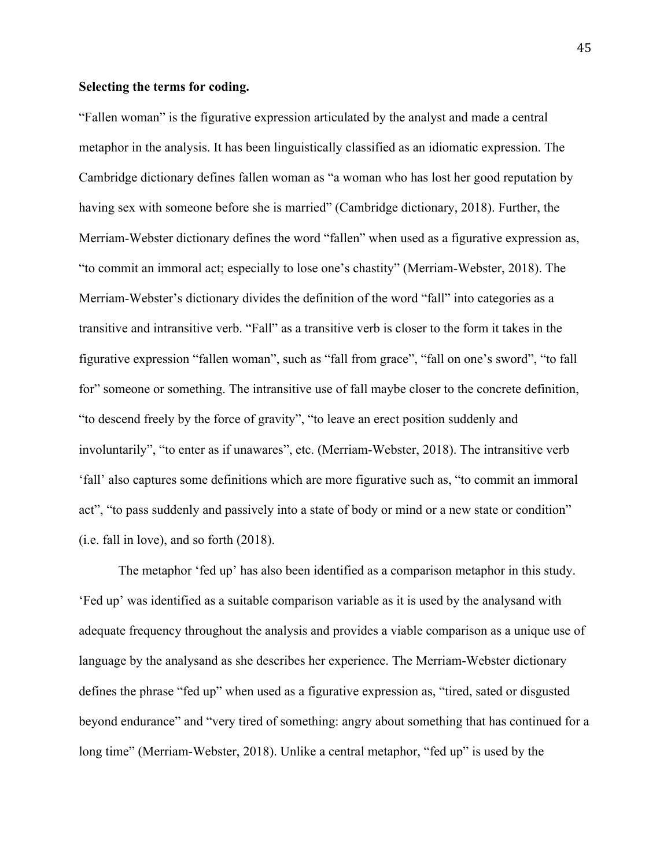#### **Selecting the terms for coding.**

"Fallen woman" is the figurative expression articulated by the analyst and made a central metaphor in the analysis. It has been linguistically classified as an idiomatic expression. The Cambridge dictionary defines fallen woman as "a woman who has lost her good reputation by having sex with someone before she is married" (Cambridge dictionary, 2018). Further, the Merriam-Webster dictionary defines the word "fallen" when used as a figurative expression as, "to commit an immoral act; especially to lose one's chastity" (Merriam-Webster, 2018). The Merriam-Webster's dictionary divides the definition of the word "fall" into categories as a transitive and intransitive verb. "Fall" as a transitive verb is closer to the form it takes in the figurative expression "fallen woman", such as "fall from grace", "fall on one's sword", "to fall for" someone or something. The intransitive use of fall maybe closer to the concrete definition, "to descend freely by the force of gravity", "to leave an erect position suddenly and involuntarily", "to enter as if unawares", etc. (Merriam-Webster, 2018). The intransitive verb 'fall' also captures some definitions which are more figurative such as, "to commit an immoral act", "to pass suddenly and passively into a state of body or mind or a new state or condition" (i.e. fall in love), and so forth (2018).

The metaphor 'fed up' has also been identified as a comparison metaphor in this study. 'Fed up' was identified as a suitable comparison variable as it is used by the analysand with adequate frequency throughout the analysis and provides a viable comparison as a unique use of language by the analysand as she describes her experience. The Merriam-Webster dictionary defines the phrase "fed up" when used as a figurative expression as, "tired, sated or disgusted beyond endurance" and "very tired of something: angry about something that has continued for a long time" (Merriam-Webster, 2018). Unlike a central metaphor, "fed up" is used by the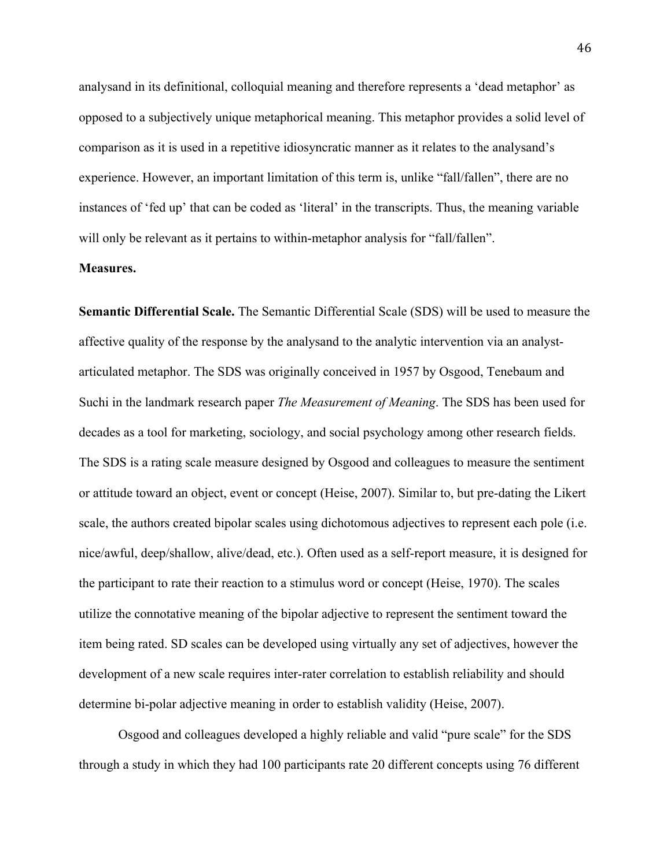analysand in its definitional, colloquial meaning and therefore represents a 'dead metaphor' as opposed to a subjectively unique metaphorical meaning. This metaphor provides a solid level of comparison as it is used in a repetitive idiosyncratic manner as it relates to the analysand's experience. However, an important limitation of this term is, unlike "fall/fallen", there are no instances of 'fed up' that can be coded as 'literal' in the transcripts. Thus, the meaning variable will only be relevant as it pertains to within-metaphor analysis for "fall/fallen".

#### **Measures.**

**Semantic Differential Scale.** The Semantic Differential Scale (SDS) will be used to measure the affective quality of the response by the analysand to the analytic intervention via an analystarticulated metaphor. The SDS was originally conceived in 1957 by Osgood, Tenebaum and Suchi in the landmark research paper *The Measurement of Meaning*. The SDS has been used for decades as a tool for marketing, sociology, and social psychology among other research fields. The SDS is a rating scale measure designed by Osgood and colleagues to measure the sentiment or attitude toward an object, event or concept (Heise, 2007). Similar to, but pre-dating the Likert scale, the authors created bipolar scales using dichotomous adjectives to represent each pole (i.e. nice/awful, deep/shallow, alive/dead, etc.). Often used as a self-report measure, it is designed for the participant to rate their reaction to a stimulus word or concept (Heise, 1970). The scales utilize the connotative meaning of the bipolar adjective to represent the sentiment toward the item being rated. SD scales can be developed using virtually any set of adjectives, however the development of a new scale requires inter-rater correlation to establish reliability and should determine bi-polar adjective meaning in order to establish validity (Heise, 2007).

Osgood and colleagues developed a highly reliable and valid "pure scale" for the SDS through a study in which they had 100 participants rate 20 different concepts using 76 different

46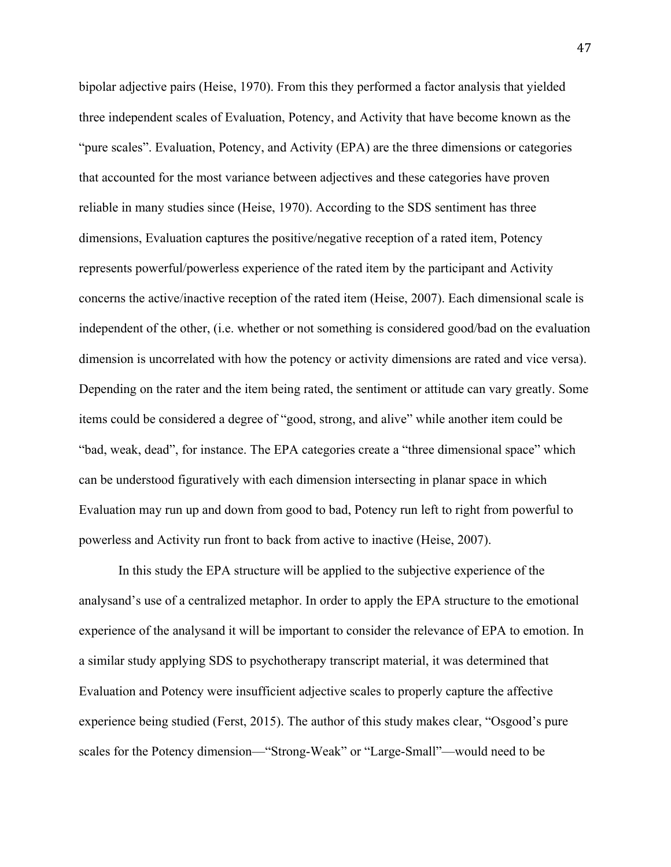bipolar adjective pairs (Heise, 1970). From this they performed a factor analysis that yielded three independent scales of Evaluation, Potency, and Activity that have become known as the "pure scales". Evaluation, Potency, and Activity (EPA) are the three dimensions or categories that accounted for the most variance between adjectives and these categories have proven reliable in many studies since (Heise, 1970). According to the SDS sentiment has three dimensions, Evaluation captures the positive/negative reception of a rated item, Potency represents powerful/powerless experience of the rated item by the participant and Activity concerns the active/inactive reception of the rated item (Heise, 2007). Each dimensional scale is independent of the other, (i.e. whether or not something is considered good/bad on the evaluation dimension is uncorrelated with how the potency or activity dimensions are rated and vice versa). Depending on the rater and the item being rated, the sentiment or attitude can vary greatly. Some items could be considered a degree of "good, strong, and alive" while another item could be "bad, weak, dead", for instance. The EPA categories create a "three dimensional space" which can be understood figuratively with each dimension intersecting in planar space in which Evaluation may run up and down from good to bad, Potency run left to right from powerful to powerless and Activity run front to back from active to inactive (Heise, 2007).

In this study the EPA structure will be applied to the subjective experience of the analysand's use of a centralized metaphor. In order to apply the EPA structure to the emotional experience of the analysand it will be important to consider the relevance of EPA to emotion. In a similar study applying SDS to psychotherapy transcript material, it was determined that Evaluation and Potency were insufficient adjective scales to properly capture the affective experience being studied (Ferst, 2015). The author of this study makes clear, "Osgood's pure scales for the Potency dimension—"Strong-Weak" or "Large-Small"—would need to be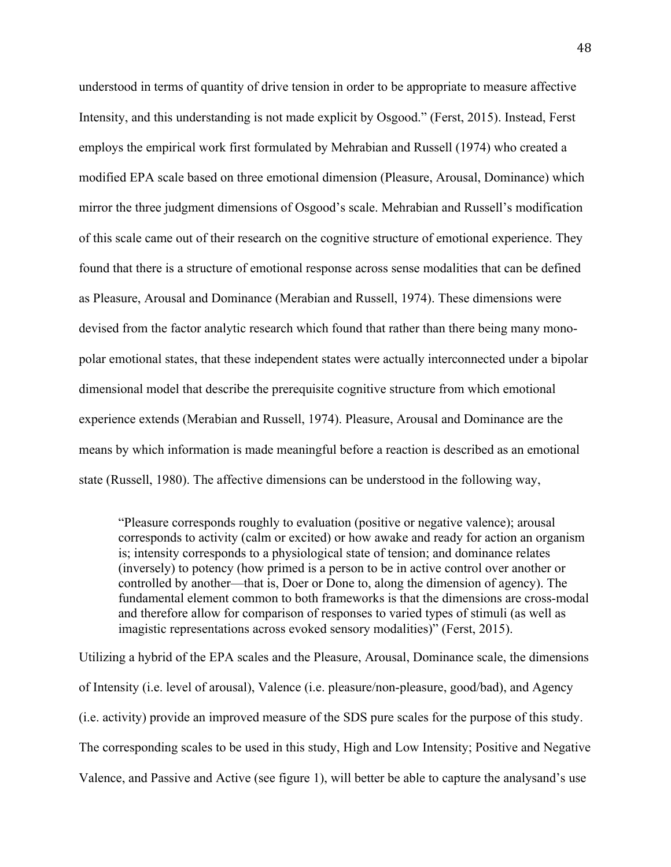understood in terms of quantity of drive tension in order to be appropriate to measure affective Intensity, and this understanding is not made explicit by Osgood." (Ferst, 2015). Instead, Ferst employs the empirical work first formulated by Mehrabian and Russell (1974) who created a modified EPA scale based on three emotional dimension (Pleasure, Arousal, Dominance) which mirror the three judgment dimensions of Osgood's scale. Mehrabian and Russell's modification of this scale came out of their research on the cognitive structure of emotional experience. They found that there is a structure of emotional response across sense modalities that can be defined as Pleasure, Arousal and Dominance (Merabian and Russell, 1974). These dimensions were devised from the factor analytic research which found that rather than there being many monopolar emotional states, that these independent states were actually interconnected under a bipolar dimensional model that describe the prerequisite cognitive structure from which emotional experience extends (Merabian and Russell, 1974). Pleasure, Arousal and Dominance are the means by which information is made meaningful before a reaction is described as an emotional state (Russell, 1980). The affective dimensions can be understood in the following way,

"Pleasure corresponds roughly to evaluation (positive or negative valence); arousal corresponds to activity (calm or excited) or how awake and ready for action an organism is; intensity corresponds to a physiological state of tension; and dominance relates (inversely) to potency (how primed is a person to be in active control over another or controlled by another—that is, Doer or Done to, along the dimension of agency). The fundamental element common to both frameworks is that the dimensions are cross-modal and therefore allow for comparison of responses to varied types of stimuli (as well as imagistic representations across evoked sensory modalities)" (Ferst, 2015).

Utilizing a hybrid of the EPA scales and the Pleasure, Arousal, Dominance scale, the dimensions of Intensity (i.e. level of arousal), Valence (i.e. pleasure/non-pleasure, good/bad), and Agency (i.e. activity) provide an improved measure of the SDS pure scales for the purpose of this study. The corresponding scales to be used in this study, High and Low Intensity; Positive and Negative Valence, and Passive and Active (see figure 1), will better be able to capture the analysand's use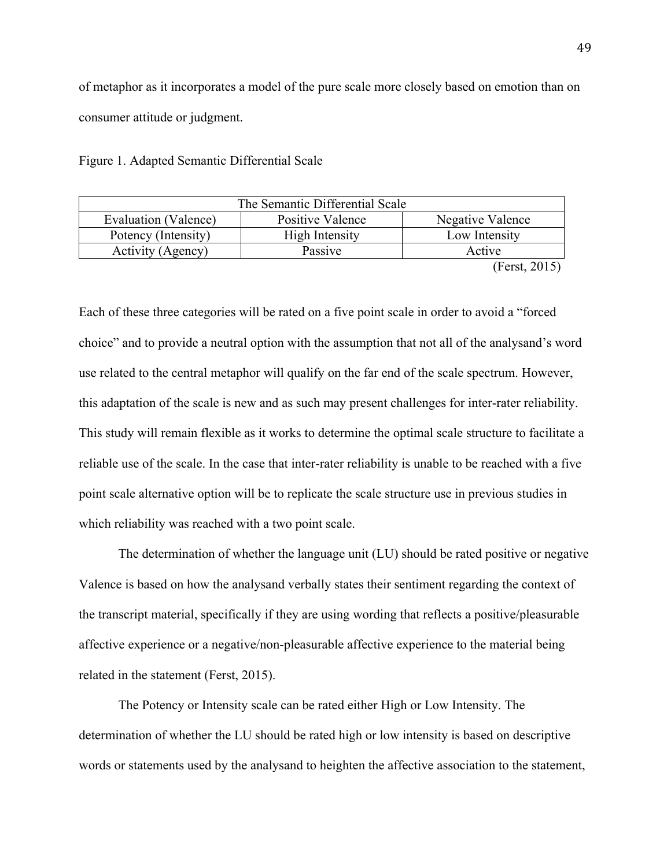of metaphor as it incorporates a model of the pure scale more closely based on emotion than on consumer attitude or judgment.

| Figure 1. Adapted Semantic Differential Scale |
|-----------------------------------------------|
|-----------------------------------------------|

| The Semantic Differential Scale |                  |                  |
|---------------------------------|------------------|------------------|
| Evaluation (Valence)            | Positive Valence | Negative Valence |
| Potency (Intensity)             | High Intensity   | Low Intensity    |
| Activity (Agency)               | Passive          | Active           |
| $\sim$                          |                  |                  |

(Ferst, 2015)

Each of these three categories will be rated on a five point scale in order to avoid a "forced choice" and to provide a neutral option with the assumption that not all of the analysand's word use related to the central metaphor will qualify on the far end of the scale spectrum. However, this adaptation of the scale is new and as such may present challenges for inter-rater reliability. This study will remain flexible as it works to determine the optimal scale structure to facilitate a reliable use of the scale. In the case that inter-rater reliability is unable to be reached with a five point scale alternative option will be to replicate the scale structure use in previous studies in which reliability was reached with a two point scale.

The determination of whether the language unit (LU) should be rated positive or negative Valence is based on how the analysand verbally states their sentiment regarding the context of the transcript material, specifically if they are using wording that reflects a positive/pleasurable affective experience or a negative/non-pleasurable affective experience to the material being related in the statement (Ferst, 2015).

The Potency or Intensity scale can be rated either High or Low Intensity. The determination of whether the LU should be rated high or low intensity is based on descriptive words or statements used by the analysand to heighten the affective association to the statement,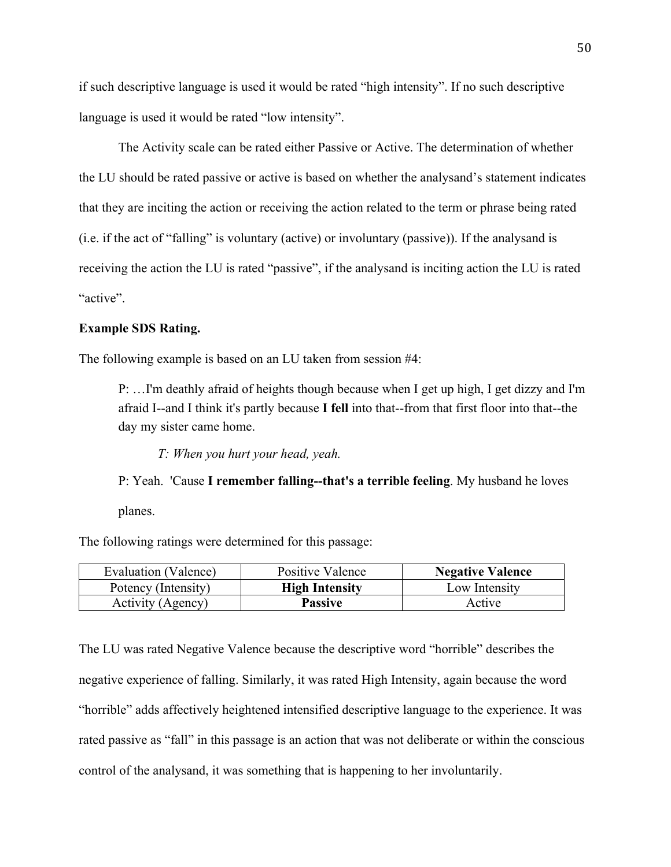if such descriptive language is used it would be rated "high intensity". If no such descriptive language is used it would be rated "low intensity".

The Activity scale can be rated either Passive or Active. The determination of whether the LU should be rated passive or active is based on whether the analysand's statement indicates that they are inciting the action or receiving the action related to the term or phrase being rated (i.e. if the act of "falling" is voluntary (active) or involuntary (passive)). If the analysand is receiving the action the LU is rated "passive", if the analysand is inciting action the LU is rated "active".

# **Example SDS Rating.**

The following example is based on an LU taken from session #4:

P: …I'm deathly afraid of heights though because when I get up high, I get dizzy and I'm afraid I--and I think it's partly because **I fell** into that--from that first floor into that--the day my sister came home.

*T: When you hurt your head, yeah.* 

P: Yeah. 'Cause **I remember falling--that's a terrible feeling**. My husband he loves planes.

The following ratings were determined for this passage:

| Evaluation (Valence) | Positive Valence      | <b>Negative Valence</b> |
|----------------------|-----------------------|-------------------------|
| Potency (Intensity)  | <b>High Intensity</b> | Low Intensity           |
| Activity (Agency)    | <b>Passive</b>        | Active                  |

The LU was rated Negative Valence because the descriptive word "horrible" describes the negative experience of falling. Similarly, it was rated High Intensity, again because the word "horrible" adds affectively heightened intensified descriptive language to the experience. It was rated passive as "fall" in this passage is an action that was not deliberate or within the conscious control of the analysand, it was something that is happening to her involuntarily.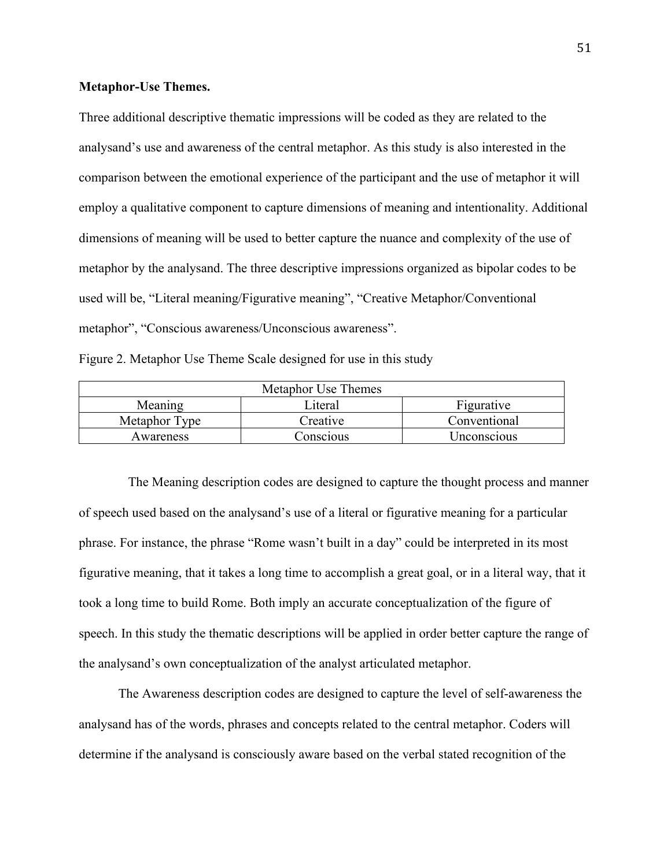## **Metaphor-Use Themes.**

Three additional descriptive thematic impressions will be coded as they are related to the analysand's use and awareness of the central metaphor. As this study is also interested in the comparison between the emotional experience of the participant and the use of metaphor it will employ a qualitative component to capture dimensions of meaning and intentionality. Additional dimensions of meaning will be used to better capture the nuance and complexity of the use of metaphor by the analysand. The three descriptive impressions organized as bipolar codes to be used will be, "Literal meaning/Figurative meaning", "Creative Metaphor/Conventional metaphor", "Conscious awareness/Unconscious awareness".

|  | Figure 2. Metaphor Use Theme Scale designed for use in this study |  |
|--|-------------------------------------------------------------------|--|
|  |                                                                   |  |

| Metaphor Use Themes |           |              |
|---------------------|-----------|--------------|
| Meaning             | Literal   | Figurative   |
| Metaphor Type       | Creative  | Conventional |
| Awareness           | Conscious | Unconscious  |

 The Meaning description codes are designed to capture the thought process and manner of speech used based on the analysand's use of a literal or figurative meaning for a particular phrase. For instance, the phrase "Rome wasn't built in a day" could be interpreted in its most figurative meaning, that it takes a long time to accomplish a great goal, or in a literal way, that it took a long time to build Rome. Both imply an accurate conceptualization of the figure of speech. In this study the thematic descriptions will be applied in order better capture the range of the analysand's own conceptualization of the analyst articulated metaphor.

The Awareness description codes are designed to capture the level of self-awareness the analysand has of the words, phrases and concepts related to the central metaphor. Coders will determine if the analysand is consciously aware based on the verbal stated recognition of the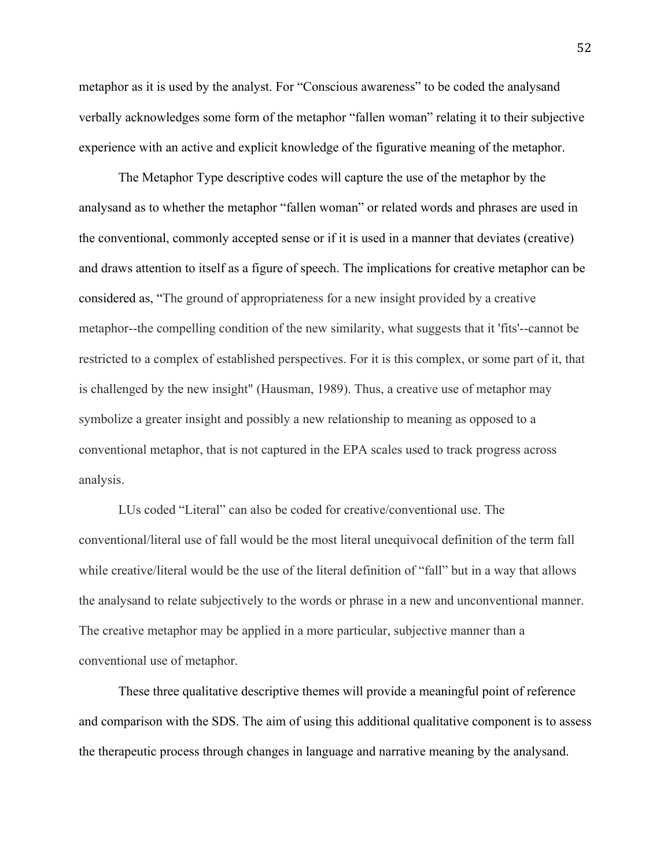metaphor as it is used by the analyst. For "Conscious awareness" to be coded the analysand verbally acknowledges some form of the metaphor "fallen woman" relating it to their subjective experience with an active and explicit knowledge of the figurative meaning of the metaphor.

The Metaphor Type descriptive codes will capture the use of the metaphor by the analysand as to whether the metaphor "fallen woman" or related words and phrases are used in the conventional, commonly accepted sense or if it is used in a manner that deviates (creative) and draws attention to itself as a figure of speech. The implications for creative metaphor can be considered as, "The ground of appropriateness for a new insight provided by a creative metaphor--the compelling condition of the new similarity, what suggests that it 'fits'--cannot be restricted to a complex of established perspectives. For it is this complex, or some part of it, that is challenged by the new insight" (Hausman, 1989). Thus, a creative use of metaphor may symbolize a greater insight and possibly a new relationship to meaning as opposed to a conventional metaphor, that is not captured in the EPA scales used to track progress across analysis.

LUs coded "Literal" can also be coded for creative/conventional use. The conventional/literal use of fall would be the most literal unequivocal definition of the term fall while creative/literal would be the use of the literal definition of "fall" but in a way that allows the analysand to relate subjectively to the words or phrase in a new and unconventional manner. The creative metaphor may be applied in a more particular, subjective manner than a conventional use of metaphor.

These three qualitative descriptive themes will provide a meaningful point of reference and comparison with the SDS. The aim of using this additional qualitative component is to assess the therapeutic process through changes in language and narrative meaning by the analysand.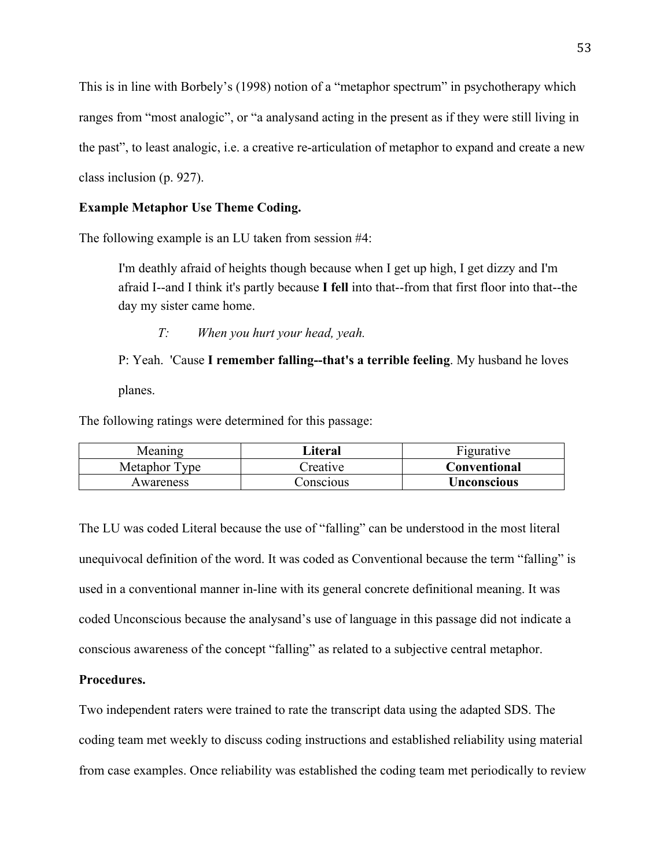This is in line with Borbely's (1998) notion of a "metaphor spectrum" in psychotherapy which ranges from "most analogic", or "a analysand acting in the present as if they were still living in the past", to least analogic, i.e. a creative re-articulation of metaphor to expand and create a new class inclusion (p. 927).

## **Example Metaphor Use Theme Coding.**

The following example is an LU taken from session #4:

I'm deathly afraid of heights though because when I get up high, I get dizzy and I'm afraid I--and I think it's partly because **I fell** into that--from that first floor into that--the day my sister came home.

*T: When you hurt your head, yeah.* 

P: Yeah. 'Cause **I remember falling--that's a terrible feeling**. My husband he loves planes.

The following ratings were determined for this passage:

| Meaning       | Literal   | <b>Figurative</b> |
|---------------|-----------|-------------------|
| Metaphor Type | Preative  | Conventional      |
| Awareness     | onscious_ | Unconscious       |

The LU was coded Literal because the use of "falling" can be understood in the most literal unequivocal definition of the word. It was coded as Conventional because the term "falling" is used in a conventional manner in-line with its general concrete definitional meaning. It was coded Unconscious because the analysand's use of language in this passage did not indicate a conscious awareness of the concept "falling" as related to a subjective central metaphor.

# **Procedures.**

Two independent raters were trained to rate the transcript data using the adapted SDS. The coding team met weekly to discuss coding instructions and established reliability using material from case examples. Once reliability was established the coding team met periodically to review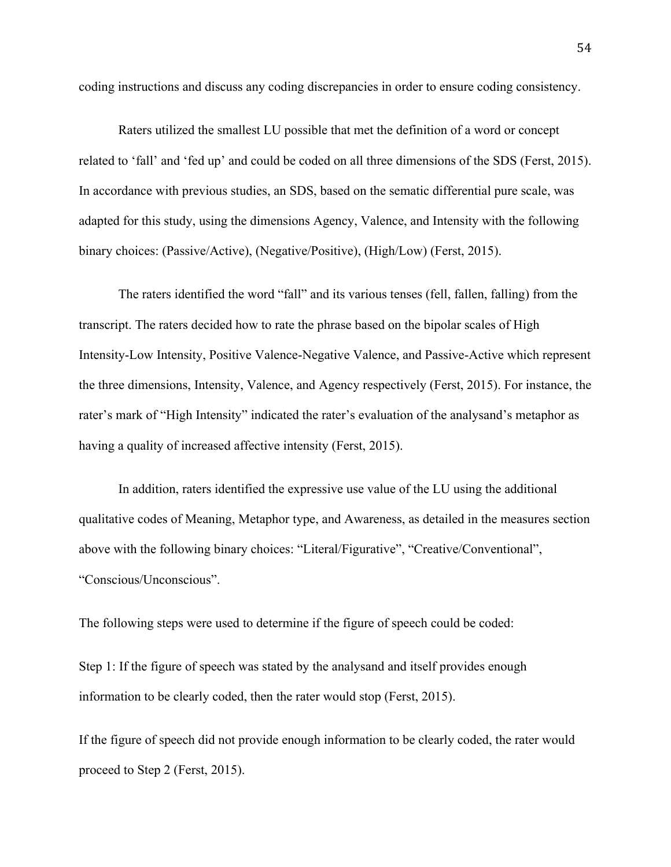coding instructions and discuss any coding discrepancies in order to ensure coding consistency.

Raters utilized the smallest LU possible that met the definition of a word or concept related to 'fall' and 'fed up' and could be coded on all three dimensions of the SDS (Ferst, 2015). In accordance with previous studies, an SDS, based on the sematic differential pure scale, was adapted for this study, using the dimensions Agency, Valence, and Intensity with the following binary choices: (Passive/Active), (Negative/Positive), (High/Low) (Ferst, 2015).

The raters identified the word "fall" and its various tenses (fell, fallen, falling) from the transcript. The raters decided how to rate the phrase based on the bipolar scales of High Intensity-Low Intensity, Positive Valence-Negative Valence, and Passive-Active which represent the three dimensions, Intensity, Valence, and Agency respectively (Ferst, 2015). For instance, the rater's mark of "High Intensity" indicated the rater's evaluation of the analysand's metaphor as having a quality of increased affective intensity (Ferst, 2015).

In addition, raters identified the expressive use value of the LU using the additional qualitative codes of Meaning, Metaphor type, and Awareness, as detailed in the measures section above with the following binary choices: "Literal/Figurative", "Creative/Conventional", "Conscious/Unconscious".

The following steps were used to determine if the figure of speech could be coded:

Step 1: If the figure of speech was stated by the analysand and itself provides enough information to be clearly coded, then the rater would stop (Ferst, 2015).

If the figure of speech did not provide enough information to be clearly coded, the rater would proceed to Step 2 (Ferst, 2015).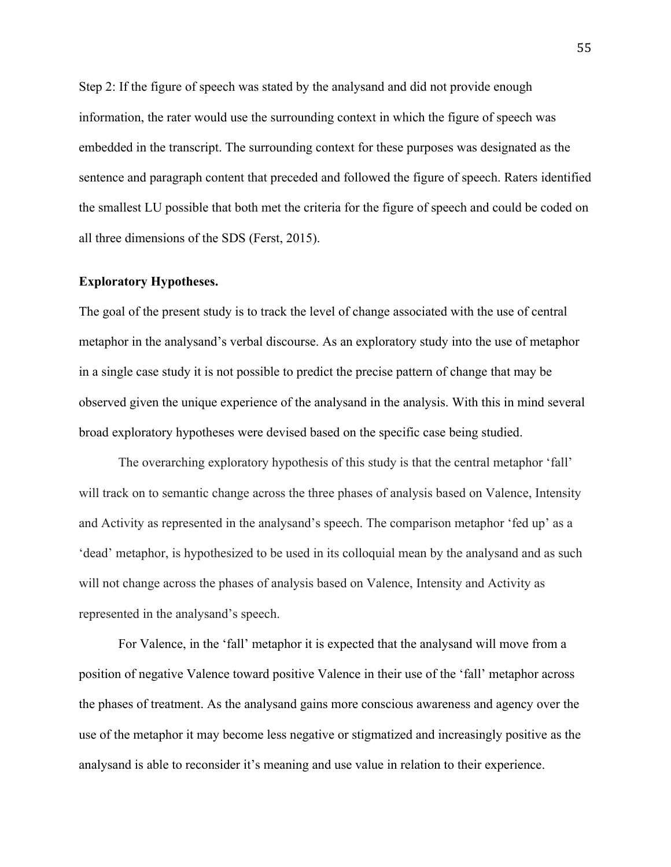Step 2: If the figure of speech was stated by the analysand and did not provide enough information, the rater would use the surrounding context in which the figure of speech was embedded in the transcript. The surrounding context for these purposes was designated as the sentence and paragraph content that preceded and followed the figure of speech. Raters identified the smallest LU possible that both met the criteria for the figure of speech and could be coded on all three dimensions of the SDS (Ferst, 2015).

#### **Exploratory Hypotheses.**

The goal of the present study is to track the level of change associated with the use of central metaphor in the analysand's verbal discourse. As an exploratory study into the use of metaphor in a single case study it is not possible to predict the precise pattern of change that may be observed given the unique experience of the analysand in the analysis. With this in mind several broad exploratory hypotheses were devised based on the specific case being studied.

The overarching exploratory hypothesis of this study is that the central metaphor 'fall' will track on to semantic change across the three phases of analysis based on Valence, Intensity and Activity as represented in the analysand's speech. The comparison metaphor 'fed up' as a 'dead' metaphor, is hypothesized to be used in its colloquial mean by the analysand and as such will not change across the phases of analysis based on Valence, Intensity and Activity as represented in the analysand's speech.

For Valence, in the 'fall' metaphor it is expected that the analysand will move from a position of negative Valence toward positive Valence in their use of the 'fall' metaphor across the phases of treatment. As the analysand gains more conscious awareness and agency over the use of the metaphor it may become less negative or stigmatized and increasingly positive as the analysand is able to reconsider it's meaning and use value in relation to their experience.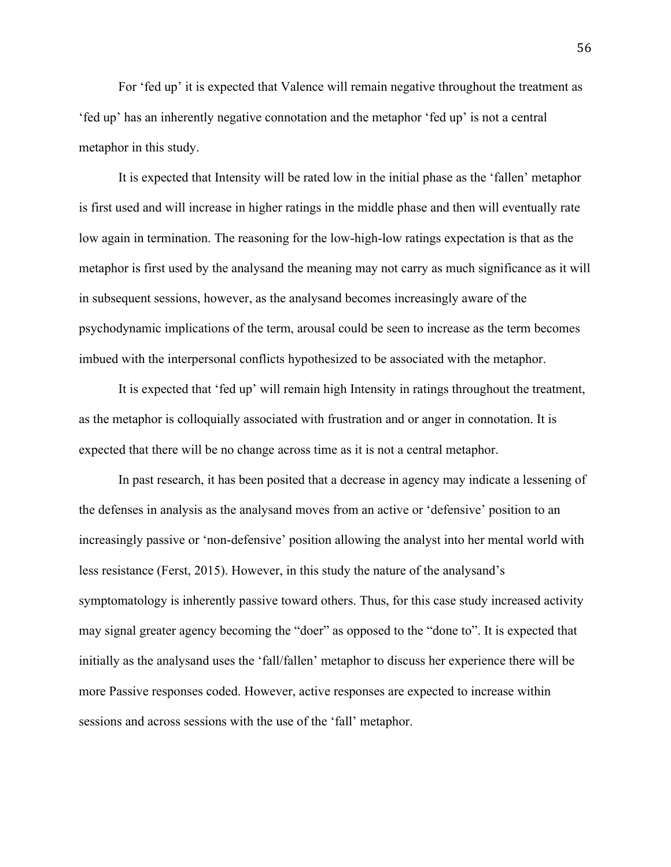For 'fed up' it is expected that Valence will remain negative throughout the treatment as 'fed up' has an inherently negative connotation and the metaphor 'fed up' is not a central metaphor in this study.

It is expected that Intensity will be rated low in the initial phase as the 'fallen' metaphor is first used and will increase in higher ratings in the middle phase and then will eventually rate low again in termination. The reasoning for the low-high-low ratings expectation is that as the metaphor is first used by the analysand the meaning may not carry as much significance as it will in subsequent sessions, however, as the analysand becomes increasingly aware of the psychodynamic implications of the term, arousal could be seen to increase as the term becomes imbued with the interpersonal conflicts hypothesized to be associated with the metaphor.

It is expected that 'fed up' will remain high Intensity in ratings throughout the treatment, as the metaphor is colloquially associated with frustration and or anger in connotation. It is expected that there will be no change across time as it is not a central metaphor.

In past research, it has been posited that a decrease in agency may indicate a lessening of the defenses in analysis as the analysand moves from an active or 'defensive' position to an increasingly passive or 'non-defensive' position allowing the analyst into her mental world with less resistance (Ferst, 2015). However, in this study the nature of the analysand's symptomatology is inherently passive toward others. Thus, for this case study increased activity may signal greater agency becoming the "doer" as opposed to the "done to". It is expected that initially as the analysand uses the 'fall/fallen' metaphor to discuss her experience there will be more Passive responses coded. However, active responses are expected to increase within sessions and across sessions with the use of the 'fall' metaphor.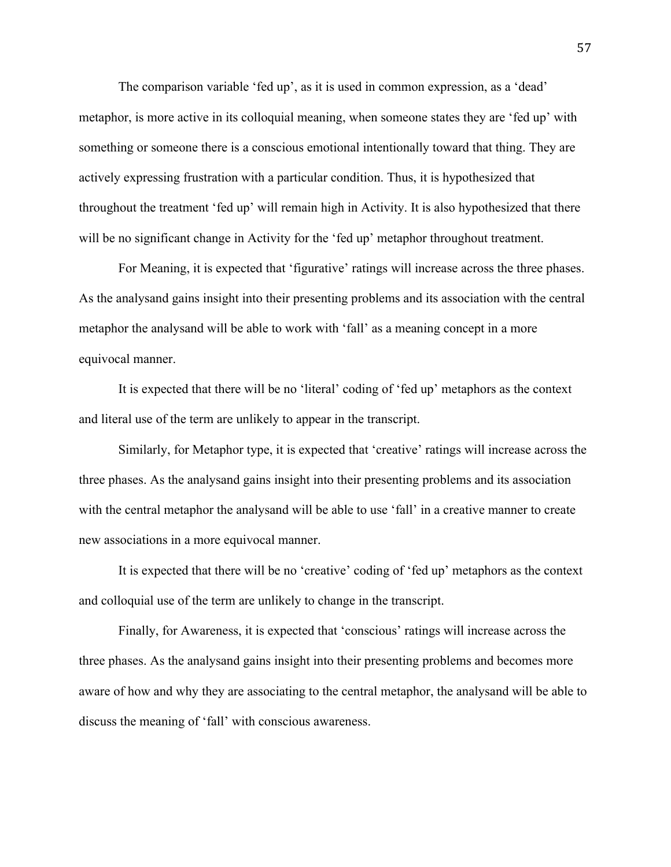The comparison variable 'fed up', as it is used in common expression, as a 'dead' metaphor, is more active in its colloquial meaning, when someone states they are 'fed up' with something or someone there is a conscious emotional intentionally toward that thing. They are actively expressing frustration with a particular condition. Thus, it is hypothesized that throughout the treatment 'fed up' will remain high in Activity. It is also hypothesized that there will be no significant change in Activity for the 'fed up' metaphor throughout treatment.

For Meaning, it is expected that 'figurative' ratings will increase across the three phases. As the analysand gains insight into their presenting problems and its association with the central metaphor the analysand will be able to work with 'fall' as a meaning concept in a more equivocal manner.

It is expected that there will be no 'literal' coding of 'fed up' metaphors as the context and literal use of the term are unlikely to appear in the transcript.

Similarly, for Metaphor type, it is expected that 'creative' ratings will increase across the three phases. As the analysand gains insight into their presenting problems and its association with the central metaphor the analysand will be able to use 'fall' in a creative manner to create new associations in a more equivocal manner.

It is expected that there will be no 'creative' coding of 'fed up' metaphors as the context and colloquial use of the term are unlikely to change in the transcript.

Finally, for Awareness, it is expected that 'conscious' ratings will increase across the three phases. As the analysand gains insight into their presenting problems and becomes more aware of how and why they are associating to the central metaphor, the analysand will be able to discuss the meaning of 'fall' with conscious awareness.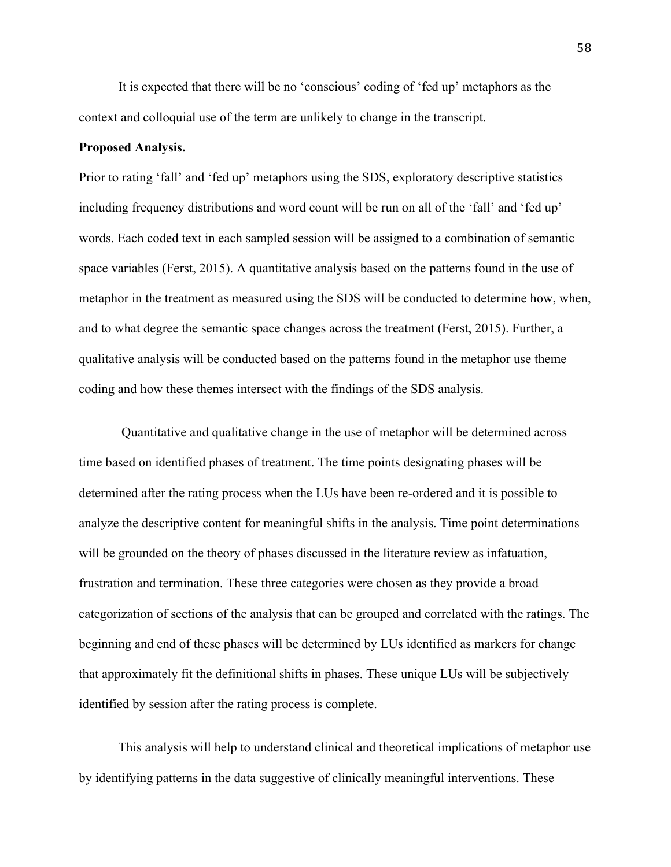It is expected that there will be no 'conscious' coding of 'fed up' metaphors as the context and colloquial use of the term are unlikely to change in the transcript.

# **Proposed Analysis.**

Prior to rating 'fall' and 'fed up' metaphors using the SDS, exploratory descriptive statistics including frequency distributions and word count will be run on all of the 'fall' and 'fed up' words. Each coded text in each sampled session will be assigned to a combination of semantic space variables (Ferst, 2015). A quantitative analysis based on the patterns found in the use of metaphor in the treatment as measured using the SDS will be conducted to determine how, when, and to what degree the semantic space changes across the treatment (Ferst, 2015). Further, a qualitative analysis will be conducted based on the patterns found in the metaphor use theme coding and how these themes intersect with the findings of the SDS analysis.

Quantitative and qualitative change in the use of metaphor will be determined across time based on identified phases of treatment. The time points designating phases will be determined after the rating process when the LUs have been re-ordered and it is possible to analyze the descriptive content for meaningful shifts in the analysis. Time point determinations will be grounded on the theory of phases discussed in the literature review as infatuation, frustration and termination. These three categories were chosen as they provide a broad categorization of sections of the analysis that can be grouped and correlated with the ratings. The beginning and end of these phases will be determined by LUs identified as markers for change that approximately fit the definitional shifts in phases. These unique LUs will be subjectively identified by session after the rating process is complete.

This analysis will help to understand clinical and theoretical implications of metaphor use by identifying patterns in the data suggestive of clinically meaningful interventions. These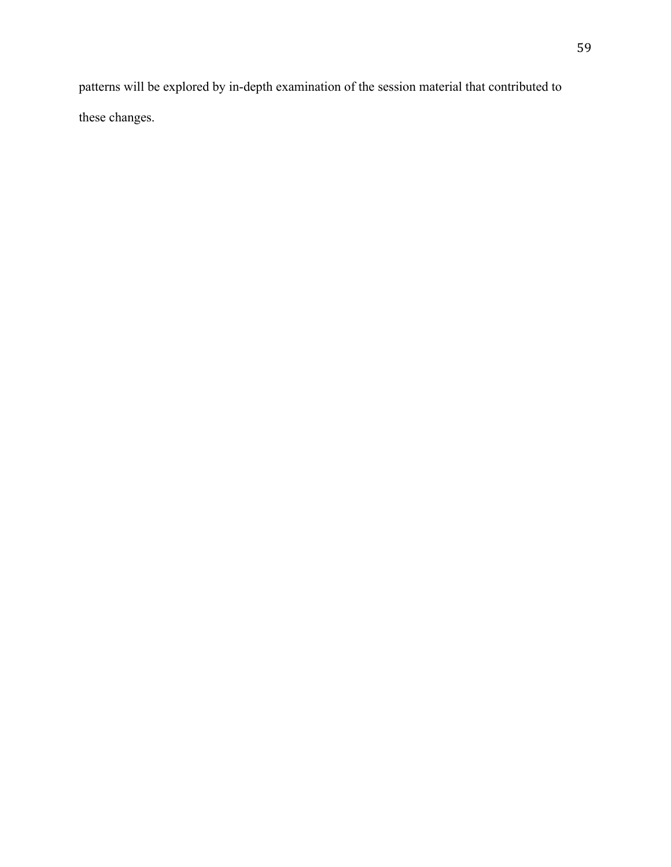patterns will be explored by in-depth examination of the session material that contributed to these changes.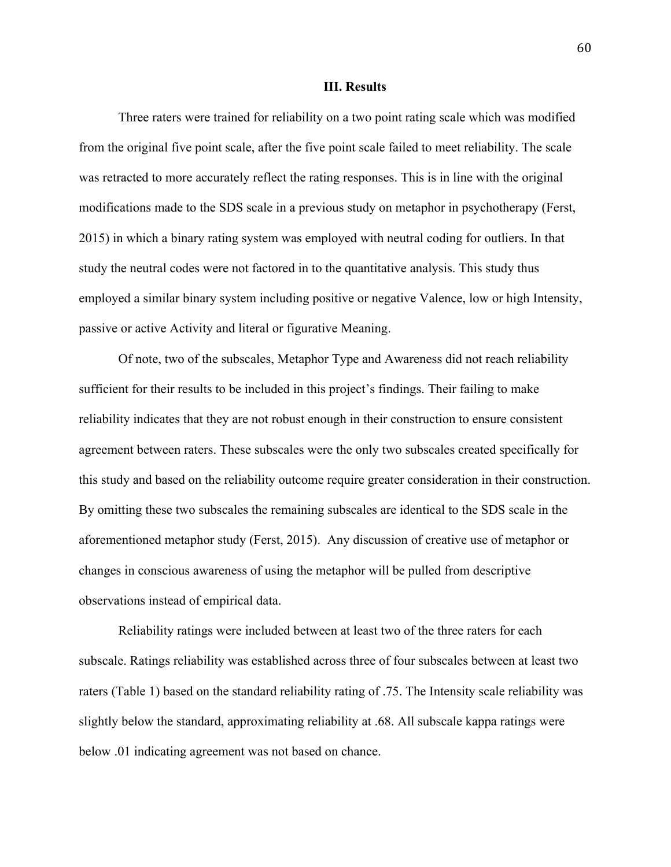#### **III. Results**

Three raters were trained for reliability on a two point rating scale which was modified from the original five point scale, after the five point scale failed to meet reliability. The scale was retracted to more accurately reflect the rating responses. This is in line with the original modifications made to the SDS scale in a previous study on metaphor in psychotherapy (Ferst, 2015) in which a binary rating system was employed with neutral coding for outliers. In that study the neutral codes were not factored in to the quantitative analysis. This study thus employed a similar binary system including positive or negative Valence, low or high Intensity, passive or active Activity and literal or figurative Meaning.

Of note, two of the subscales, Metaphor Type and Awareness did not reach reliability sufficient for their results to be included in this project's findings. Their failing to make reliability indicates that they are not robust enough in their construction to ensure consistent agreement between raters. These subscales were the only two subscales created specifically for this study and based on the reliability outcome require greater consideration in their construction. By omitting these two subscales the remaining subscales are identical to the SDS scale in the aforementioned metaphor study (Ferst, 2015). Any discussion of creative use of metaphor or changes in conscious awareness of using the metaphor will be pulled from descriptive observations instead of empirical data.

Reliability ratings were included between at least two of the three raters for each subscale. Ratings reliability was established across three of four subscales between at least two raters (Table 1) based on the standard reliability rating of .75. The Intensity scale reliability was slightly below the standard, approximating reliability at .68. All subscale kappa ratings were below .01 indicating agreement was not based on chance.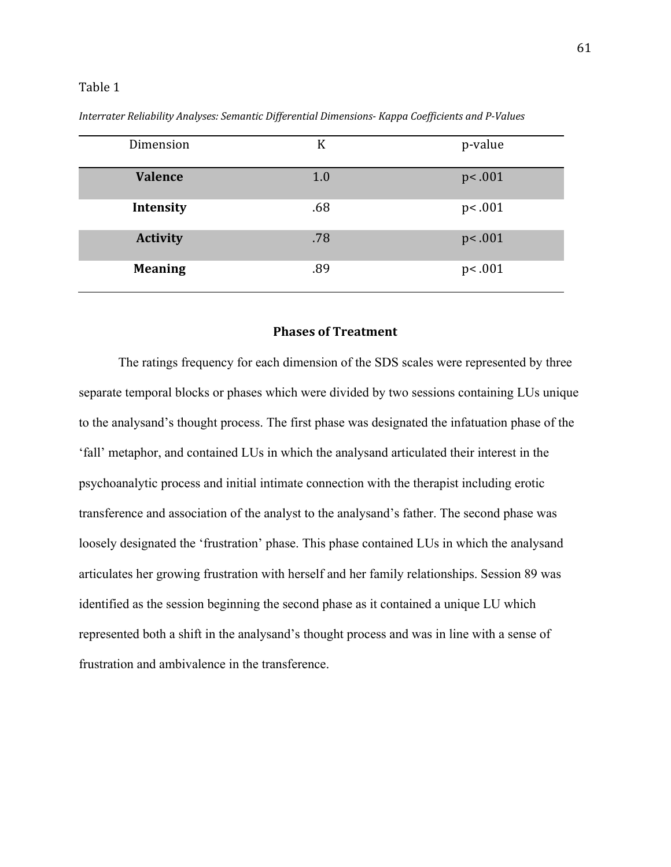## Table 1

| Dimension       | K   | p-value |
|-----------------|-----|---------|
| <b>Valence</b>  | 1.0 | p<.001  |
| Intensity       | .68 | p<.001  |
| <b>Activity</b> | .78 | p<.001  |
| <b>Meaning</b>  | .89 | p<.001  |

*Interrater Reliability Analyses: Semantic Differential Dimensions- Kappa Coefficients and P-Values*

# **Phases of Treatment**

The ratings frequency for each dimension of the SDS scales were represented by three separate temporal blocks or phases which were divided by two sessions containing LUs unique to the analysand's thought process. The first phase was designated the infatuation phase of the 'fall' metaphor, and contained LUs in which the analysand articulated their interest in the psychoanalytic process and initial intimate connection with the therapist including erotic transference and association of the analyst to the analysand's father. The second phase was loosely designated the 'frustration' phase. This phase contained LUs in which the analysand articulates her growing frustration with herself and her family relationships. Session 89 was identified as the session beginning the second phase as it contained a unique LU which represented both a shift in the analysand's thought process and was in line with a sense of frustration and ambivalence in the transference.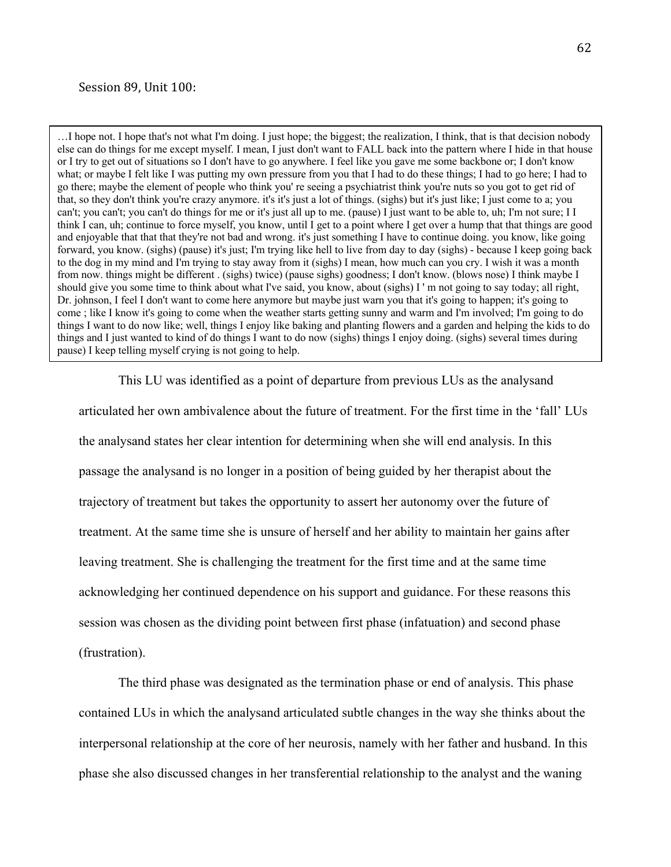#### Session 89, Unit 100:

…I hope not. I hope that's not what I'm doing. I just hope; the biggest; the realization, I think, that is that decision nobody else can do things for me except myself. I mean, I just don't want to FALL back into the pattern where I hide in that house or I try to get out of situations so I don't have to go anywhere. I feel like you gave me some backbone or; I don't know what; or maybe I felt like I was putting my own pressure from you that I had to do these things; I had to go here; I had to go there; maybe the element of people who think you' re seeing a psychiatrist think you're nuts so you got to get rid of that, so they don't think you're crazy anymore. it's it's just a lot of things. (sighs) but it's just like; I just come to a; you can't; you can't; you can't do things for me or it's just all up to me. (pause) I just want to be able to, uh; I'm not sure; I I think I can, uh; continue to force myself, you know, until I get to a point where I get over a hump that that things are good and enjoyable that that that they're not bad and wrong. it's just something I have to continue doing. you know, like going forward, you know. (sighs) (pause) it's just; I'm trying like hell to live from day to day (sighs) - because I keep going back to the dog in my mind and I'm trying to stay away from it (sighs) I mean, how much can you cry. I wish it was a month from now. things might be different . (sighs) twice) (pause sighs) goodness; I don't know. (blows nose) I think maybe I should give you some time to think about what I've said, you know, about (sighs) I ' m not going to say today; all right, Dr. johnson, I feel I don't want to come here anymore but maybe just warn you that it's going to happen; it's going to come ; like I know it's going to come when the weather starts getting sunny and warm and I'm involved; I'm going to do things I want to do now like; well, things I enjoy like baking and planting flowers and a garden and helping the kids to do things and I just wanted to kind of do things I want to do now (sighs) things I enjoy doing. (sighs) several times during pause) I keep telling myself crying is not going to help.

This LU was identified as a point of departure from previous LUs as the analysand articulated her own ambivalence about the future of treatment. For the first time in the 'fall' LUs the analysand states her clear intention for determining when she will end analysis. In this passage the analysand is no longer in a position of being guided by her therapist about the trajectory of treatment but takes the opportunity to assert her autonomy over the future of treatment. At the same time she is unsure of herself and her ability to maintain her gains after leaving treatment. She is challenging the treatment for the first time and at the same time acknowledging her continued dependence on his support and guidance. For these reasons this session was chosen as the dividing point between first phase (infatuation) and second phase (frustration).

The third phase was designated as the termination phase or end of analysis. This phase contained LUs in which the analysand articulated subtle changes in the way she thinks about the interpersonal relationship at the core of her neurosis, namely with her father and husband. In this phase she also discussed changes in her transferential relationship to the analyst and the waning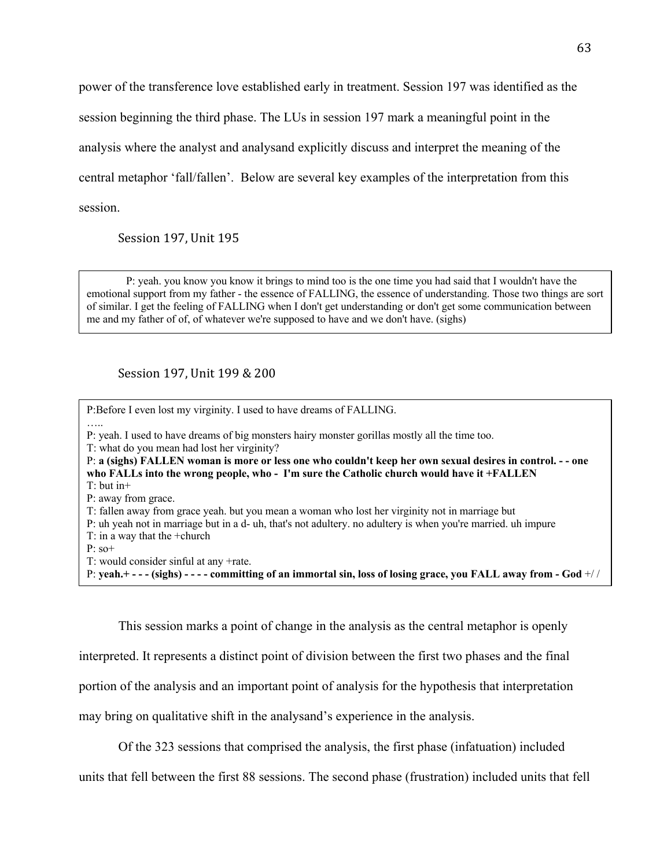power of the transference love established early in treatment. Session 197 was identified as the session beginning the third phase. The LUs in session 197 mark a meaningful point in the analysis where the analyst and analysand explicitly discuss and interpret the meaning of the central metaphor 'fall/fallen'. Below are several key examples of the interpretation from this session.

Session 197, Unit 195

P: yeah. you know you know it brings to mind too is the one time you had said that I wouldn't have the emotional support from my father - the essence of FALLING, the essence of understanding. Those two things are sort of similar. I get the feeling of FALLING when I don't get understanding or don't get some communication between me and my father of of, of whatever we're supposed to have and we don't have. (sighs)

Session 197, Unit 199 & 200

P:Before I even lost my virginity. I used to have dreams of FALLING. ….. P: yeah. I used to have dreams of big monsters hairy monster gorillas mostly all the time too. T: what do you mean had lost her virginity? P: **a (sighs) FALLEN woman is more or less one who couldn't keep her own sexual desires in control. - - one who FALLs into the wrong people, who - I'm sure the Catholic church would have it +FALLEN** T: but in+ P: away from grace. T: fallen away from grace yeah. but you mean a woman who lost her virginity not in marriage but P: uh yeah not in marriage but in a d- uh, that's not adultery. no adultery is when you're married. uh impure T: in a way that the +church P: so+ T: would consider sinful at any +rate. P: **yeah.+ - - - (sighs) - - - - committing of an immortal sin, loss of losing grace, you FALL away from - God** +/ /

This session marks a point of change in the analysis as the central metaphor is openly interpreted. It represents a distinct point of division between the first two phases and the final portion of the analysis and an important point of analysis for the hypothesis that interpretation may bring on qualitative shift in the analysand's experience in the analysis.

Of the 323 sessions that comprised the analysis, the first phase (infatuation) included

units that fell between the first 88 sessions. The second phase (frustration) included units that fell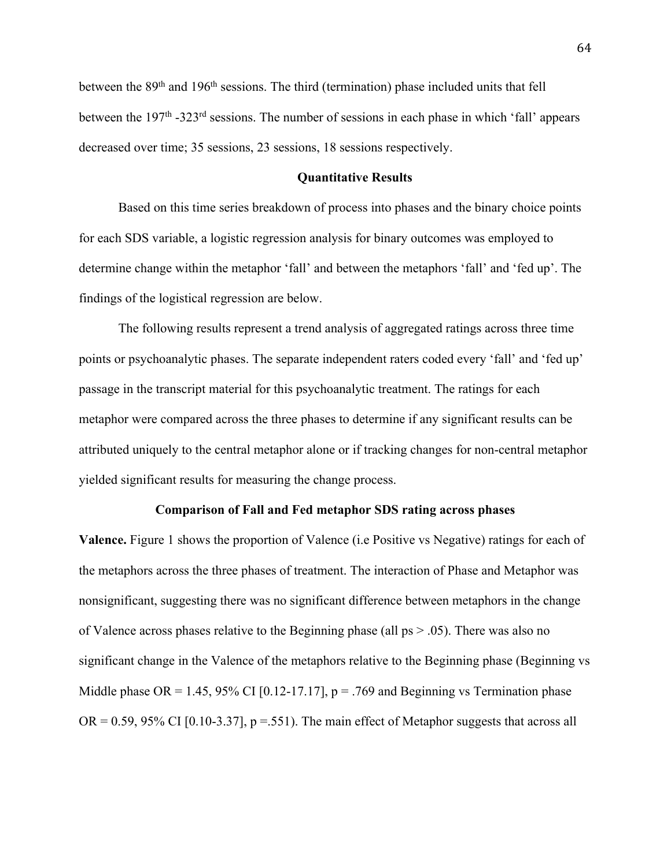between the 89<sup>th</sup> and 196<sup>th</sup> sessions. The third (termination) phase included units that fell between the  $197<sup>th</sup> -323<sup>rd</sup>$  sessions. The number of sessions in each phase in which 'fall' appears decreased over time; 35 sessions, 23 sessions, 18 sessions respectively.

# **Quantitative Results**

Based on this time series breakdown of process into phases and the binary choice points for each SDS variable, a logistic regression analysis for binary outcomes was employed to determine change within the metaphor 'fall' and between the metaphors 'fall' and 'fed up'. The findings of the logistical regression are below.

The following results represent a trend analysis of aggregated ratings across three time points or psychoanalytic phases. The separate independent raters coded every 'fall' and 'fed up' passage in the transcript material for this psychoanalytic treatment. The ratings for each metaphor were compared across the three phases to determine if any significant results can be attributed uniquely to the central metaphor alone or if tracking changes for non-central metaphor yielded significant results for measuring the change process.

#### **Comparison of Fall and Fed metaphor SDS rating across phases**

**Valence.** Figure 1 shows the proportion of Valence (i.e Positive vs Negative) ratings for each of the metaphors across the three phases of treatment. The interaction of Phase and Metaphor was nonsignificant, suggesting there was no significant difference between metaphors in the change of Valence across phases relative to the Beginning phase (all  $ps > .05$ ). There was also no significant change in the Valence of the metaphors relative to the Beginning phase (Beginning vs Middle phase OR = 1.45, 95% CI [0.12-17.17],  $p = .769$  and Beginning vs Termination phase  $OR = 0.59$ , 95% CI [0.10-3.37],  $p = .551$ ). The main effect of Metaphor suggests that across all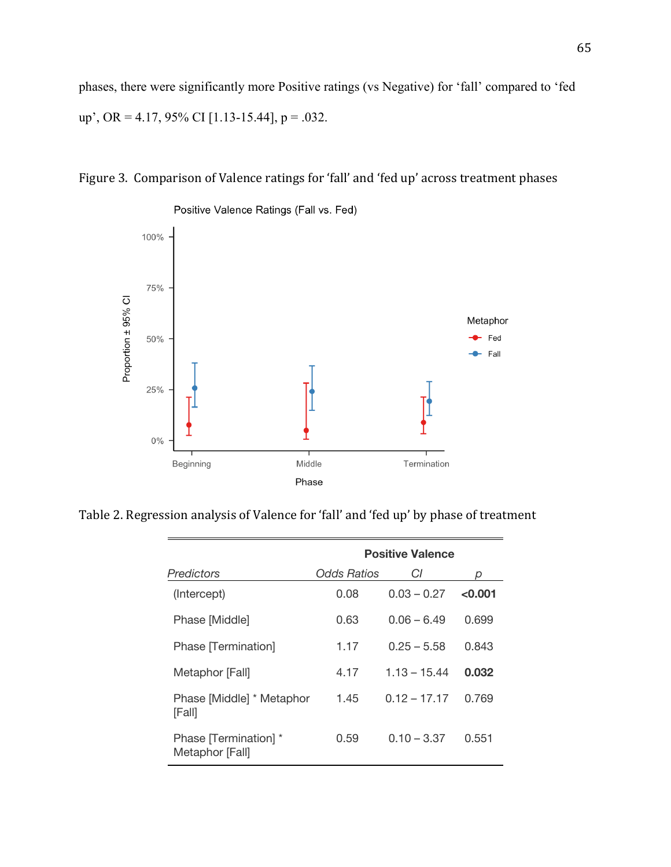phases, there were significantly more Positive ratings (vs Negative) for 'fall' compared to 'fed up', OR = 4.17, 95% CI [1.13-15.44],  $p = .032$ .





Table 2. Regression analysis of Valence for 'fall' and 'fed up' by phase of treatment

|                                          | <b>Positive Valence</b> |                |         |
|------------------------------------------|-------------------------|----------------|---------|
| Predictors                               | Odds Ratios             | CI             | O       |
| (Intercept)                              | 0.08                    | $0.03 - 0.27$  | < 0.001 |
| Phase [Middle]                           | 0.63                    | $0.06 - 6.49$  | 0.699   |
| Phase Termination                        | 1.17                    | $0.25 - 5.58$  | 0.843   |
| Metaphor [Fall]                          | 4.17                    | $1.13 - 15.44$ | 0.032   |
| Phase [Middle] * Metaphor<br>[Fall]      | 1.45                    | $0.12 - 17.17$ | 0.769   |
| Phase [Termination] *<br>Metaphor [Fall] | 0.59                    | $0.10 - 3.37$  | 0.551   |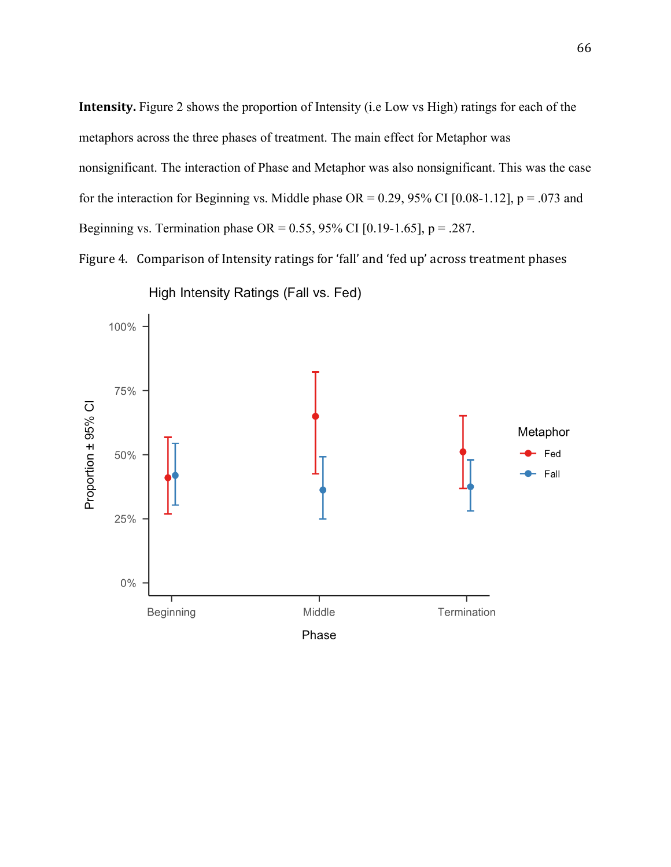**Intensity.** Figure 2 shows the proportion of Intensity (i.e Low vs High) ratings for each of the metaphors across the three phases of treatment. The main effect for Metaphor was nonsignificant. The interaction of Phase and Metaphor was also nonsignificant. This was the case for the interaction for Beginning vs. Middle phase OR =  $0.29$ ,  $95\%$  CI [0.08-1.12], p = .073 and Beginning vs. Termination phase OR =  $0.55$ , 95% CI [0.19-1.65], p = .287.

Figure 4. Comparison of Intensity ratings for 'fall' and 'fed up' across treatment phases



High Intensity Ratings (Fall vs. Fed)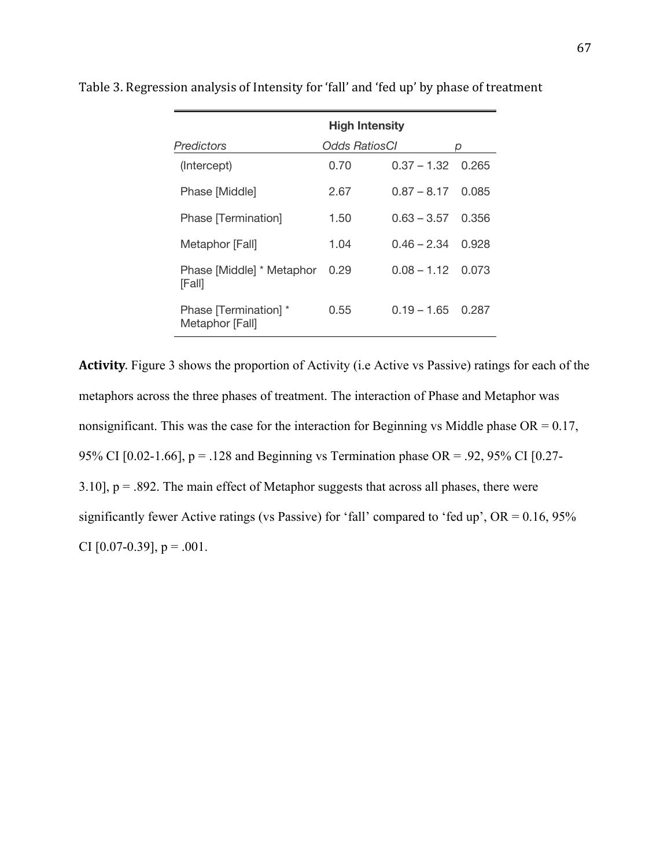|                                          | <b>High Intensity</b> |                           |       |
|------------------------------------------|-----------------------|---------------------------|-------|
| <b>Predictors</b>                        | Odds RatiosCl         |                           | D     |
| (Intercept)                              | 0.70                  | $0.37 - 1.32 \quad 0.265$ |       |
| Phase [Middle]                           | 2.67                  | $0.87 - 8.17$             | 0.085 |
| Phase [Termination]                      | 1.50                  | $0.63 - 3.57$             | 0.356 |
| Metaphor [Fall]                          | 1.04                  | $0.46 - 2.34$             | 0.928 |
| Phase [Middle] * Metaphor<br>[Fall]      | 0.29                  | $0.08 - 1.12$ 0.073       |       |
| Phase [Termination] *<br>Metaphor [Fall] | 0.55                  | $0.19 - 1.65$             | 0.287 |

Table 3. Regression analysis of Intensity for 'fall' and 'fed up' by phase of treatment

**Activity**. Figure 3 shows the proportion of Activity (i.e Active vs Passive) ratings for each of the metaphors across the three phases of treatment. The interaction of Phase and Metaphor was nonsignificant. This was the case for the interaction for Beginning vs Middle phase  $OR = 0.17$ , 95% CI [0.02-1.66],  $p = 0.128$  and Beginning vs Termination phase OR = .92, 95% CI [0.27-3.10],  $p = .892$ . The main effect of Metaphor suggests that across all phases, there were significantly fewer Active ratings (vs Passive) for 'fall' compared to 'fed up', OR = 0.16, 95% CI  $[0.07-0.39]$ , p = .001.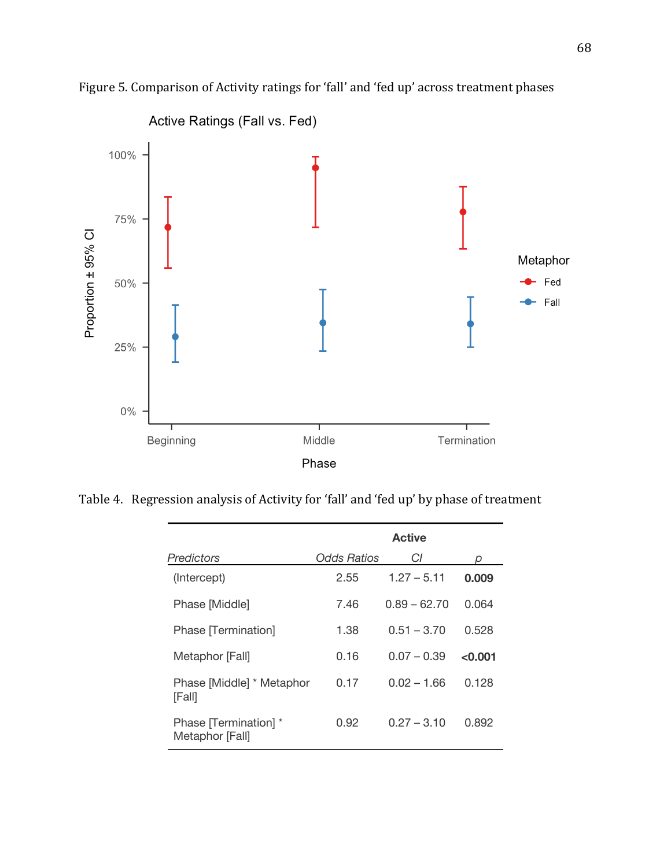

Figure 5. Comparison of Activity ratings for 'fall' and 'fed up' across treatment phases

Table 4. Regression analysis of Activity for 'fall' and 'fed up' by phase of treatment

|                                          | <b>Active</b> |                |         |
|------------------------------------------|---------------|----------------|---------|
| <b>Predictors</b>                        | Odds Ratios   | СI             | n       |
| (Intercept)                              | 2.55          | $1.27 - 5.11$  | 0.009   |
| Phase [Middle]                           | 7.46          | $0.89 - 62.70$ | 0.064   |
| Phase Termination]                       | 1.38          | $0.51 - 3.70$  | 0.528   |
| Metaphor [Fall]                          | 0.16          | $0.07 - 0.39$  | < 0.001 |
| Phase [Middle] * Metaphor<br>[Fall]      | 0.17          | $0.02 - 1.66$  | 0.128   |
| Phase [Termination] *<br>Metaphor [Fall] | 0.92          | $0.27 - 3.10$  | 0.892   |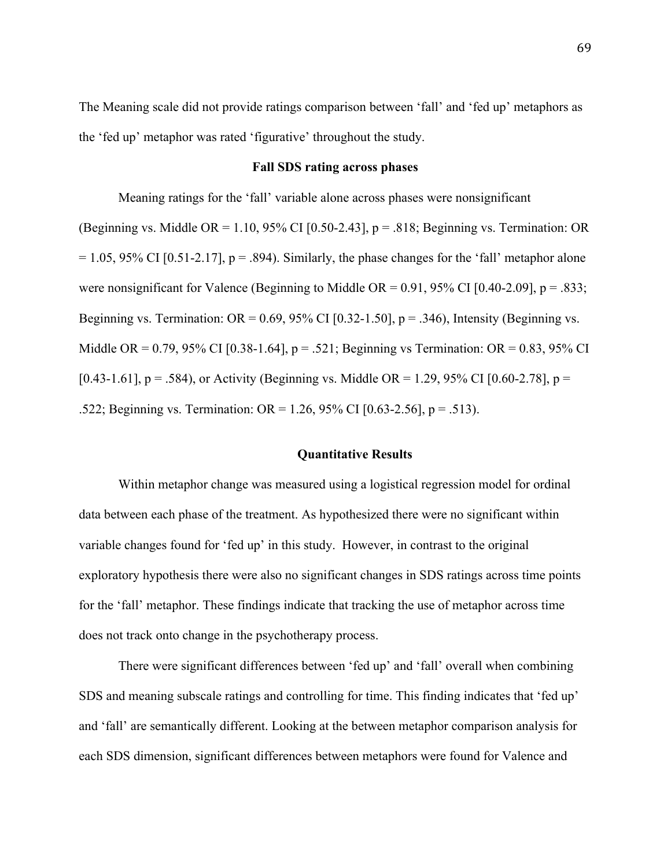The Meaning scale did not provide ratings comparison between 'fall' and 'fed up' metaphors as the 'fed up' metaphor was rated 'figurative' throughout the study.

## **Fall SDS rating across phases**

Meaning ratings for the 'fall' variable alone across phases were nonsignificant

(Beginning vs. Middle OR = 1.10, 95% CI [0.50-2.43],  $p = .818$ ; Beginning vs. Termination: OR  $= 1.05, 95\%$  CI [0.51-2.17], p = .894). Similarly, the phase changes for the 'fall' metaphor alone were nonsignificant for Valence (Beginning to Middle OR =  $0.91$ ,  $95\%$  CI [0.40-2.09], p = .833; Beginning vs. Termination:  $OR = 0.69$ , 95% CI [0.32-1.50],  $p = .346$ ), Intensity (Beginning vs. Middle OR = 0.79, 95% CI [0.38-1.64],  $p = .521$ ; Beginning vs Termination: OR = 0.83, 95% CI [0.43-1.61],  $p = .584$ ), or Activity (Beginning vs. Middle OR = 1.29, 95% CI [0.60-2.78],  $p =$ .522; Beginning vs. Termination: OR = 1.26, 95% CI [0.63-2.56], p = .513).

## **Quantitative Results**

Within metaphor change was measured using a logistical regression model for ordinal data between each phase of the treatment. As hypothesized there were no significant within variable changes found for 'fed up' in this study. However, in contrast to the original exploratory hypothesis there were also no significant changes in SDS ratings across time points for the 'fall' metaphor. These findings indicate that tracking the use of metaphor across time does not track onto change in the psychotherapy process.

There were significant differences between 'fed up' and 'fall' overall when combining SDS and meaning subscale ratings and controlling for time. This finding indicates that 'fed up' and 'fall' are semantically different. Looking at the between metaphor comparison analysis for each SDS dimension, significant differences between metaphors were found for Valence and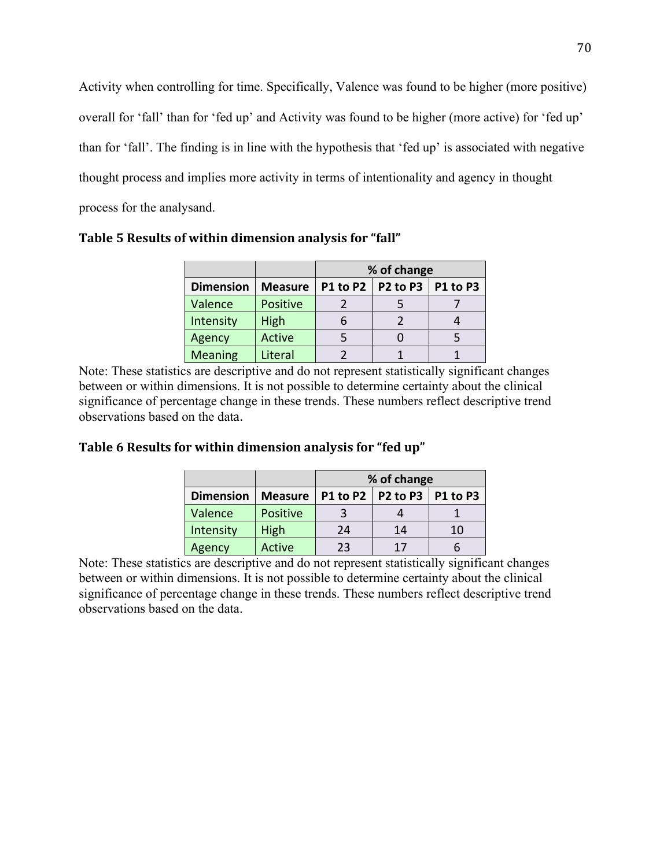Activity when controlling for time. Specifically, Valence was found to be higher (more positive) overall for 'fall' than for 'fed up' and Activity was found to be higher (more active) for 'fed up' than for 'fall'. The finding is in line with the hypothesis that 'fed up' is associated with negative thought process and implies more activity in terms of intentionality and agency in thought process for the analysand.

|                  |                | % of change |                                |  |
|------------------|----------------|-------------|--------------------------------|--|
| <b>Dimension</b> | <b>Measure</b> |             | P1 to P2   P2 to P3   P1 to P3 |  |
| Valence          | Positive       |             |                                |  |
| Intensity        | High           |             |                                |  |
| Agency           | Active         |             |                                |  |
| <b>Meaning</b>   | Literal        |             |                                |  |

Table 5 Results of within dimension analysis for "fall"

Note: These statistics are descriptive and do not represent statistically significant changes between or within dimensions. It is not possible to determine certainty about the clinical significance of percentage change in these trends. These numbers reflect descriptive trend observations based on the data.

# Table 6 Results for within dimension analysis for "fed up"

|                  |                | % of change |                                |    |
|------------------|----------------|-------------|--------------------------------|----|
| <b>Dimension</b> | <b>Measure</b> |             | P1 to P2   P2 to P3   P1 to P3 |    |
| Valence          | Positive       |             |                                |    |
| Intensity        | High           | 24          | 14                             | 10 |
| Agency           | Active         | 23          | 17                             |    |

Note: These statistics are descriptive and do not represent statistically significant changes between or within dimensions. It is not possible to determine certainty about the clinical significance of percentage change in these trends. These numbers reflect descriptive trend observations based on the data.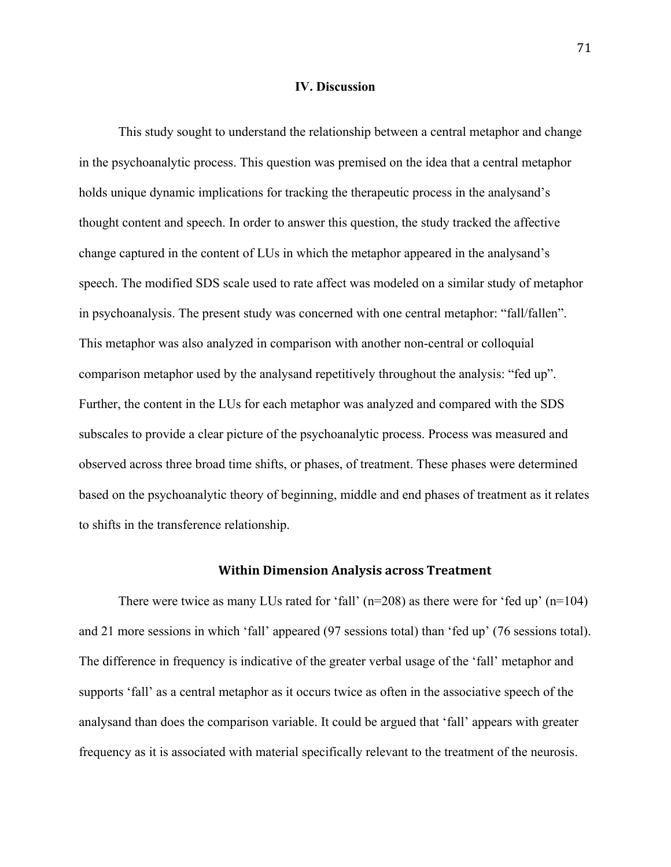## **IV. Discussion**

This study sought to understand the relationship between a central metaphor and change in the psychoanalytic process. This question was premised on the idea that a central metaphor holds unique dynamic implications for tracking the therapeutic process in the analysand's thought content and speech. In order to answer this question, the study tracked the affective change captured in the content of LUs in which the metaphor appeared in the analysand's speech. The modified SDS scale used to rate affect was modeled on a similar study of metaphor in psychoanalysis. The present study was concerned with one central metaphor: "fall/fallen". This metaphor was also analyzed in comparison with another non-central or colloquial comparison metaphor used by the analysand repetitively throughout the analysis: "fed up". Further, the content in the LUs for each metaphor was analyzed and compared with the SDS subscales to provide a clear picture of the psychoanalytic process. Process was measured and observed across three broad time shifts, or phases, of treatment. These phases were determined based on the psychoanalytic theory of beginning, middle and end phases of treatment as it relates to shifts in the transference relationship.

#### **Within Dimension Analysis across Treatment**

There were twice as many LUs rated for 'fall'  $(n=208)$  as there were for 'fed up'  $(n=104)$ and 21 more sessions in which 'fall' appeared (97 sessions total) than 'fed up' (76 sessions total). The difference in frequency is indicative of the greater verbal usage of the 'fall' metaphor and supports 'fall' as a central metaphor as it occurs twice as often in the associative speech of the analysand than does the comparison variable. It could be argued that 'fall' appears with greater frequency as it is associated with material specifically relevant to the treatment of the neurosis.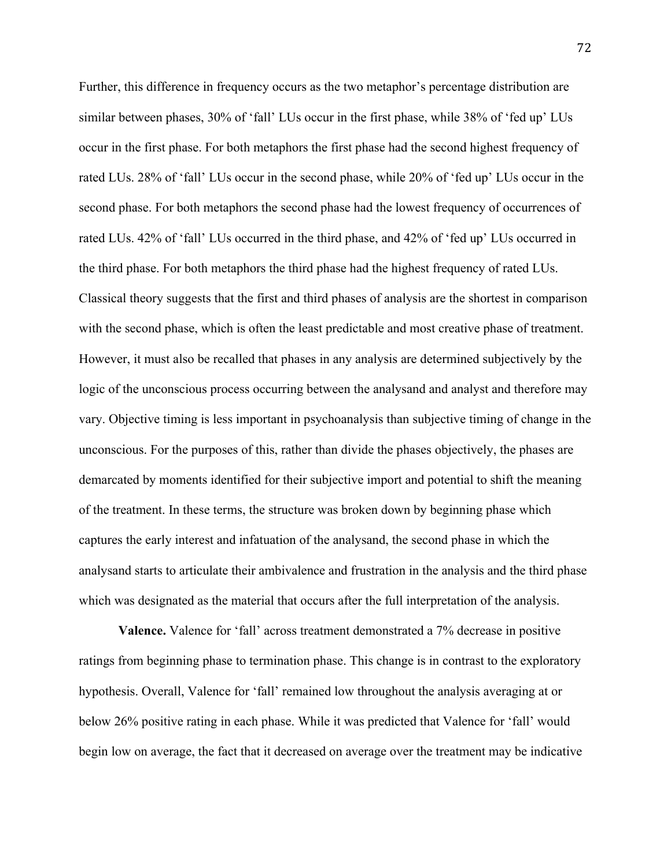Further, this difference in frequency occurs as the two metaphor's percentage distribution are similar between phases, 30% of 'fall' LUs occur in the first phase, while 38% of 'fed up' LUs occur in the first phase. For both metaphors the first phase had the second highest frequency of rated LUs. 28% of 'fall' LUs occur in the second phase, while 20% of 'fed up' LUs occur in the second phase. For both metaphors the second phase had the lowest frequency of occurrences of rated LUs. 42% of 'fall' LUs occurred in the third phase, and 42% of 'fed up' LUs occurred in the third phase. For both metaphors the third phase had the highest frequency of rated LUs. Classical theory suggests that the first and third phases of analysis are the shortest in comparison with the second phase, which is often the least predictable and most creative phase of treatment. However, it must also be recalled that phases in any analysis are determined subjectively by the logic of the unconscious process occurring between the analysand and analyst and therefore may vary. Objective timing is less important in psychoanalysis than subjective timing of change in the unconscious. For the purposes of this, rather than divide the phases objectively, the phases are demarcated by moments identified for their subjective import and potential to shift the meaning of the treatment. In these terms, the structure was broken down by beginning phase which captures the early interest and infatuation of the analysand, the second phase in which the analysand starts to articulate their ambivalence and frustration in the analysis and the third phase which was designated as the material that occurs after the full interpretation of the analysis.

**Valence.** Valence for 'fall' across treatment demonstrated a 7% decrease in positive ratings from beginning phase to termination phase. This change is in contrast to the exploratory hypothesis. Overall, Valence for 'fall' remained low throughout the analysis averaging at or below 26% positive rating in each phase. While it was predicted that Valence for 'fall' would begin low on average, the fact that it decreased on average over the treatment may be indicative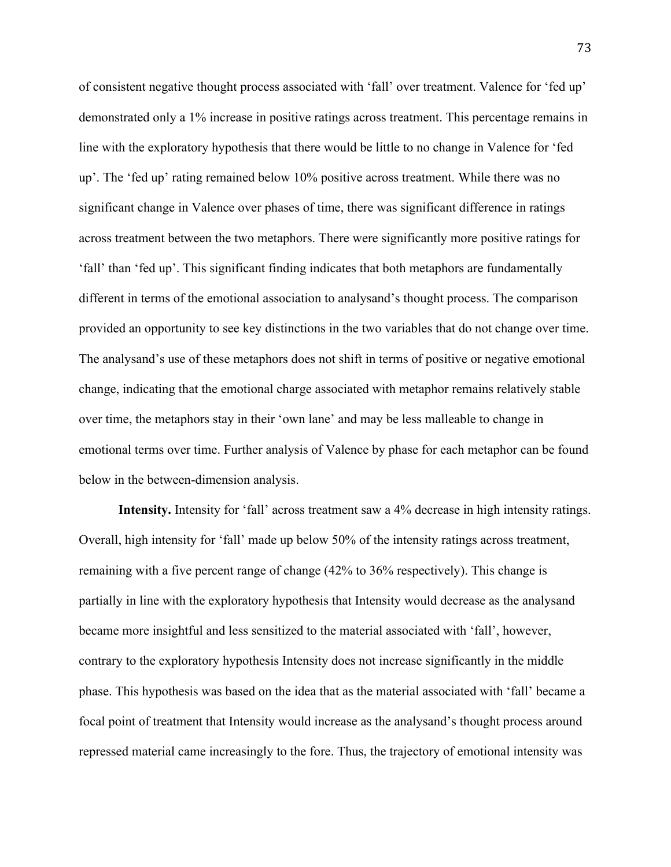of consistent negative thought process associated with 'fall' over treatment. Valence for 'fed up' demonstrated only a 1% increase in positive ratings across treatment. This percentage remains in line with the exploratory hypothesis that there would be little to no change in Valence for 'fed up'. The 'fed up' rating remained below 10% positive across treatment. While there was no significant change in Valence over phases of time, there was significant difference in ratings across treatment between the two metaphors. There were significantly more positive ratings for 'fall' than 'fed up'. This significant finding indicates that both metaphors are fundamentally different in terms of the emotional association to analysand's thought process. The comparison provided an opportunity to see key distinctions in the two variables that do not change over time. The analysand's use of these metaphors does not shift in terms of positive or negative emotional change, indicating that the emotional charge associated with metaphor remains relatively stable over time, the metaphors stay in their 'own lane' and may be less malleable to change in emotional terms over time. Further analysis of Valence by phase for each metaphor can be found below in the between-dimension analysis.

**Intensity.** Intensity for 'fall' across treatment saw a 4% decrease in high intensity ratings. Overall, high intensity for 'fall' made up below 50% of the intensity ratings across treatment, remaining with a five percent range of change (42% to 36% respectively). This change is partially in line with the exploratory hypothesis that Intensity would decrease as the analysand became more insightful and less sensitized to the material associated with 'fall', however, contrary to the exploratory hypothesis Intensity does not increase significantly in the middle phase. This hypothesis was based on the idea that as the material associated with 'fall' became a focal point of treatment that Intensity would increase as the analysand's thought process around repressed material came increasingly to the fore. Thus, the trajectory of emotional intensity was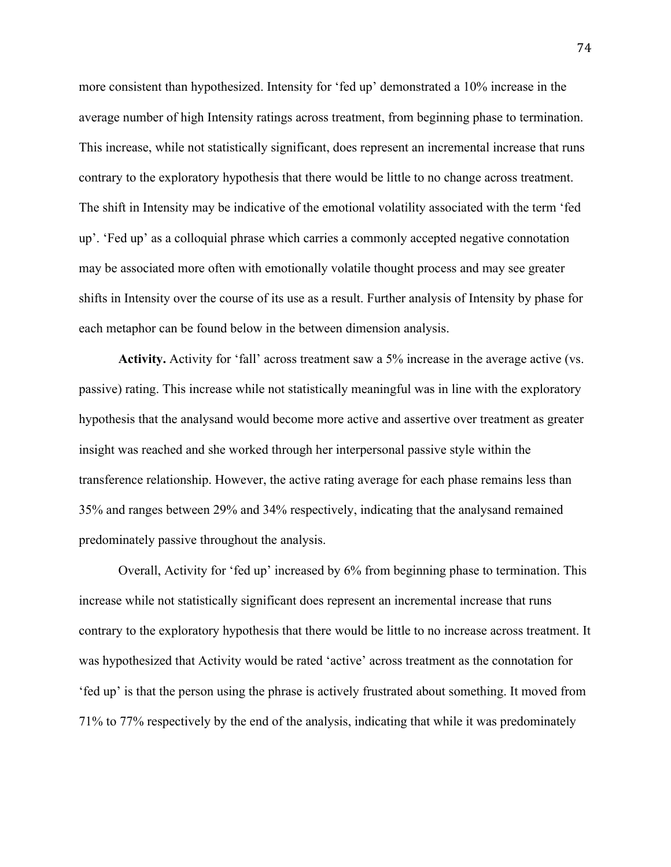more consistent than hypothesized. Intensity for 'fed up' demonstrated a 10% increase in the average number of high Intensity ratings across treatment, from beginning phase to termination. This increase, while not statistically significant, does represent an incremental increase that runs contrary to the exploratory hypothesis that there would be little to no change across treatment. The shift in Intensity may be indicative of the emotional volatility associated with the term 'fed up'. 'Fed up' as a colloquial phrase which carries a commonly accepted negative connotation may be associated more often with emotionally volatile thought process and may see greater shifts in Intensity over the course of its use as a result. Further analysis of Intensity by phase for each metaphor can be found below in the between dimension analysis.

**Activity.** Activity for 'fall' across treatment saw a 5% increase in the average active (vs. passive) rating. This increase while not statistically meaningful was in line with the exploratory hypothesis that the analysand would become more active and assertive over treatment as greater insight was reached and she worked through her interpersonal passive style within the transference relationship. However, the active rating average for each phase remains less than 35% and ranges between 29% and 34% respectively, indicating that the analysand remained predominately passive throughout the analysis.

Overall, Activity for 'fed up' increased by 6% from beginning phase to termination. This increase while not statistically significant does represent an incremental increase that runs contrary to the exploratory hypothesis that there would be little to no increase across treatment. It was hypothesized that Activity would be rated 'active' across treatment as the connotation for 'fed up' is that the person using the phrase is actively frustrated about something. It moved from 71% to 77% respectively by the end of the analysis, indicating that while it was predominately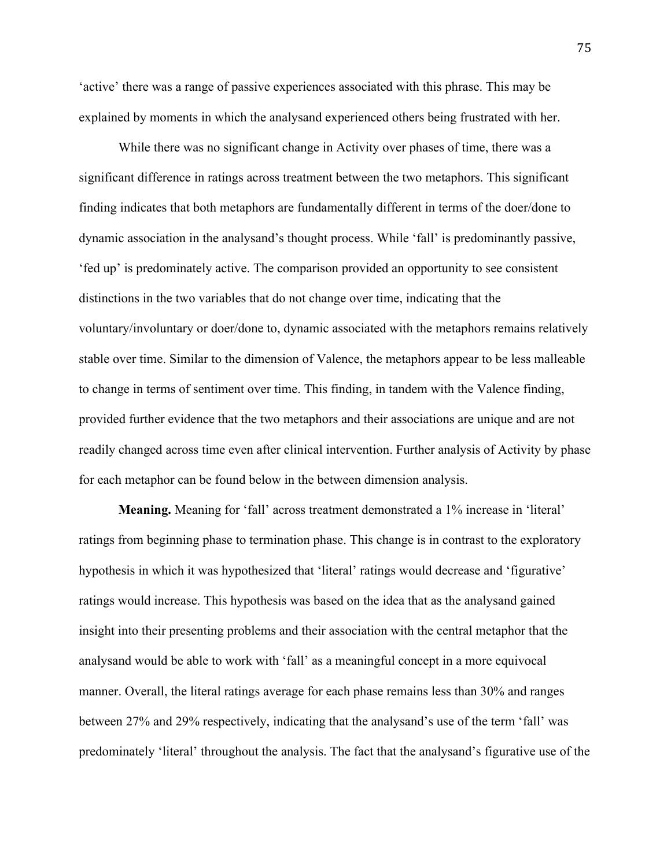'active' there was a range of passive experiences associated with this phrase. This may be explained by moments in which the analysand experienced others being frustrated with her.

While there was no significant change in Activity over phases of time, there was a significant difference in ratings across treatment between the two metaphors. This significant finding indicates that both metaphors are fundamentally different in terms of the doer/done to dynamic association in the analysand's thought process. While 'fall' is predominantly passive, 'fed up' is predominately active. The comparison provided an opportunity to see consistent distinctions in the two variables that do not change over time, indicating that the voluntary/involuntary or doer/done to, dynamic associated with the metaphors remains relatively stable over time. Similar to the dimension of Valence, the metaphors appear to be less malleable to change in terms of sentiment over time. This finding, in tandem with the Valence finding, provided further evidence that the two metaphors and their associations are unique and are not readily changed across time even after clinical intervention. Further analysis of Activity by phase for each metaphor can be found below in the between dimension analysis.

**Meaning.** Meaning for 'fall' across treatment demonstrated a 1% increase in 'literal' ratings from beginning phase to termination phase. This change is in contrast to the exploratory hypothesis in which it was hypothesized that 'literal' ratings would decrease and 'figurative' ratings would increase. This hypothesis was based on the idea that as the analysand gained insight into their presenting problems and their association with the central metaphor that the analysand would be able to work with 'fall' as a meaningful concept in a more equivocal manner. Overall, the literal ratings average for each phase remains less than 30% and ranges between 27% and 29% respectively, indicating that the analysand's use of the term 'fall' was predominately 'literal' throughout the analysis. The fact that the analysand's figurative use of the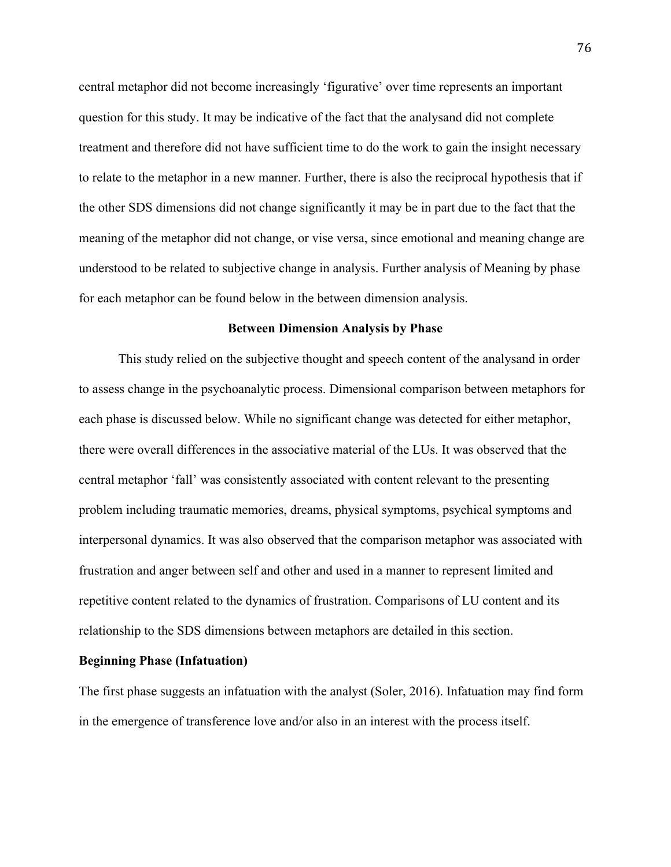central metaphor did not become increasingly 'figurative' over time represents an important question for this study. It may be indicative of the fact that the analysand did not complete treatment and therefore did not have sufficient time to do the work to gain the insight necessary to relate to the metaphor in a new manner. Further, there is also the reciprocal hypothesis that if the other SDS dimensions did not change significantly it may be in part due to the fact that the meaning of the metaphor did not change, or vise versa, since emotional and meaning change are understood to be related to subjective change in analysis. Further analysis of Meaning by phase for each metaphor can be found below in the between dimension analysis.

#### **Between Dimension Analysis by Phase**

This study relied on the subjective thought and speech content of the analysand in order to assess change in the psychoanalytic process. Dimensional comparison between metaphors for each phase is discussed below. While no significant change was detected for either metaphor, there were overall differences in the associative material of the LUs. It was observed that the central metaphor 'fall' was consistently associated with content relevant to the presenting problem including traumatic memories, dreams, physical symptoms, psychical symptoms and interpersonal dynamics. It was also observed that the comparison metaphor was associated with frustration and anger between self and other and used in a manner to represent limited and repetitive content related to the dynamics of frustration. Comparisons of LU content and its relationship to the SDS dimensions between metaphors are detailed in this section.

### **Beginning Phase (Infatuation)**

The first phase suggests an infatuation with the analyst (Soler, 2016). Infatuation may find form in the emergence of transference love and/or also in an interest with the process itself.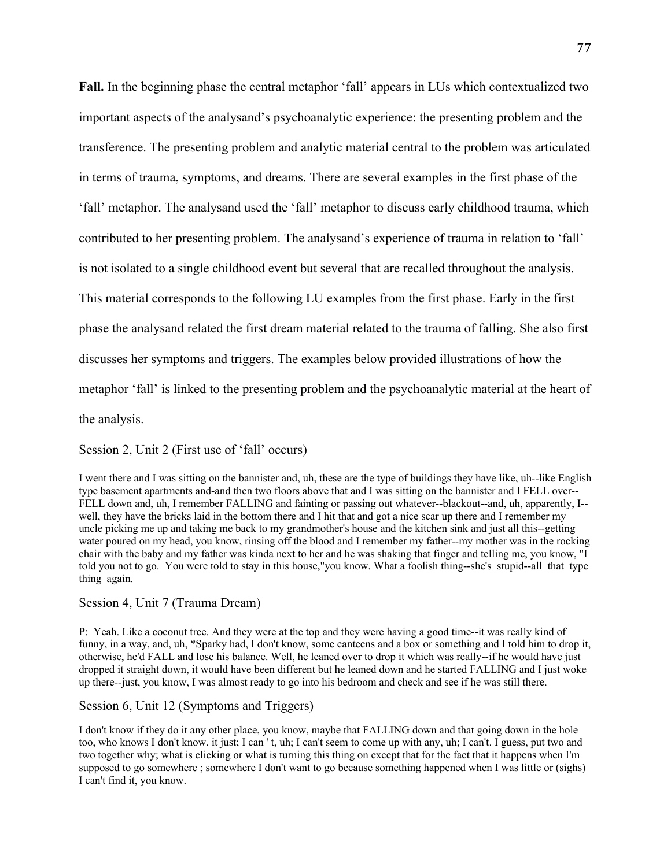**Fall.** In the beginning phase the central metaphor 'fall' appears in LUs which contextualized two important aspects of the analysand's psychoanalytic experience: the presenting problem and the transference. The presenting problem and analytic material central to the problem was articulated in terms of trauma, symptoms, and dreams. There are several examples in the first phase of the 'fall' metaphor. The analysand used the 'fall' metaphor to discuss early childhood trauma, which contributed to her presenting problem. The analysand's experience of trauma in relation to 'fall' is not isolated to a single childhood event but several that are recalled throughout the analysis. This material corresponds to the following LU examples from the first phase. Early in the first phase the analysand related the first dream material related to the trauma of falling. She also first discusses her symptoms and triggers. The examples below provided illustrations of how the metaphor 'fall' is linked to the presenting problem and the psychoanalytic material at the heart of the analysis.

Session 2, Unit 2 (First use of 'fall' occurs)

I went there and I was sitting on the bannister and, uh, these are the type of buildings they have like, uh--like English type basement apartments and-and then two floors above that and I was sitting on the bannister and I FELL over-- FELL down and, uh, I remember FALLING and fainting or passing out whatever--blackout--and, uh, apparently, I- well, they have the bricks laid in the bottom there and I hit that and got a nice scar up there and I remember my uncle picking me up and taking me back to my grandmother's house and the kitchen sink and just all this--getting water poured on my head, you know, rinsing off the blood and I remember my father--my mother was in the rocking chair with the baby and my father was kinda next to her and he was shaking that finger and telling me, you know, "I told you not to go. You were told to stay in this house,"you know. What a foolish thing--she's stupid--all that type thing again.

#### Session 4, Unit 7 (Trauma Dream)

P: Yeah. Like a coconut tree. And they were at the top and they were having a good time--it was really kind of funny, in a way, and, uh, \*Sparky had, I don't know, some canteens and a box or something and I told him to drop it, otherwise, he'd FALL and lose his balance. Well, he leaned over to drop it which was really--if he would have just dropped it straight down, it would have been different but he leaned down and he started FALLING and I just woke up there--just, you know, I was almost ready to go into his bedroom and check and see if he was still there.

### Session 6, Unit 12 (Symptoms and Triggers)

I don't know if they do it any other place, you know, maybe that FALLING down and that going down in the hole too, who knows I don't know. it just; I can ' t, uh; I can't seem to come up with any, uh; I can't. I guess, put two and two together why; what is clicking or what is turning this thing on except that for the fact that it happens when I'm supposed to go somewhere ; somewhere I don't want to go because something happened when I was little or (sighs) I can't find it, you know.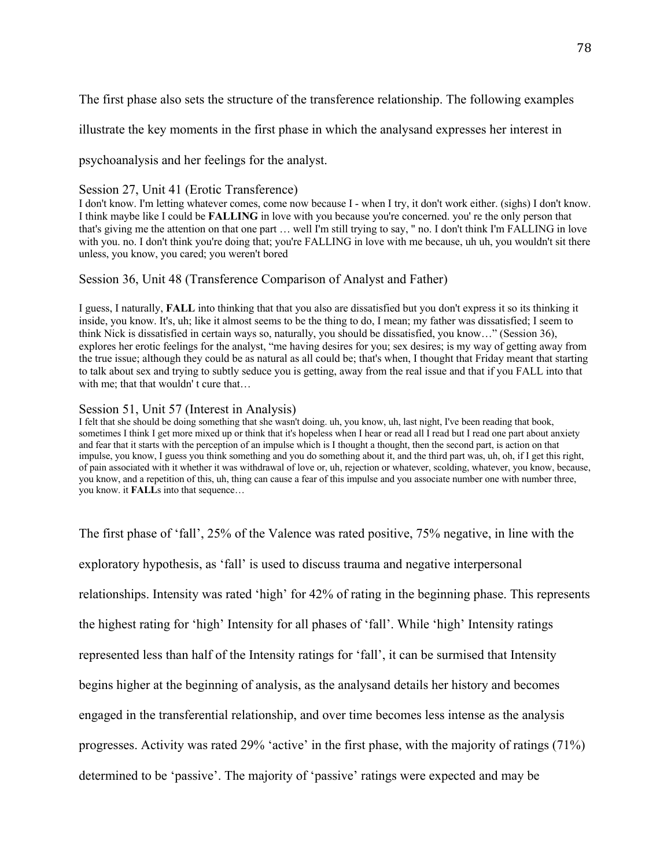The first phase also sets the structure of the transference relationship. The following examples

illustrate the key moments in the first phase in which the analysand expresses her interest in

psychoanalysis and her feelings for the analyst.

# Session 27, Unit 41 (Erotic Transference)

I don't know. I'm letting whatever comes, come now because I - when I try, it don't work either. (sighs) I don't know. I think maybe like I could be **FALLING** in love with you because you're concerned. you' re the only person that that's giving me the attention on that one part … well I'm still trying to say, " no. I don't think I'm FALLING in love with you. no. I don't think you're doing that; you're FALLING in love with me because, uh uh, you wouldn't sit there unless, you know, you cared; you weren't bored

# Session 36, Unit 48 (Transference Comparison of Analyst and Father)

I guess, I naturally, **FALL** into thinking that that you also are dissatisfied but you don't express it so its thinking it inside, you know. It's, uh; like it almost seems to be the thing to do, I mean; my father was dissatisfied; I seem to think Nick is dissatisfied in certain ways so, naturally, you should be dissatisfied, you know…" (Session 36), explores her erotic feelings for the analyst, "me having desires for you; sex desires; is my way of getting away from the true issue; although they could be as natural as all could be; that's when, I thought that Friday meant that starting to talk about sex and trying to subtly seduce you is getting, away from the real issue and that if you FALL into that with me; that that wouldn't cure that...

# Session 51, Unit 57 (Interest in Analysis)

I felt that she should be doing something that she wasn't doing. uh, you know, uh, last night, I've been reading that book, sometimes I think I get more mixed up or think that it's hopeless when I hear or read all I read but I read one part about anxiety and fear that it starts with the perception of an impulse which is I thought a thought, then the second part, is action on that impulse, you know, I guess you think something and you do something about it, and the third part was, uh, oh, if I get this right, of pain associated with it whether it was withdrawal of love or, uh, rejection or whatever, scolding, whatever, you know, because, you know, and a repetition of this, uh, thing can cause a fear of this impulse and you associate number one with number three, you know. it **FALL**s into that sequence…

The first phase of 'fall', 25% of the Valence was rated positive, 75% negative, in line with the exploratory hypothesis, as 'fall' is used to discuss trauma and negative interpersonal relationships. Intensity was rated 'high' for 42% of rating in the beginning phase. This represents the highest rating for 'high' Intensity for all phases of 'fall'. While 'high' Intensity ratings represented less than half of the Intensity ratings for 'fall', it can be surmised that Intensity begins higher at the beginning of analysis, as the analysand details her history and becomes engaged in the transferential relationship, and over time becomes less intense as the analysis progresses. Activity was rated 29% 'active' in the first phase, with the majority of ratings (71%) determined to be 'passive'. The majority of 'passive' ratings were expected and may be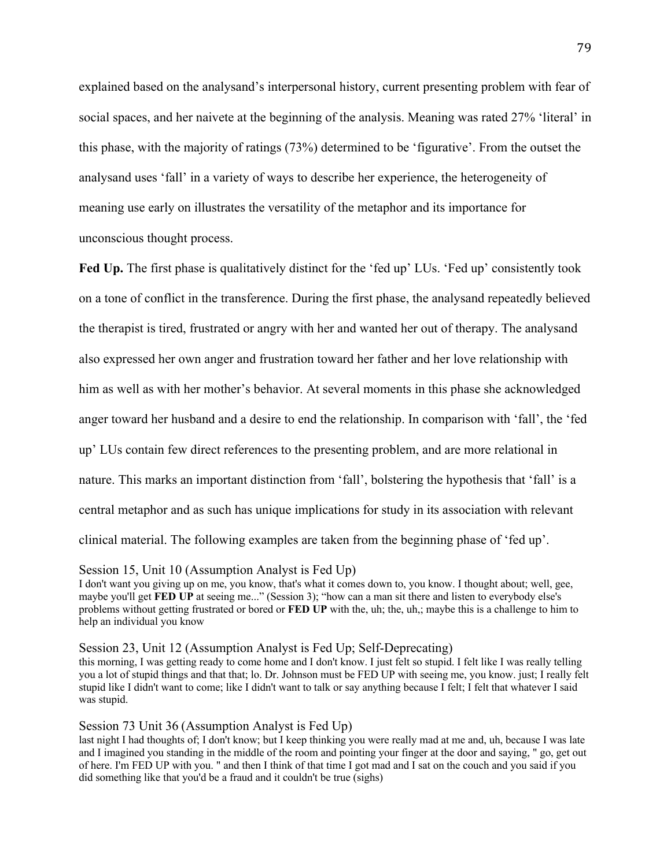explained based on the analysand's interpersonal history, current presenting problem with fear of social spaces, and her naivete at the beginning of the analysis. Meaning was rated 27% 'literal' in this phase, with the majority of ratings (73%) determined to be 'figurative'. From the outset the analysand uses 'fall' in a variety of ways to describe her experience, the heterogeneity of meaning use early on illustrates the versatility of the metaphor and its importance for unconscious thought process.

Fed Up. The first phase is qualitatively distinct for the 'fed up' LUs. 'Fed up' consistently took on a tone of conflict in the transference. During the first phase, the analysand repeatedly believed the therapist is tired, frustrated or angry with her and wanted her out of therapy. The analysand also expressed her own anger and frustration toward her father and her love relationship with him as well as with her mother's behavior. At several moments in this phase she acknowledged anger toward her husband and a desire to end the relationship. In comparison with 'fall', the 'fed up' LUs contain few direct references to the presenting problem, and are more relational in nature. This marks an important distinction from 'fall', bolstering the hypothesis that 'fall' is a central metaphor and as such has unique implications for study in its association with relevant clinical material. The following examples are taken from the beginning phase of 'fed up'.

#### Session 15, Unit 10 (Assumption Analyst is Fed Up)

I don't want you giving up on me, you know, that's what it comes down to, you know. I thought about; well, gee, maybe you'll get **FED UP** at seeing me..." (Session 3); "how can a man sit there and listen to everybody else's problems without getting frustrated or bored or **FED UP** with the, uh; the, uh,; maybe this is a challenge to him to help an individual you know

#### Session 23, Unit 12 (Assumption Analyst is Fed Up; Self-Deprecating)

this morning, I was getting ready to come home and I don't know. I just felt so stupid. I felt like I was really telling you a lot of stupid things and that that; lo. Dr. Johnson must be FED UP with seeing me, you know. just; I really felt stupid like I didn't want to come; like I didn't want to talk or say anything because I felt; I felt that whatever I said was stupid.

### Session 73 Unit 36 (Assumption Analyst is Fed Up)

last night I had thoughts of; I don't know; but I keep thinking you were really mad at me and, uh, because I was late and I imagined you standing in the middle of the room and pointing your finger at the door and saying, " go, get out of here. I'm FED UP with you. " and then I think of that time I got mad and I sat on the couch and you said if you did something like that you'd be a fraud and it couldn't be true (sighs)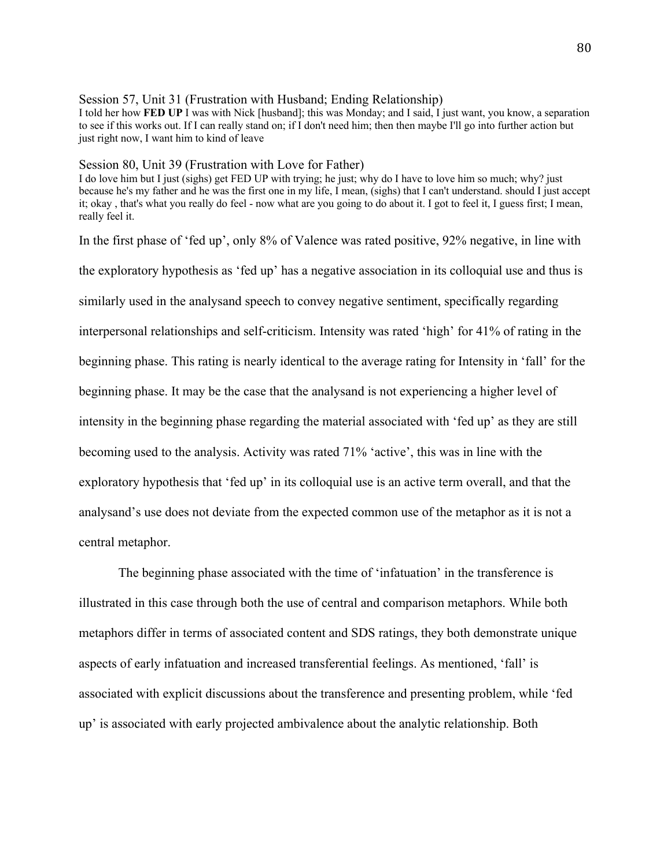### Session 57, Unit 31 (Frustration with Husband; Ending Relationship)

I told her how **FED UP** I was with Nick [husband]; this was Monday; and I said, I just want, you know, a separation to see if this works out. If I can really stand on; if I don't need him; then then maybe I'll go into further action but just right now, I want him to kind of leave

## Session 80, Unit 39 (Frustration with Love for Father)

I do love him but I just (sighs) get FED UP with trying; he just; why do I have to love him so much; why? just because he's my father and he was the first one in my life, I mean, (sighs) that I can't understand. should I just accept it; okay , that's what you really do feel - now what are you going to do about it. I got to feel it, I guess first; I mean, really feel it.

In the first phase of 'fed up', only 8% of Valence was rated positive, 92% negative, in line with the exploratory hypothesis as 'fed up' has a negative association in its colloquial use and thus is similarly used in the analysand speech to convey negative sentiment, specifically regarding interpersonal relationships and self-criticism. Intensity was rated 'high' for 41% of rating in the beginning phase. This rating is nearly identical to the average rating for Intensity in 'fall' for the beginning phase. It may be the case that the analysand is not experiencing a higher level of intensity in the beginning phase regarding the material associated with 'fed up' as they are still becoming used to the analysis. Activity was rated 71% 'active', this was in line with the exploratory hypothesis that 'fed up' in its colloquial use is an active term overall, and that the analysand's use does not deviate from the expected common use of the metaphor as it is not a central metaphor.

The beginning phase associated with the time of 'infatuation' in the transference is illustrated in this case through both the use of central and comparison metaphors. While both metaphors differ in terms of associated content and SDS ratings, they both demonstrate unique aspects of early infatuation and increased transferential feelings. As mentioned, 'fall' is associated with explicit discussions about the transference and presenting problem, while 'fed up' is associated with early projected ambivalence about the analytic relationship. Both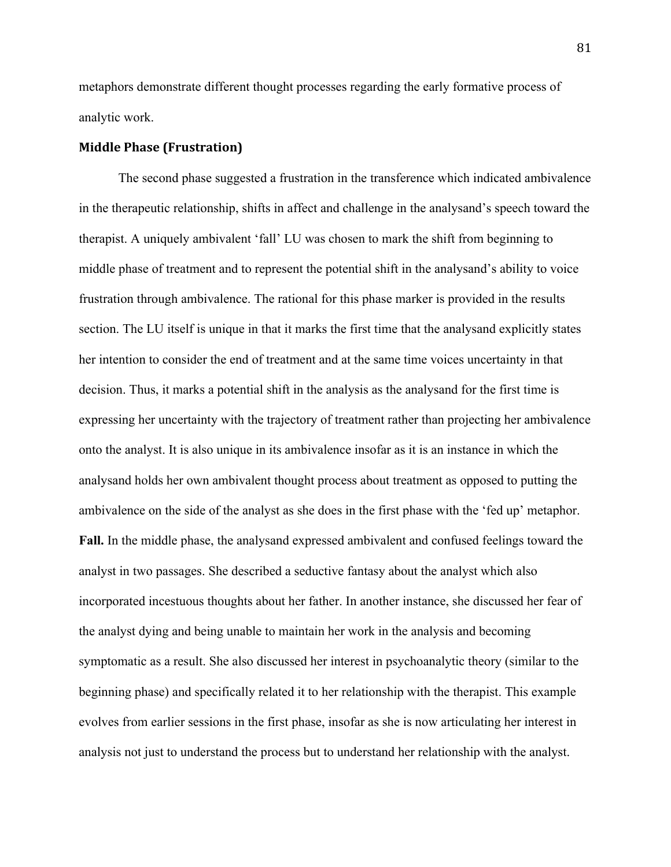metaphors demonstrate different thought processes regarding the early formative process of analytic work.

# **Middle Phase (Frustration)**

The second phase suggested a frustration in the transference which indicated ambivalence in the therapeutic relationship, shifts in affect and challenge in the analysand's speech toward the therapist. A uniquely ambivalent 'fall' LU was chosen to mark the shift from beginning to middle phase of treatment and to represent the potential shift in the analysand's ability to voice frustration through ambivalence. The rational for this phase marker is provided in the results section. The LU itself is unique in that it marks the first time that the analysand explicitly states her intention to consider the end of treatment and at the same time voices uncertainty in that decision. Thus, it marks a potential shift in the analysis as the analysand for the first time is expressing her uncertainty with the trajectory of treatment rather than projecting her ambivalence onto the analyst. It is also unique in its ambivalence insofar as it is an instance in which the analysand holds her own ambivalent thought process about treatment as opposed to putting the ambivalence on the side of the analyst as she does in the first phase with the 'fed up' metaphor. **Fall.** In the middle phase, the analysand expressed ambivalent and confused feelings toward the analyst in two passages. She described a seductive fantasy about the analyst which also incorporated incestuous thoughts about her father. In another instance, she discussed her fear of the analyst dying and being unable to maintain her work in the analysis and becoming symptomatic as a result. She also discussed her interest in psychoanalytic theory (similar to the beginning phase) and specifically related it to her relationship with the therapist. This example evolves from earlier sessions in the first phase, insofar as she is now articulating her interest in analysis not just to understand the process but to understand her relationship with the analyst.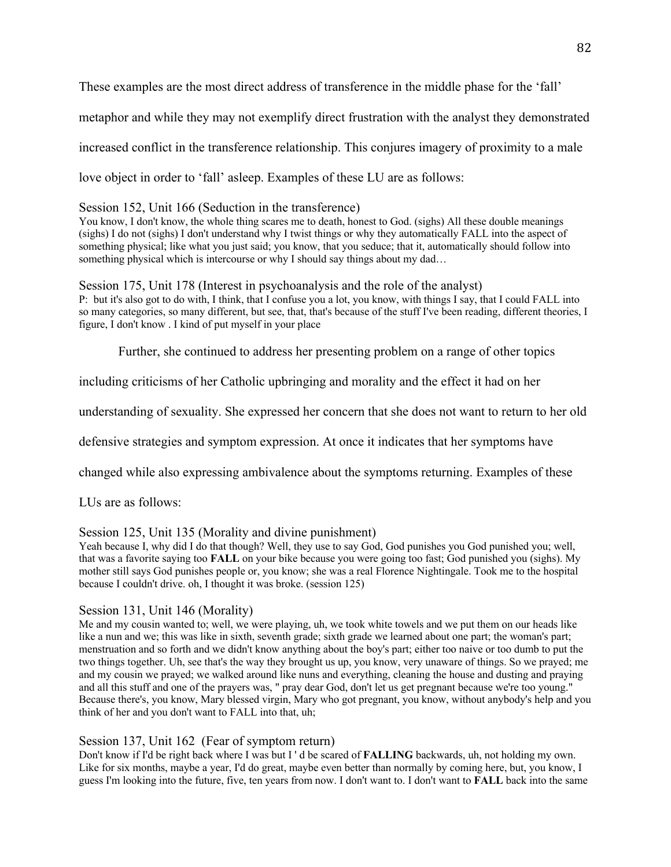These examples are the most direct address of transference in the middle phase for the 'fall' metaphor and while they may not exemplify direct frustration with the analyst they demonstrated increased conflict in the transference relationship. This conjures imagery of proximity to a male love object in order to 'fall' asleep. Examples of these LU are as follows:

## Session 152, Unit 166 (Seduction in the transference)

You know, I don't know, the whole thing scares me to death, honest to God. (sighs) All these double meanings (sighs) I do not (sighs) I don't understand why I twist things or why they automatically FALL into the aspect of something physical; like what you just said; you know, that you seduce; that it, automatically should follow into something physical which is intercourse or why I should say things about my dad…

Session 175, Unit 178 (Interest in psychoanalysis and the role of the analyst) P: but it's also got to do with, I think, that I confuse you a lot, you know, with things I say, that I could FALL into so many categories, so many different, but see, that, that's because of the stuff I've been reading, different theories, I figure, I don't know . I kind of put myself in your place

Further, she continued to address her presenting problem on a range of other topics

including criticisms of her Catholic upbringing and morality and the effect it had on her

understanding of sexuality. She expressed her concern that she does not want to return to her old

defensive strategies and symptom expression. At once it indicates that her symptoms have

changed while also expressing ambivalence about the symptoms returning. Examples of these

LUs are as follows:

# Session 125, Unit 135 (Morality and divine punishment)

Yeah because I, why did I do that though? Well, they use to say God, God punishes you God punished you; well, that was a favorite saying too **FALL** on your bike because you were going too fast; God punished you (sighs). My mother still says God punishes people or, you know; she was a real Florence Nightingale. Took me to the hospital because I couldn't drive. oh, I thought it was broke. (session 125)

# Session 131, Unit 146 (Morality)

Me and my cousin wanted to; well, we were playing, uh, we took white towels and we put them on our heads like like a nun and we; this was like in sixth, seventh grade; sixth grade we learned about one part; the woman's part; menstruation and so forth and we didn't know anything about the boy's part; either too naive or too dumb to put the two things together. Uh, see that's the way they brought us up, you know, very unaware of things. So we prayed; me and my cousin we prayed; we walked around like nuns and everything, cleaning the house and dusting and praying and all this stuff and one of the prayers was, " pray dear God, don't let us get pregnant because we're too young." Because there's, you know, Mary blessed virgin, Mary who got pregnant, you know, without anybody's help and you think of her and you don't want to FALL into that, uh;

# Session 137, Unit 162 (Fear of symptom return)

Don't know if I'd be right back where I was but I ' d be scared of **FALLING** backwards, uh, not holding my own. Like for six months, maybe a year, I'd do great, maybe even better than normally by coming here, but, you know, I guess I'm looking into the future, five, ten years from now. I don't want to. I don't want to **FALL** back into the same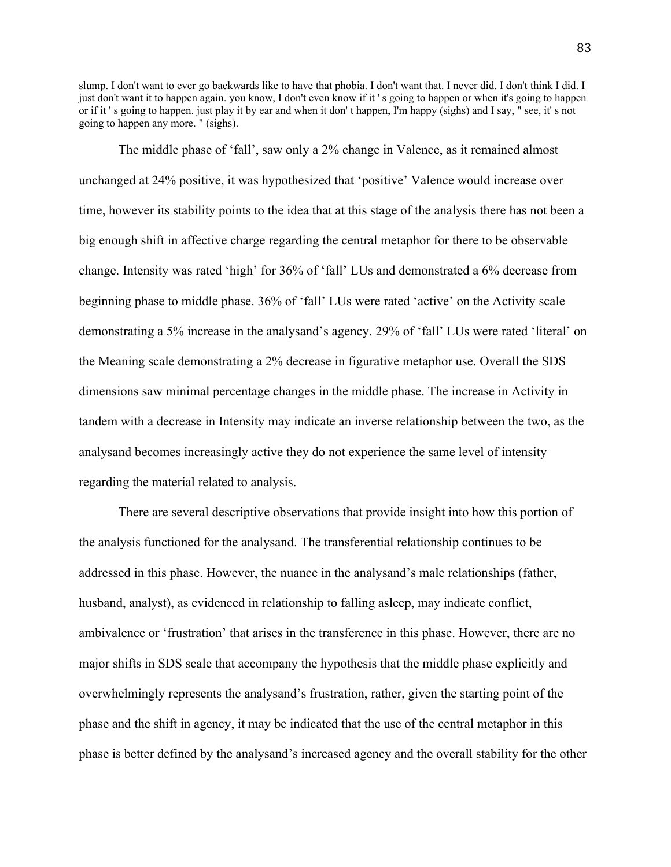slump. I don't want to ever go backwards like to have that phobia. I don't want that. I never did. I don't think I did. I just don't want it to happen again. you know, I don't even know if it ' s going to happen or when it's going to happen or if it ' s going to happen. just play it by ear and when it don' t happen, I'm happy (sighs) and I say, " see, it' s not going to happen any more. " (sighs).

The middle phase of 'fall', saw only a 2% change in Valence, as it remained almost unchanged at 24% positive, it was hypothesized that 'positive' Valence would increase over time, however its stability points to the idea that at this stage of the analysis there has not been a big enough shift in affective charge regarding the central metaphor for there to be observable change. Intensity was rated 'high' for 36% of 'fall' LUs and demonstrated a 6% decrease from beginning phase to middle phase. 36% of 'fall' LUs were rated 'active' on the Activity scale demonstrating a 5% increase in the analysand's agency. 29% of 'fall' LUs were rated 'literal' on the Meaning scale demonstrating a 2% decrease in figurative metaphor use. Overall the SDS dimensions saw minimal percentage changes in the middle phase. The increase in Activity in tandem with a decrease in Intensity may indicate an inverse relationship between the two, as the analysand becomes increasingly active they do not experience the same level of intensity regarding the material related to analysis.

There are several descriptive observations that provide insight into how this portion of the analysis functioned for the analysand. The transferential relationship continues to be addressed in this phase. However, the nuance in the analysand's male relationships (father, husband, analyst), as evidenced in relationship to falling asleep, may indicate conflict, ambivalence or 'frustration' that arises in the transference in this phase. However, there are no major shifts in SDS scale that accompany the hypothesis that the middle phase explicitly and overwhelmingly represents the analysand's frustration, rather, given the starting point of the phase and the shift in agency, it may be indicated that the use of the central metaphor in this phase is better defined by the analysand's increased agency and the overall stability for the other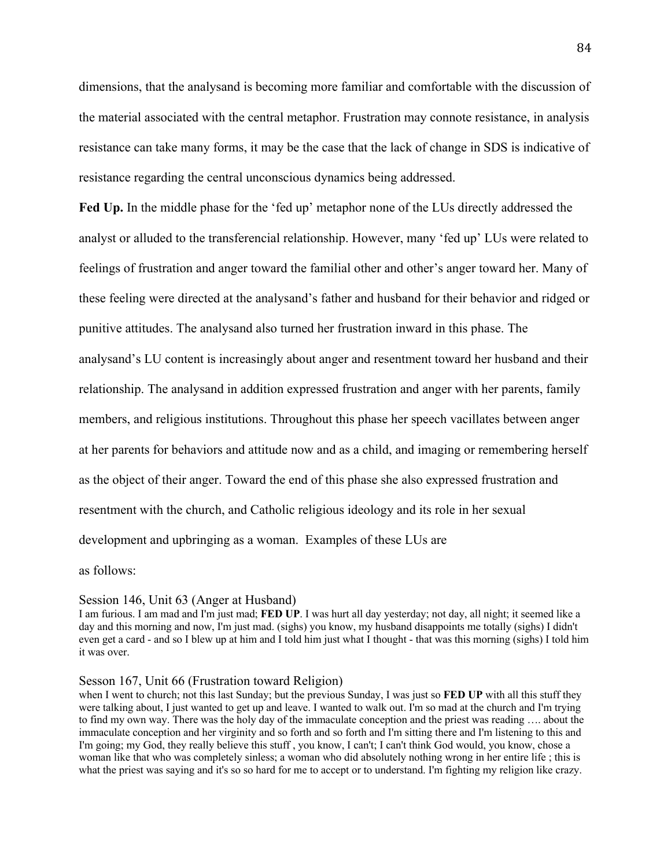dimensions, that the analysand is becoming more familiar and comfortable with the discussion of the material associated with the central metaphor. Frustration may connote resistance, in analysis resistance can take many forms, it may be the case that the lack of change in SDS is indicative of resistance regarding the central unconscious dynamics being addressed.

**Fed Up.** In the middle phase for the 'fed up' metaphor none of the LUs directly addressed the analyst or alluded to the transferencial relationship. However, many 'fed up' LUs were related to feelings of frustration and anger toward the familial other and other's anger toward her. Many of these feeling were directed at the analysand's father and husband for their behavior and ridged or punitive attitudes. The analysand also turned her frustration inward in this phase. The analysand's LU content is increasingly about anger and resentment toward her husband and their relationship. The analysand in addition expressed frustration and anger with her parents, family members, and religious institutions. Throughout this phase her speech vacillates between anger at her parents for behaviors and attitude now and as a child, and imaging or remembering herself as the object of their anger. Toward the end of this phase she also expressed frustration and resentment with the church, and Catholic religious ideology and its role in her sexual development and upbringing as a woman. Examples of these LUs are

as follows:

#### Session 146, Unit 63 (Anger at Husband)

I am furious. I am mad and I'm just mad; **FED UP**. I was hurt all day yesterday; not day, all night; it seemed like a day and this morning and now, I'm just mad. (sighs) you know, my husband disappoints me totally (sighs) I didn't even get a card - and so I blew up at him and I told him just what I thought - that was this morning (sighs) I told him it was over.

### Sesson 167, Unit 66 (Frustration toward Religion)

when I went to church; not this last Sunday; but the previous Sunday, I was just so **FED UP** with all this stuff they were talking about, I just wanted to get up and leave. I wanted to walk out. I'm so mad at the church and I'm trying to find my own way. There was the holy day of the immaculate conception and the priest was reading …. about the immaculate conception and her virginity and so forth and so forth and I'm sitting there and I'm listening to this and I'm going; my God, they really believe this stuff , you know, I can't; I can't think God would, you know, chose a woman like that who was completely sinless; a woman who did absolutely nothing wrong in her entire life ; this is what the priest was saying and it's so so hard for me to accept or to understand. I'm fighting my religion like crazy.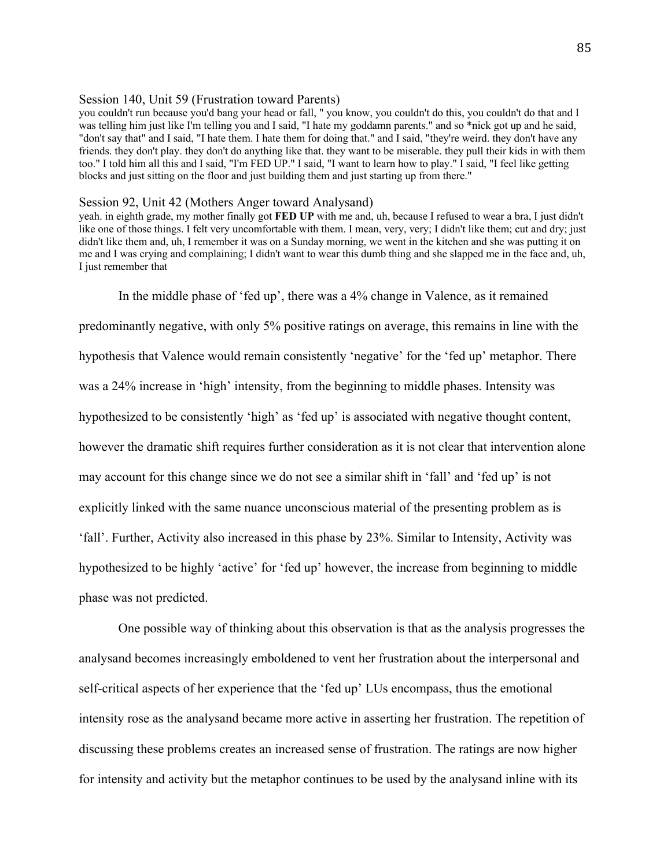### Session 140, Unit 59 (Frustration toward Parents)

you couldn't run because you'd bang your head or fall, " you know, you couldn't do this, you couldn't do that and I was telling him just like I'm telling you and I said, "I hate my goddamn parents." and so \*nick got up and he said, "don't say that" and I said, "I hate them. I hate them for doing that." and I said, "they're weird. they don't have any friends. they don't play. they don't do anything like that. they want to be miserable. they pull their kids in with them too." I told him all this and I said, "I'm FED UP." I said, "I want to learn how to play." I said, "I feel like getting blocks and just sitting on the floor and just building them and just starting up from there."

#### Session 92, Unit 42 (Mothers Anger toward Analysand)

yeah. in eighth grade, my mother finally got **FED UP** with me and, uh, because I refused to wear a bra, I just didn't like one of those things. I felt very uncomfortable with them. I mean, very, very; I didn't like them; cut and dry; just didn't like them and, uh, I remember it was on a Sunday morning, we went in the kitchen and she was putting it on me and I was crying and complaining; I didn't want to wear this dumb thing and she slapped me in the face and, uh, I just remember that

In the middle phase of 'fed up', there was a 4% change in Valence, as it remained predominantly negative, with only 5% positive ratings on average, this remains in line with the hypothesis that Valence would remain consistently 'negative' for the 'fed up' metaphor. There was a 24% increase in 'high' intensity, from the beginning to middle phases. Intensity was hypothesized to be consistently 'high' as 'fed up' is associated with negative thought content, however the dramatic shift requires further consideration as it is not clear that intervention alone may account for this change since we do not see a similar shift in 'fall' and 'fed up' is not explicitly linked with the same nuance unconscious material of the presenting problem as is 'fall'. Further, Activity also increased in this phase by 23%. Similar to Intensity, Activity was hypothesized to be highly 'active' for 'fed up' however, the increase from beginning to middle phase was not predicted.

One possible way of thinking about this observation is that as the analysis progresses the analysand becomes increasingly emboldened to vent her frustration about the interpersonal and self-critical aspects of her experience that the 'fed up' LUs encompass, thus the emotional intensity rose as the analysand became more active in asserting her frustration. The repetition of discussing these problems creates an increased sense of frustration. The ratings are now higher for intensity and activity but the metaphor continues to be used by the analysand inline with its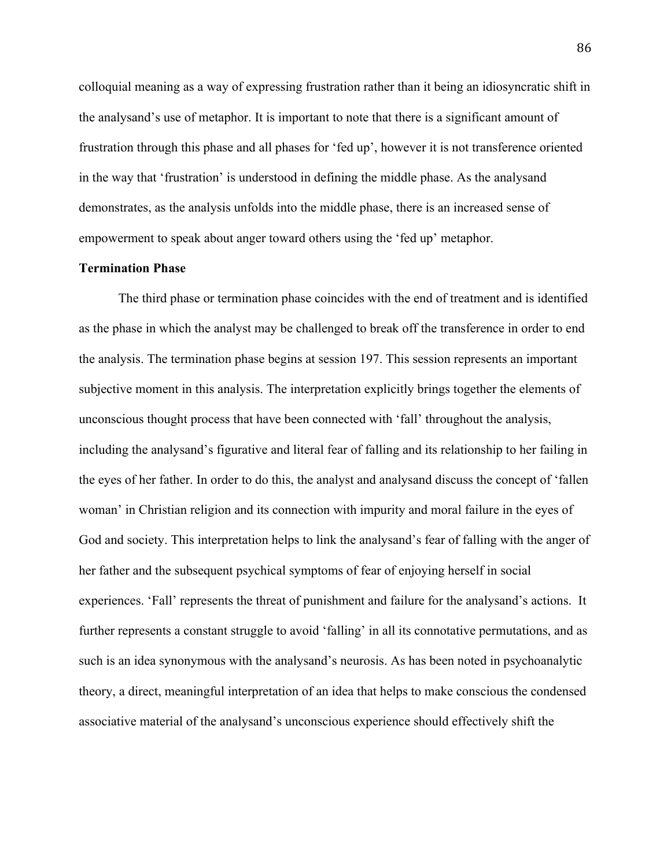colloquial meaning as a way of expressing frustration rather than it being an idiosyncratic shift in the analysand's use of metaphor. It is important to note that there is a significant amount of frustration through this phase and all phases for 'fed up', however it is not transference oriented in the way that 'frustration' is understood in defining the middle phase. As the analysand demonstrates, as the analysis unfolds into the middle phase, there is an increased sense of empowerment to speak about anger toward others using the 'fed up' metaphor.

# **Termination Phase**

The third phase or termination phase coincides with the end of treatment and is identified as the phase in which the analyst may be challenged to break off the transference in order to end the analysis. The termination phase begins at session 197. This session represents an important subjective moment in this analysis. The interpretation explicitly brings together the elements of unconscious thought process that have been connected with 'fall' throughout the analysis, including the analysand's figurative and literal fear of falling and its relationship to her failing in the eyes of her father. In order to do this, the analyst and analysand discuss the concept of 'fallen woman' in Christian religion and its connection with impurity and moral failure in the eyes of God and society. This interpretation helps to link the analysand's fear of falling with the anger of her father and the subsequent psychical symptoms of fear of enjoying herself in social experiences. 'Fall' represents the threat of punishment and failure for the analysand's actions. It further represents a constant struggle to avoid 'falling' in all its connotative permutations, and as such is an idea synonymous with the analysand's neurosis. As has been noted in psychoanalytic theory, a direct, meaningful interpretation of an idea that helps to make conscious the condensed associative material of the analysand's unconscious experience should effectively shift the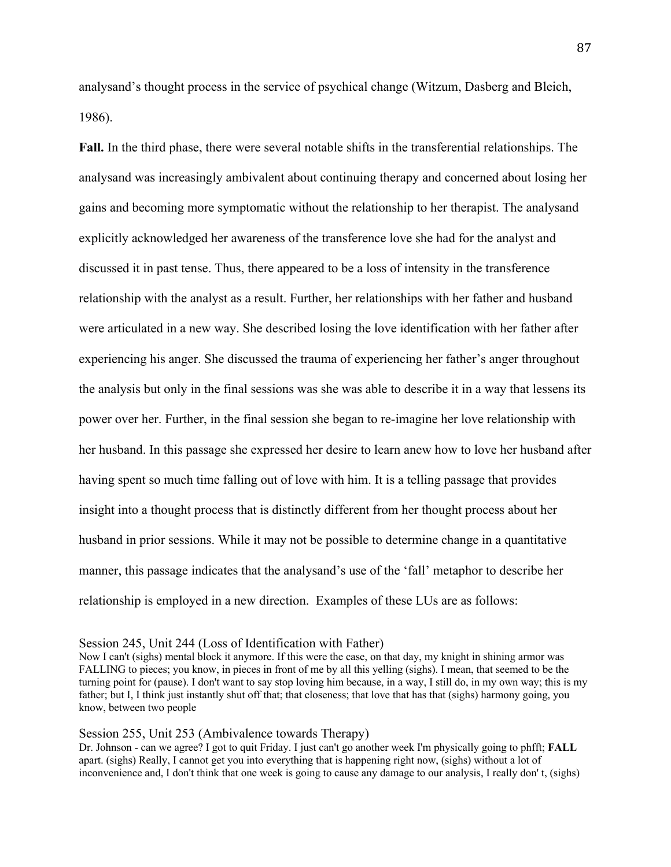analysand's thought process in the service of psychical change (Witzum, Dasberg and Bleich, 1986).

**Fall.** In the third phase, there were several notable shifts in the transferential relationships. The analysand was increasingly ambivalent about continuing therapy and concerned about losing her gains and becoming more symptomatic without the relationship to her therapist. The analysand explicitly acknowledged her awareness of the transference love she had for the analyst and discussed it in past tense. Thus, there appeared to be a loss of intensity in the transference relationship with the analyst as a result. Further, her relationships with her father and husband were articulated in a new way. She described losing the love identification with her father after experiencing his anger. She discussed the trauma of experiencing her father's anger throughout the analysis but only in the final sessions was she was able to describe it in a way that lessens its power over her. Further, in the final session she began to re-imagine her love relationship with her husband. In this passage she expressed her desire to learn anew how to love her husband after having spent so much time falling out of love with him. It is a telling passage that provides insight into a thought process that is distinctly different from her thought process about her husband in prior sessions. While it may not be possible to determine change in a quantitative manner, this passage indicates that the analysand's use of the 'fall' metaphor to describe her relationship is employed in a new direction. Examples of these LUs are as follows:

#### Session 245, Unit 244 (Loss of Identification with Father)

Now I can't (sighs) mental block it anymore. If this were the case, on that day, my knight in shining armor was FALLING to pieces; you know, in pieces in front of me by all this yelling (sighs). I mean, that seemed to be the turning point for (pause). I don't want to say stop loving him because, in a way, I still do, in my own way; this is my father; but I, I think just instantly shut off that; that closeness; that love that has that (sighs) harmony going, you know, between two people

## Session 255, Unit 253 (Ambivalence towards Therapy)

Dr. Johnson - can we agree? I got to quit Friday. I just can't go another week I'm physically going to phfft; **FALL** apart. (sighs) Really, I cannot get you into everything that is happening right now, (sighs) without a lot of inconvenience and, I don't think that one week is going to cause any damage to our analysis, I really don' t, (sighs)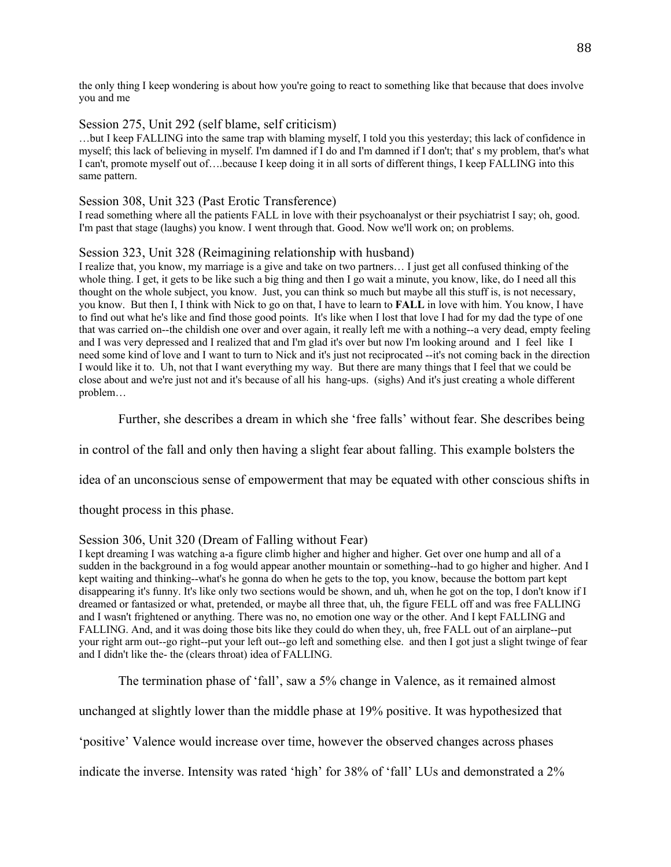the only thing I keep wondering is about how you're going to react to something like that because that does involve you and me

# Session 275, Unit 292 (self blame, self criticism)

…but I keep FALLING into the same trap with blaming myself, I told you this yesterday; this lack of confidence in myself; this lack of believing in myself. I'm damned if I do and I'm damned if I don't; that' s my problem, that's what I can't, promote myself out of….because I keep doing it in all sorts of different things, I keep FALLING into this same pattern.

## Session 308, Unit 323 (Past Erotic Transference)

I read something where all the patients FALL in love with their psychoanalyst or their psychiatrist I say; oh, good. I'm past that stage (laughs) you know. I went through that. Good. Now we'll work on; on problems.

## Session 323, Unit 328 (Reimagining relationship with husband)

I realize that, you know, my marriage is a give and take on two partners… I just get all confused thinking of the whole thing. I get, it gets to be like such a big thing and then I go wait a minute, you know, like, do I need all this thought on the whole subject, you know. Just, you can think so much but maybe all this stuff is, is not necessary, you know. But then I, I think with Nick to go on that, I have to learn to **FALL** in love with him. You know, I have to find out what he's like and find those good points. It's like when I lost that love I had for my dad the type of one that was carried on--the childish one over and over again, it really left me with a nothing--a very dead, empty feeling and I was very depressed and I realized that and I'm glad it's over but now I'm looking around and I feel like I need some kind of love and I want to turn to Nick and it's just not reciprocated --it's not coming back in the direction I would like it to. Uh, not that I want everything my way. But there are many things that I feel that we could be close about and we're just not and it's because of all his hang-ups. (sighs) And it's just creating a whole different problem…

Further, she describes a dream in which she 'free falls' without fear. She describes being

in control of the fall and only then having a slight fear about falling. This example bolsters the

idea of an unconscious sense of empowerment that may be equated with other conscious shifts in

thought process in this phase.

# Session 306, Unit 320 (Dream of Falling without Fear)

I kept dreaming I was watching a-a figure climb higher and higher and higher. Get over one hump and all of a sudden in the background in a fog would appear another mountain or something--had to go higher and higher. And I kept waiting and thinking--what's he gonna do when he gets to the top, you know, because the bottom part kept disappearing it's funny. It's like only two sections would be shown, and uh, when he got on the top, I don't know if I dreamed or fantasized or what, pretended, or maybe all three that, uh, the figure FELL off and was free FALLING and I wasn't frightened or anything. There was no, no emotion one way or the other. And I kept FALLING and FALLING. And, and it was doing those bits like they could do when they, uh, free FALL out of an airplane--put your right arm out--go right--put your left out--go left and something else. and then I got just a slight twinge of fear and I didn't like the- the (clears throat) idea of FALLING.

The termination phase of 'fall', saw a 5% change in Valence, as it remained almost

unchanged at slightly lower than the middle phase at 19% positive. It was hypothesized that

'positive' Valence would increase over time, however the observed changes across phases

indicate the inverse. Intensity was rated 'high' for 38% of 'fall' LUs and demonstrated a 2%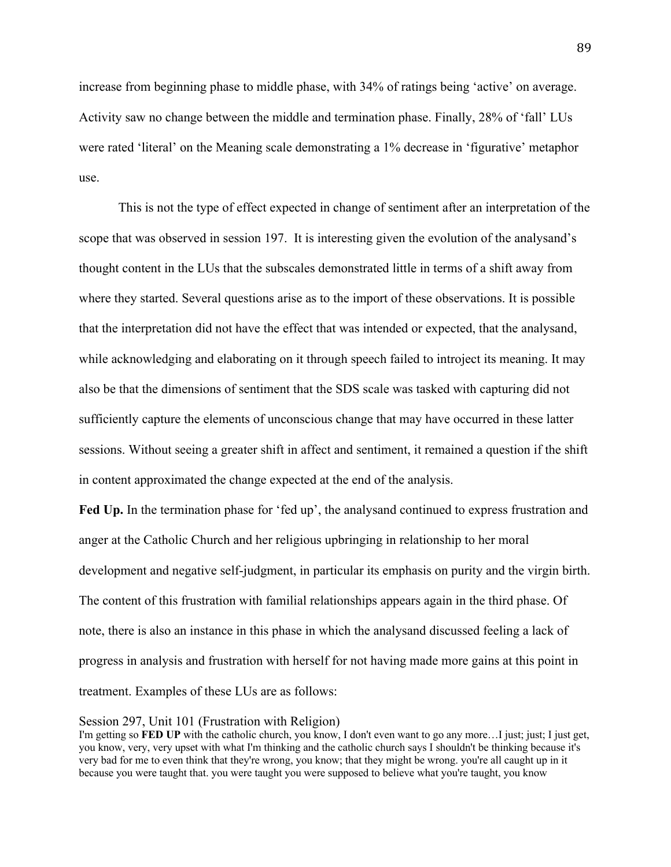increase from beginning phase to middle phase, with 34% of ratings being 'active' on average. Activity saw no change between the middle and termination phase. Finally, 28% of 'fall' LUs were rated 'literal' on the Meaning scale demonstrating a 1% decrease in 'figurative' metaphor use.

This is not the type of effect expected in change of sentiment after an interpretation of the scope that was observed in session 197. It is interesting given the evolution of the analysand's thought content in the LUs that the subscales demonstrated little in terms of a shift away from where they started. Several questions arise as to the import of these observations. It is possible that the interpretation did not have the effect that was intended or expected, that the analysand, while acknowledging and elaborating on it through speech failed to introject its meaning. It may also be that the dimensions of sentiment that the SDS scale was tasked with capturing did not sufficiently capture the elements of unconscious change that may have occurred in these latter sessions. Without seeing a greater shift in affect and sentiment, it remained a question if the shift in content approximated the change expected at the end of the analysis.

**Fed Up.** In the termination phase for 'fed up', the analysand continued to express frustration and anger at the Catholic Church and her religious upbringing in relationship to her moral development and negative self-judgment, in particular its emphasis on purity and the virgin birth. The content of this frustration with familial relationships appears again in the third phase. Of note, there is also an instance in this phase in which the analysand discussed feeling a lack of progress in analysis and frustration with herself for not having made more gains at this point in treatment. Examples of these LUs are as follows:

## Session 297, Unit 101 (Frustration with Religion)

I'm getting so **FED UP** with the catholic church, you know, I don't even want to go any more…I just; just; I just get, you know, very, very upset with what I'm thinking and the catholic church says I shouldn't be thinking because it's very bad for me to even think that they're wrong, you know; that they might be wrong. you're all caught up in it because you were taught that. you were taught you were supposed to believe what you're taught, you know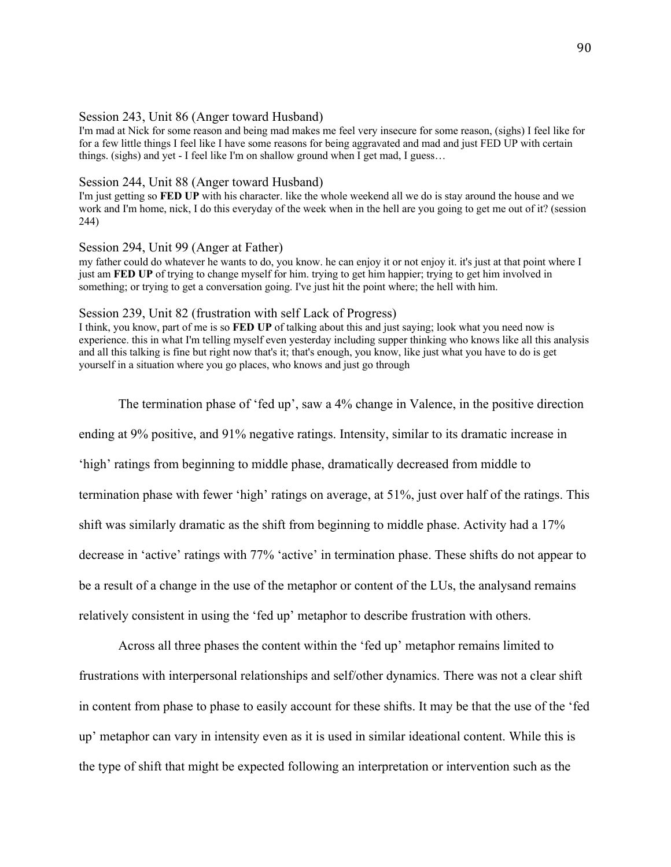#### Session 243, Unit 86 (Anger toward Husband)

I'm mad at Nick for some reason and being mad makes me feel very insecure for some reason, (sighs) I feel like for for a few little things I feel like I have some reasons for being aggravated and mad and just FED UP with certain things. (sighs) and yet - I feel like I'm on shallow ground when I get mad, I guess…

### Session 244, Unit 88 (Anger toward Husband)

I'm just getting so **FED UP** with his character. like the whole weekend all we do is stay around the house and we work and I'm home, nick, I do this everyday of the week when in the hell are you going to get me out of it? (session 244)

# Session 294, Unit 99 (Anger at Father)

my father could do whatever he wants to do, you know. he can enjoy it or not enjoy it. it's just at that point where I just am **FED UP** of trying to change myself for him. trying to get him happier; trying to get him involved in something; or trying to get a conversation going. I've just hit the point where; the hell with him.

#### Session 239, Unit 82 (frustration with self Lack of Progress)

I think, you know, part of me is so **FED UP** of talking about this and just saying; look what you need now is experience. this in what I'm telling myself even yesterday including supper thinking who knows like all this analysis and all this talking is fine but right now that's it; that's enough, you know, like just what you have to do is get yourself in a situation where you go places, who knows and just go through

The termination phase of 'fed up', saw a 4% change in Valence, in the positive direction ending at 9% positive, and 91% negative ratings. Intensity, similar to its dramatic increase in 'high' ratings from beginning to middle phase, dramatically decreased from middle to termination phase with fewer 'high' ratings on average, at 51%, just over half of the ratings. This shift was similarly dramatic as the shift from beginning to middle phase. Activity had a 17% decrease in 'active' ratings with 77% 'active' in termination phase. These shifts do not appear to be a result of a change in the use of the metaphor or content of the LUs, the analysand remains relatively consistent in using the 'fed up' metaphor to describe frustration with others.

Across all three phases the content within the 'fed up' metaphor remains limited to frustrations with interpersonal relationships and self/other dynamics. There was not a clear shift in content from phase to phase to easily account for these shifts. It may be that the use of the 'fed up' metaphor can vary in intensity even as it is used in similar ideational content. While this is the type of shift that might be expected following an interpretation or intervention such as the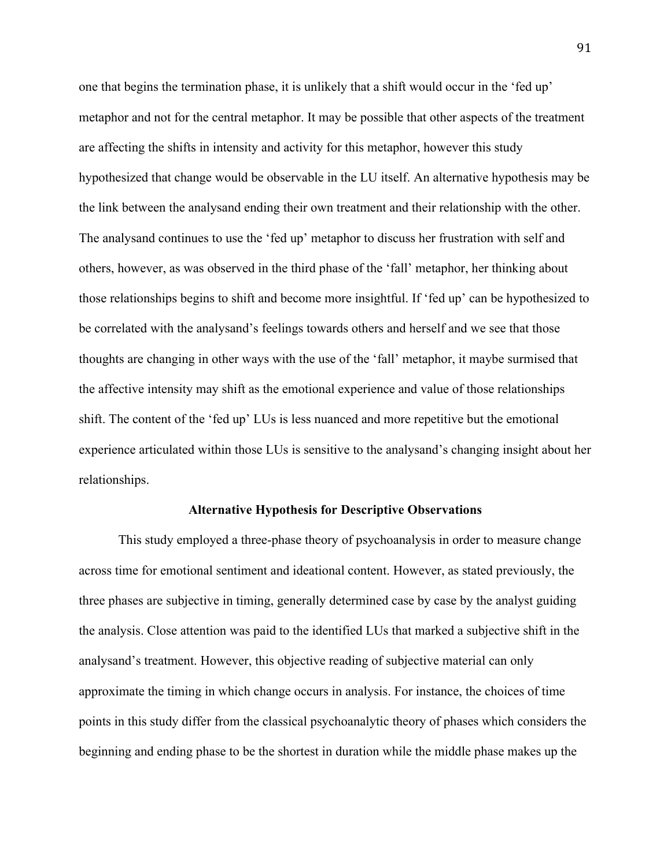one that begins the termination phase, it is unlikely that a shift would occur in the 'fed up' metaphor and not for the central metaphor. It may be possible that other aspects of the treatment are affecting the shifts in intensity and activity for this metaphor, however this study hypothesized that change would be observable in the LU itself. An alternative hypothesis may be the link between the analysand ending their own treatment and their relationship with the other. The analysand continues to use the 'fed up' metaphor to discuss her frustration with self and others, however, as was observed in the third phase of the 'fall' metaphor, her thinking about those relationships begins to shift and become more insightful. If 'fed up' can be hypothesized to be correlated with the analysand's feelings towards others and herself and we see that those thoughts are changing in other ways with the use of the 'fall' metaphor, it maybe surmised that the affective intensity may shift as the emotional experience and value of those relationships shift. The content of the 'fed up' LUs is less nuanced and more repetitive but the emotional experience articulated within those LUs is sensitive to the analysand's changing insight about her relationships.

## **Alternative Hypothesis for Descriptive Observations**

This study employed a three-phase theory of psychoanalysis in order to measure change across time for emotional sentiment and ideational content. However, as stated previously, the three phases are subjective in timing, generally determined case by case by the analyst guiding the analysis. Close attention was paid to the identified LUs that marked a subjective shift in the analysand's treatment. However, this objective reading of subjective material can only approximate the timing in which change occurs in analysis. For instance, the choices of time points in this study differ from the classical psychoanalytic theory of phases which considers the beginning and ending phase to be the shortest in duration while the middle phase makes up the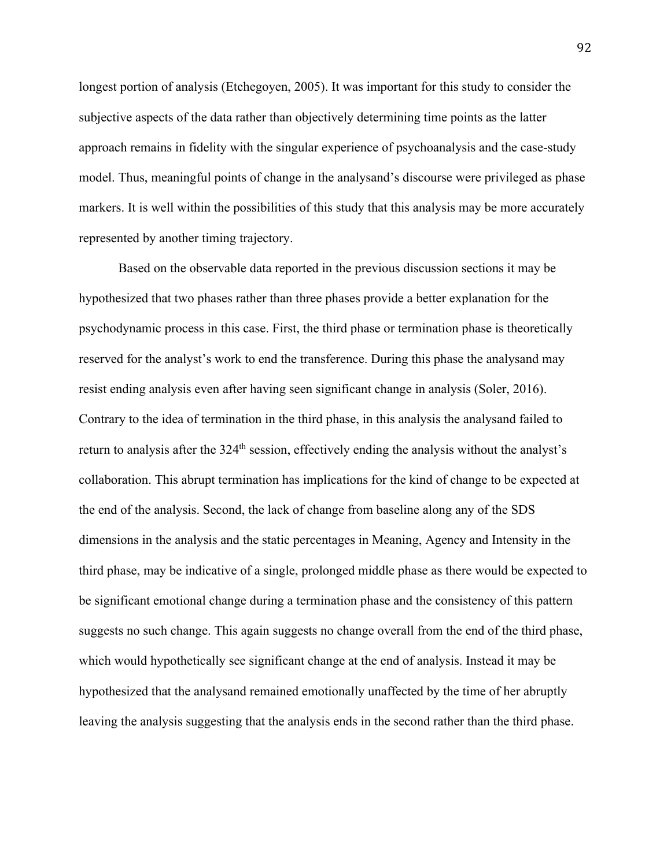longest portion of analysis (Etchegoyen, 2005). It was important for this study to consider the subjective aspects of the data rather than objectively determining time points as the latter approach remains in fidelity with the singular experience of psychoanalysis and the case-study model. Thus, meaningful points of change in the analysand's discourse were privileged as phase markers. It is well within the possibilities of this study that this analysis may be more accurately represented by another timing trajectory.

Based on the observable data reported in the previous discussion sections it may be hypothesized that two phases rather than three phases provide a better explanation for the psychodynamic process in this case. First, the third phase or termination phase is theoretically reserved for the analyst's work to end the transference. During this phase the analysand may resist ending analysis even after having seen significant change in analysis (Soler, 2016). Contrary to the idea of termination in the third phase, in this analysis the analysand failed to return to analysis after the 324<sup>th</sup> session, effectively ending the analysis without the analyst's collaboration. This abrupt termination has implications for the kind of change to be expected at the end of the analysis. Second, the lack of change from baseline along any of the SDS dimensions in the analysis and the static percentages in Meaning, Agency and Intensity in the third phase, may be indicative of a single, prolonged middle phase as there would be expected to be significant emotional change during a termination phase and the consistency of this pattern suggests no such change. This again suggests no change overall from the end of the third phase, which would hypothetically see significant change at the end of analysis. Instead it may be hypothesized that the analysand remained emotionally unaffected by the time of her abruptly leaving the analysis suggesting that the analysis ends in the second rather than the third phase.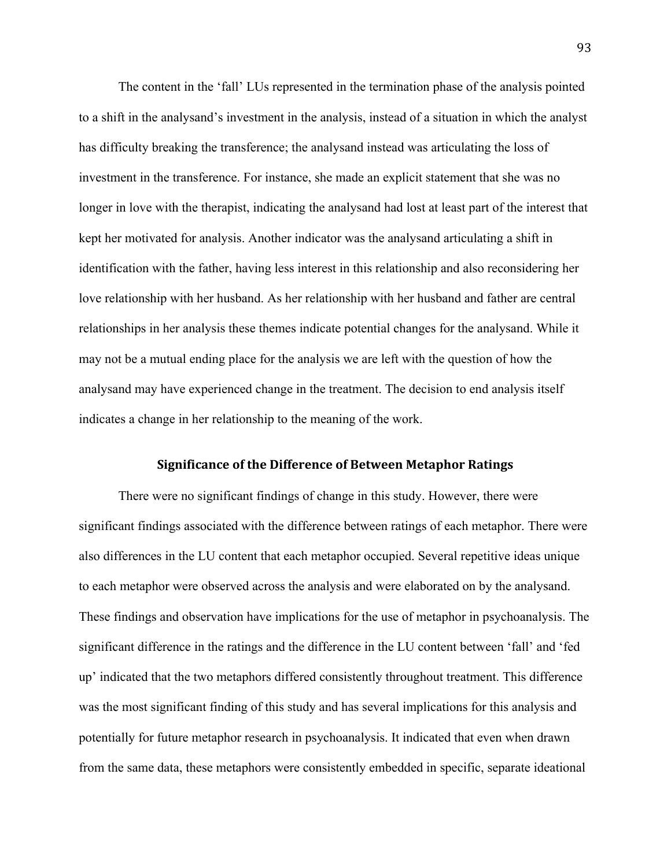The content in the 'fall' LUs represented in the termination phase of the analysis pointed to a shift in the analysand's investment in the analysis, instead of a situation in which the analyst has difficulty breaking the transference; the analysand instead was articulating the loss of investment in the transference. For instance, she made an explicit statement that she was no longer in love with the therapist, indicating the analysand had lost at least part of the interest that kept her motivated for analysis. Another indicator was the analysand articulating a shift in identification with the father, having less interest in this relationship and also reconsidering her love relationship with her husband. As her relationship with her husband and father are central relationships in her analysis these themes indicate potential changes for the analysand. While it may not be a mutual ending place for the analysis we are left with the question of how the analysand may have experienced change in the treatment. The decision to end analysis itself indicates a change in her relationship to the meaning of the work.

## **Significance of the Difference of Between Metaphor Ratings**

There were no significant findings of change in this study. However, there were significant findings associated with the difference between ratings of each metaphor. There were also differences in the LU content that each metaphor occupied. Several repetitive ideas unique to each metaphor were observed across the analysis and were elaborated on by the analysand. These findings and observation have implications for the use of metaphor in psychoanalysis. The significant difference in the ratings and the difference in the LU content between 'fall' and 'fed up' indicated that the two metaphors differed consistently throughout treatment. This difference was the most significant finding of this study and has several implications for this analysis and potentially for future metaphor research in psychoanalysis. It indicated that even when drawn from the same data, these metaphors were consistently embedded in specific, separate ideational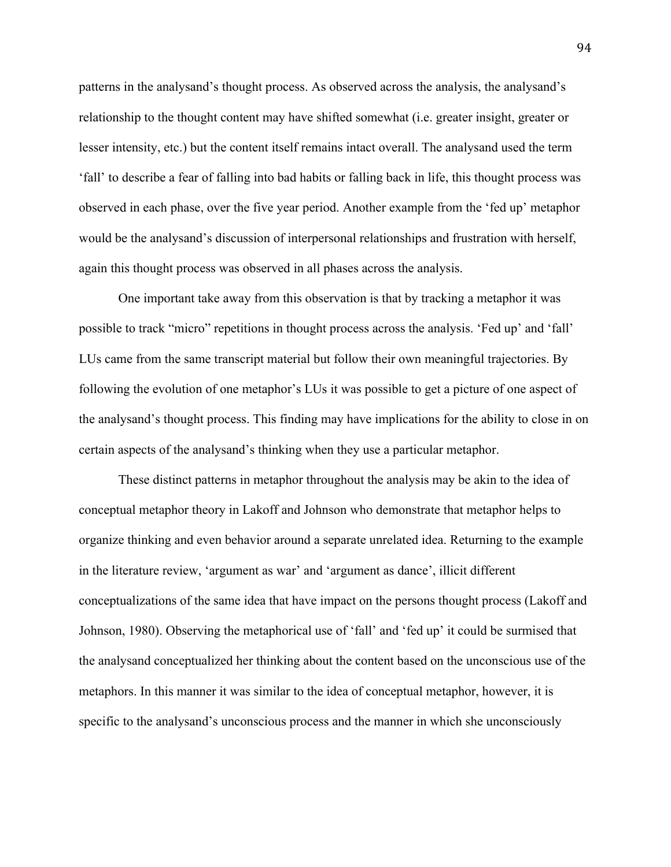patterns in the analysand's thought process. As observed across the analysis, the analysand's relationship to the thought content may have shifted somewhat (i.e. greater insight, greater or lesser intensity, etc.) but the content itself remains intact overall. The analysand used the term 'fall' to describe a fear of falling into bad habits or falling back in life, this thought process was observed in each phase, over the five year period. Another example from the 'fed up' metaphor would be the analysand's discussion of interpersonal relationships and frustration with herself, again this thought process was observed in all phases across the analysis.

One important take away from this observation is that by tracking a metaphor it was possible to track "micro" repetitions in thought process across the analysis. 'Fed up' and 'fall' LUs came from the same transcript material but follow their own meaningful trajectories. By following the evolution of one metaphor's LUs it was possible to get a picture of one aspect of the analysand's thought process. This finding may have implications for the ability to close in on certain aspects of the analysand's thinking when they use a particular metaphor.

These distinct patterns in metaphor throughout the analysis may be akin to the idea of conceptual metaphor theory in Lakoff and Johnson who demonstrate that metaphor helps to organize thinking and even behavior around a separate unrelated idea. Returning to the example in the literature review, 'argument as war' and 'argument as dance', illicit different conceptualizations of the same idea that have impact on the persons thought process (Lakoff and Johnson, 1980). Observing the metaphorical use of 'fall' and 'fed up' it could be surmised that the analysand conceptualized her thinking about the content based on the unconscious use of the metaphors. In this manner it was similar to the idea of conceptual metaphor, however, it is specific to the analysand's unconscious process and the manner in which she unconsciously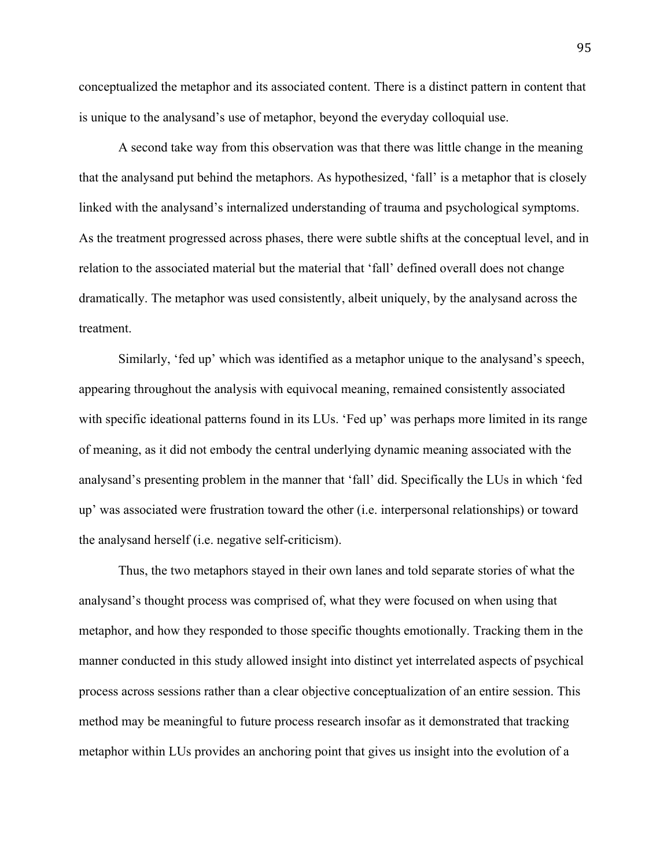conceptualized the metaphor and its associated content. There is a distinct pattern in content that is unique to the analysand's use of metaphor, beyond the everyday colloquial use.

A second take way from this observation was that there was little change in the meaning that the analysand put behind the metaphors. As hypothesized, 'fall' is a metaphor that is closely linked with the analysand's internalized understanding of trauma and psychological symptoms. As the treatment progressed across phases, there were subtle shifts at the conceptual level, and in relation to the associated material but the material that 'fall' defined overall does not change dramatically. The metaphor was used consistently, albeit uniquely, by the analysand across the treatment.

Similarly, 'fed up' which was identified as a metaphor unique to the analysand's speech, appearing throughout the analysis with equivocal meaning, remained consistently associated with specific ideational patterns found in its LUs. 'Fed up' was perhaps more limited in its range of meaning, as it did not embody the central underlying dynamic meaning associated with the analysand's presenting problem in the manner that 'fall' did. Specifically the LUs in which 'fed up' was associated were frustration toward the other (i.e. interpersonal relationships) or toward the analysand herself (i.e. negative self-criticism).

Thus, the two metaphors stayed in their own lanes and told separate stories of what the analysand's thought process was comprised of, what they were focused on when using that metaphor, and how they responded to those specific thoughts emotionally. Tracking them in the manner conducted in this study allowed insight into distinct yet interrelated aspects of psychical process across sessions rather than a clear objective conceptualization of an entire session. This method may be meaningful to future process research insofar as it demonstrated that tracking metaphor within LUs provides an anchoring point that gives us insight into the evolution of a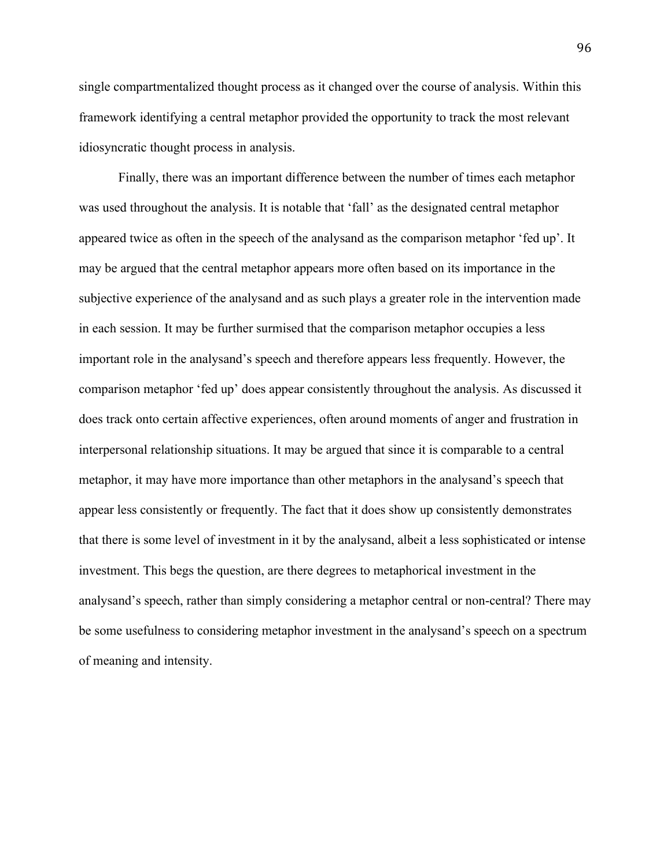single compartmentalized thought process as it changed over the course of analysis. Within this framework identifying a central metaphor provided the opportunity to track the most relevant idiosyncratic thought process in analysis.

Finally, there was an important difference between the number of times each metaphor was used throughout the analysis. It is notable that 'fall' as the designated central metaphor appeared twice as often in the speech of the analysand as the comparison metaphor 'fed up'. It may be argued that the central metaphor appears more often based on its importance in the subjective experience of the analysand and as such plays a greater role in the intervention made in each session. It may be further surmised that the comparison metaphor occupies a less important role in the analysand's speech and therefore appears less frequently. However, the comparison metaphor 'fed up' does appear consistently throughout the analysis. As discussed it does track onto certain affective experiences, often around moments of anger and frustration in interpersonal relationship situations. It may be argued that since it is comparable to a central metaphor, it may have more importance than other metaphors in the analysand's speech that appear less consistently or frequently. The fact that it does show up consistently demonstrates that there is some level of investment in it by the analysand, albeit a less sophisticated or intense investment. This begs the question, are there degrees to metaphorical investment in the analysand's speech, rather than simply considering a metaphor central or non-central? There may be some usefulness to considering metaphor investment in the analysand's speech on a spectrum of meaning and intensity.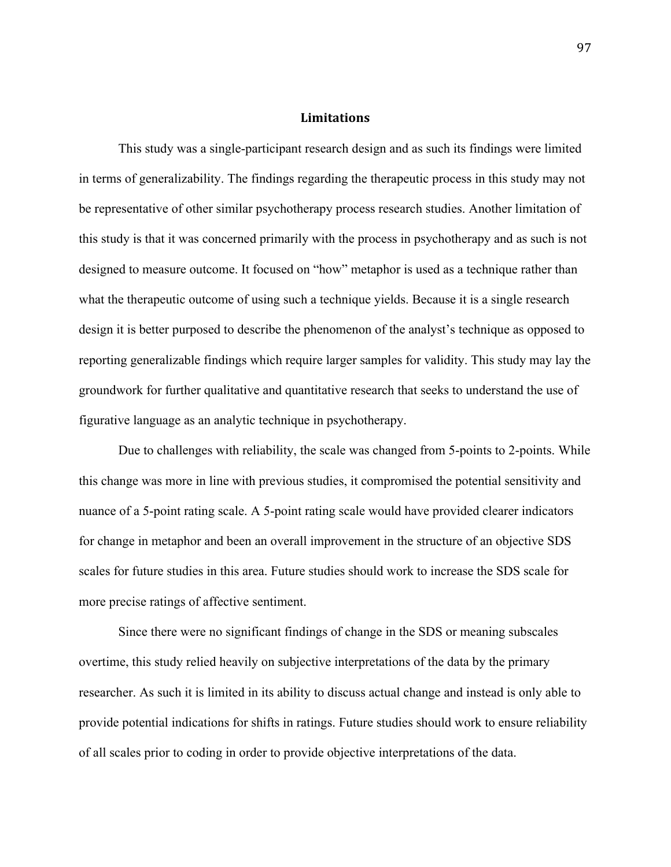## **Limitations**

This study was a single-participant research design and as such its findings were limited in terms of generalizability. The findings regarding the therapeutic process in this study may not be representative of other similar psychotherapy process research studies. Another limitation of this study is that it was concerned primarily with the process in psychotherapy and as such is not designed to measure outcome. It focused on "how" metaphor is used as a technique rather than what the therapeutic outcome of using such a technique yields. Because it is a single research design it is better purposed to describe the phenomenon of the analyst's technique as opposed to reporting generalizable findings which require larger samples for validity. This study may lay the groundwork for further qualitative and quantitative research that seeks to understand the use of figurative language as an analytic technique in psychotherapy.

Due to challenges with reliability, the scale was changed from 5-points to 2-points. While this change was more in line with previous studies, it compromised the potential sensitivity and nuance of a 5-point rating scale. A 5-point rating scale would have provided clearer indicators for change in metaphor and been an overall improvement in the structure of an objective SDS scales for future studies in this area. Future studies should work to increase the SDS scale for more precise ratings of affective sentiment.

Since there were no significant findings of change in the SDS or meaning subscales overtime, this study relied heavily on subjective interpretations of the data by the primary researcher. As such it is limited in its ability to discuss actual change and instead is only able to provide potential indications for shifts in ratings. Future studies should work to ensure reliability of all scales prior to coding in order to provide objective interpretations of the data.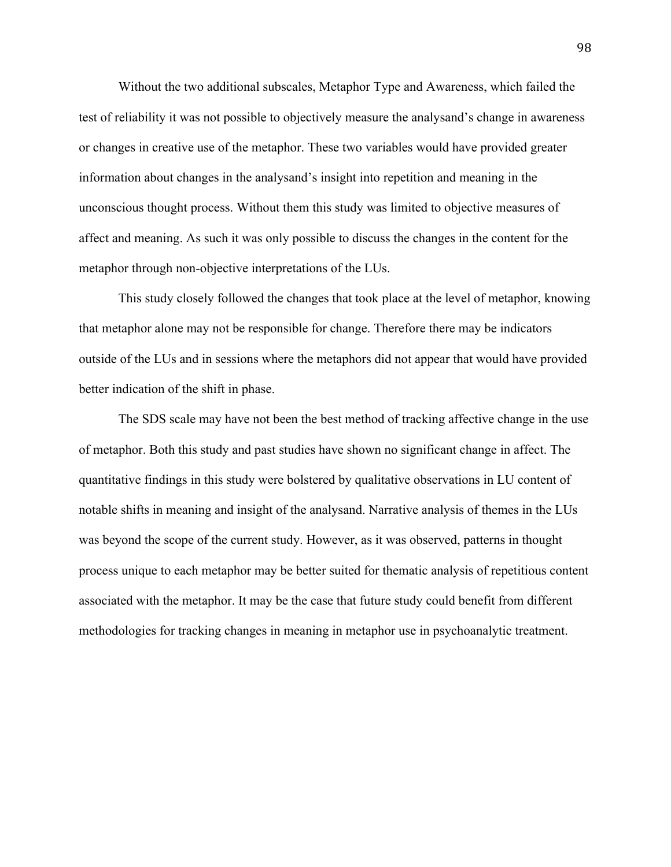Without the two additional subscales, Metaphor Type and Awareness, which failed the test of reliability it was not possible to objectively measure the analysand's change in awareness or changes in creative use of the metaphor. These two variables would have provided greater information about changes in the analysand's insight into repetition and meaning in the unconscious thought process. Without them this study was limited to objective measures of affect and meaning. As such it was only possible to discuss the changes in the content for the metaphor through non-objective interpretations of the LUs.

This study closely followed the changes that took place at the level of metaphor, knowing that metaphor alone may not be responsible for change. Therefore there may be indicators outside of the LUs and in sessions where the metaphors did not appear that would have provided better indication of the shift in phase.

The SDS scale may have not been the best method of tracking affective change in the use of metaphor. Both this study and past studies have shown no significant change in affect. The quantitative findings in this study were bolstered by qualitative observations in LU content of notable shifts in meaning and insight of the analysand. Narrative analysis of themes in the LUs was beyond the scope of the current study. However, as it was observed, patterns in thought process unique to each metaphor may be better suited for thematic analysis of repetitious content associated with the metaphor. It may be the case that future study could benefit from different methodologies for tracking changes in meaning in metaphor use in psychoanalytic treatment.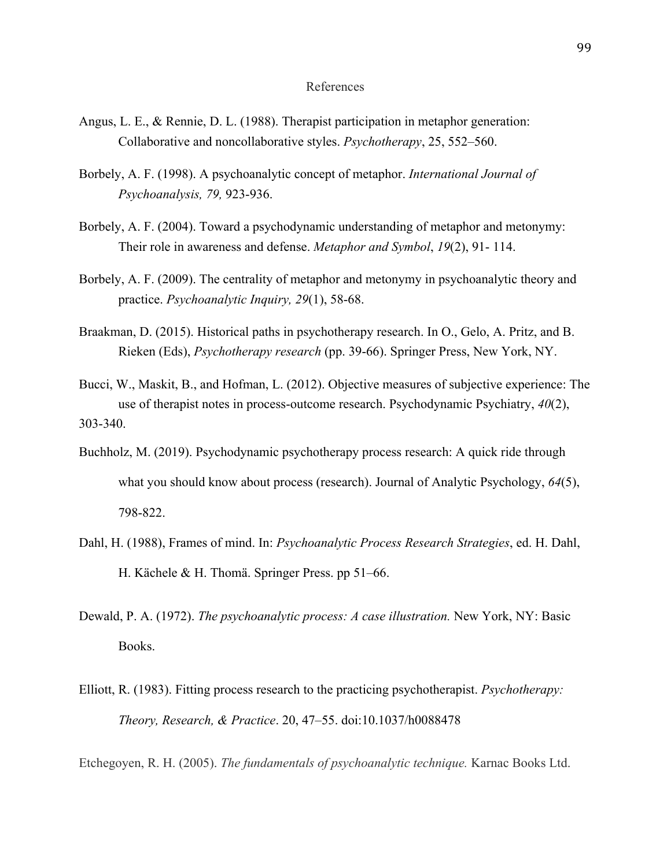## References

- Angus, L. E., & Rennie, D. L. (1988). Therapist participation in metaphor generation: Collaborative and noncollaborative styles. *Psychotherapy*, 25, 552–560.
- Borbely, A. F. (1998). A psychoanalytic concept of metaphor. *International Journal of Psychoanalysis, 79,* 923-936.
- Borbely, A. F. (2004). Toward a psychodynamic understanding of metaphor and metonymy: Their role in awareness and defense. *Metaphor and Symbol*, *19*(2), 91- 114.
- Borbely, A. F. (2009). The centrality of metaphor and metonymy in psychoanalytic theory and practice. *Psychoanalytic Inquiry, 29*(1), 58-68.
- Braakman, D. (2015). Historical paths in psychotherapy research. In O., Gelo, A. Pritz, and B. Rieken (Eds), *Psychotherapy research* (pp. 39-66). Springer Press, New York, NY.
- Bucci, W., Maskit, B., and Hofman, L. (2012). Objective measures of subjective experience: The use of therapist notes in process-outcome research. Psychodynamic Psychiatry, *40*(2), 303-340.
- Buchholz, M. (2019). Psychodynamic psychotherapy process research: A quick ride through what you should know about process (research). Journal of Analytic Psychology, *64*(5), 798-822.
- Dahl, H. (1988), Frames of mind. In: *Psychoanalytic Process Research Strategies*, ed. H. Dahl, H. Kächele & H. Thomä. Springer Press. pp 51–66.
- Dewald, P. A. (1972). *The psychoanalytic process: A case illustration.* New York, NY: Basic Books.
- Elliott, R. (1983). Fitting process research to the practicing psychotherapist. *Psychotherapy: Theory, Research, & Practice*. 20, 47–55. doi:10.1037/h0088478

Etchegoyen, R. H. (2005). *The fundamentals of psychoanalytic technique.* Karnac Books Ltd.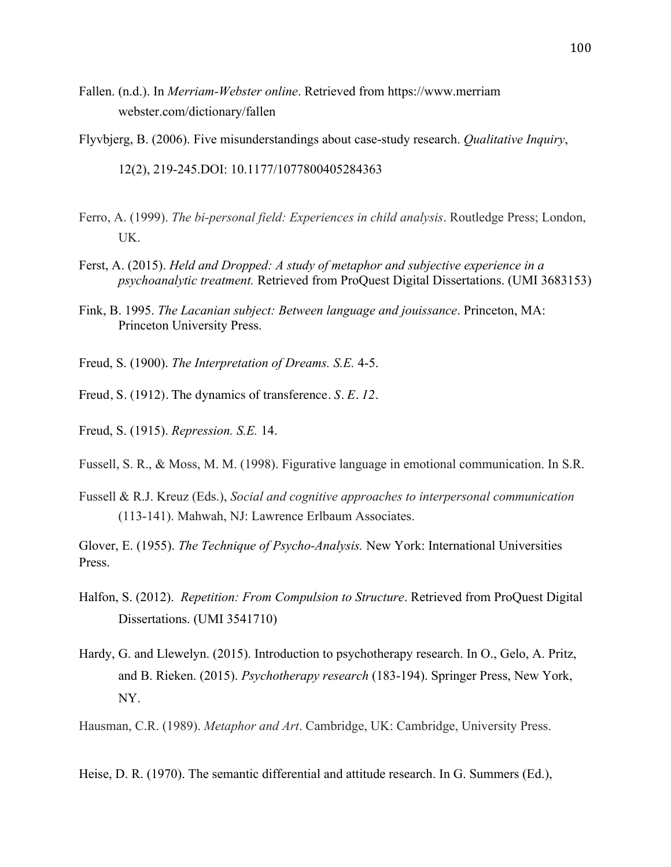Fallen. (n.d.). In *Merriam-Webster online*. Retrieved from https://www.merriam webster.com/dictionary/fallen

Flyvbjerg, B. (2006). Five misunderstandings about case-study research. *Qualitative Inquiry*,

12(2), 219-245.DOI: 10.1177/1077800405284363

- Ferro, A. (1999). *The bi-personal field: Experiences in child analysis*. Routledge Press; London, UK.
- Ferst, A. (2015). *Held and Dropped: A study of metaphor and subjective experience in a psychoanalytic treatment.* Retrieved from ProQuest Digital Dissertations. (UMI 3683153)
- Fink, B. 1995. *The Lacanian subject: Between language and jouissance*. Princeton, MA: Princeton University Press.
- Freud, S. (1900). *The Interpretation of Dreams. S.E.* 4-5.
- Freud, S. (1912). The dynamics of transference. *S. E. 12*.
- Freud, S. (1915). *Repression. S.E.* 14.
- Fussell, S. R., & Moss, M. M. (1998). Figurative language in emotional communication. In S.R.
- Fussell & R.J. Kreuz (Eds.), *Social and cognitive approaches to interpersonal communication* (113-141). Mahwah, NJ: Lawrence Erlbaum Associates.
- Glover, E. (1955). *The Technique of Psycho-Analysis.* New York: International Universities Press.
- Halfon, S. (2012). *Repetition: From Compulsion to Structure*. Retrieved from ProQuest Digital Dissertations. (UMI 3541710)
- Hardy, G. and Llewelyn. (2015). Introduction to psychotherapy research. In O., Gelo, A. Pritz, and B. Rieken. (2015). *Psychotherapy research* (183-194). Springer Press, New York, NY.
- Hausman, C.R. (1989). *Metaphor and Art*. Cambridge, UK: Cambridge, University Press.

Heise, D. R. (1970). The semantic differential and attitude research. In G. Summers (Ed.),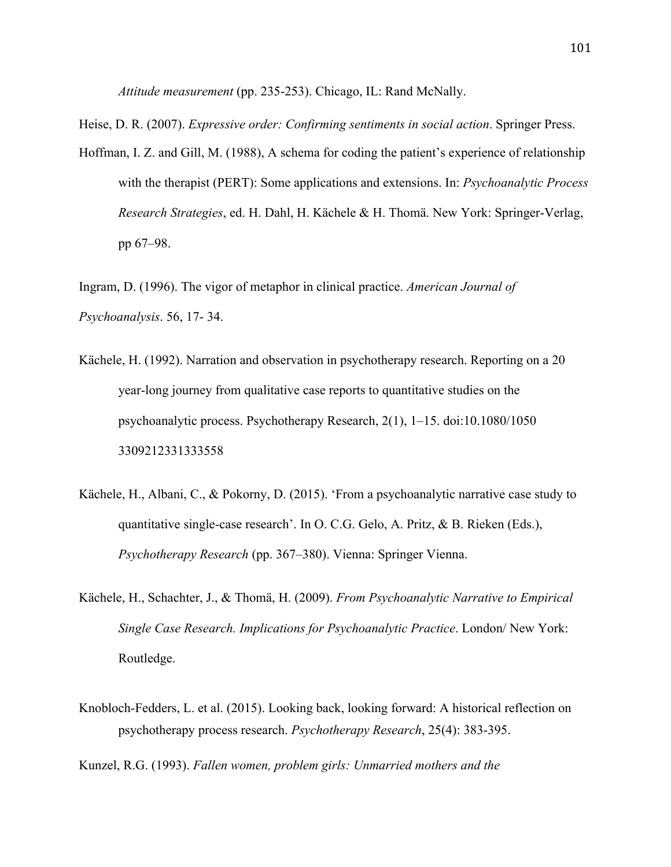*Attitude measurement* (pp. 235-253). Chicago, IL: Rand McNally.

Heise, D. R. (2007). *Expressive order: Confirming sentiments in social action*. Springer Press.

Hoffman, I. Z. and Gill, M. (1988), A schema for coding the patient's experience of relationship with the therapist (PERT): Some applications and extensions. In: *Psychoanalytic Process Research Strategies*, ed. H. Dahl, H. Kächele & H. Thomä. New York: Springer-Verlag, pp 67–98.

Ingram, D. (1996). The vigor of metaphor in clinical practice. *American Journal of Psychoanalysis*. 56, 17- 34.

- Kächele, H. (1992). Narration and observation in psychotherapy research. Reporting on a 20 year-long journey from qualitative case reports to quantitative studies on the psychoanalytic process. Psychotherapy Research, 2(1), 1–15. doi:10.1080/1050 3309212331333558
- Kächele, H., Albani, C., & Pokorny, D. (2015). 'From a psychoanalytic narrative case study to quantitative single-case research'. In O. C.G. Gelo, A. Pritz, & B. Rieken (Eds.), *Psychotherapy Research* (pp. 367–380). Vienna: Springer Vienna.
- Kächele, H., Schachter, J., & Thomä, H. (2009). *From Psychoanalytic Narrative to Empirical Single Case Research. Implications for Psychoanalytic Practice*. London/ New York: Routledge.
- Knobloch-Fedders, L. et al. (2015). Looking back, looking forward: A historical reflection on psychotherapy process research. *Psychotherapy Research*, 25(4): 383-395.

Kunzel, R.G. (1993). *Fallen women, problem girls: Unmarried mothers and the*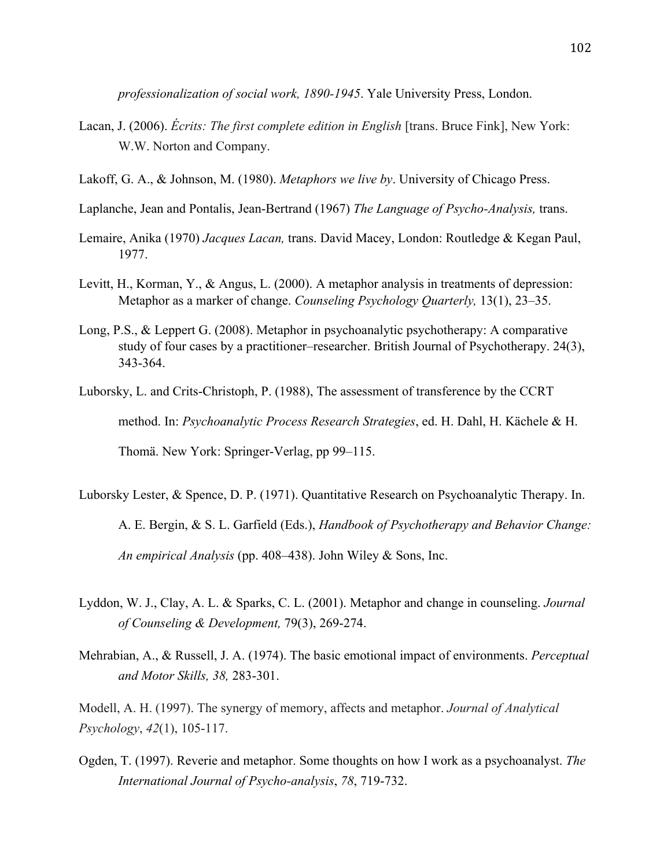*professionalization of social work, 1890-1945*. Yale University Press, London.

- Lacan, J. (2006). *Écrits: The first complete edition in English* [trans. Bruce Fink], New York: W.W. Norton and Company.
- Lakoff, G. A., & Johnson, M. (1980). *Metaphors we live by*. University of Chicago Press.
- Laplanche, Jean and Pontalis, Jean-Bertrand (1967) *The Language of Psycho-Analysis,* trans.
- Lemaire, Anika (1970) *Jacques Lacan,* trans. David Macey, London: Routledge & Kegan Paul, 1977.
- Levitt, H., Korman, Y., & Angus, L. (2000). A metaphor analysis in treatments of depression: Metaphor as a marker of change. *Counseling Psychology Quarterly,* 13(1), 23–35.
- Long, P.S., & Leppert G. (2008). Metaphor in psychoanalytic psychotherapy: A comparative study of four cases by a practitioner–researcher. British Journal of Psychotherapy. 24(3), 343-364.
- Luborsky, L. and Crits-Christoph, P. (1988), The assessment of transference by the CCRT method. In: *Psychoanalytic Process Research Strategies*, ed. H. Dahl, H. Kächele & H. Thomä. New York: Springer-Verlag, pp 99–115.
- Luborsky Lester, & Spence, D. P. (1971). Quantitative Research on Psychoanalytic Therapy. In. A. E. Bergin, & S. L. Garfield (Eds.), *Handbook of Psychotherapy and Behavior Change: An empirical Analysis* (pp. 408–438). John Wiley & Sons, Inc.
- Lyddon, W. J., Clay, A. L. & Sparks, C. L. (2001). Metaphor and change in counseling. *Journal of Counseling & Development,* 79(3), 269-274.
- Mehrabian, A., & Russell, J. A. (1974). The basic emotional impact of environments. *Perceptual and Motor Skills, 38,* 283-301.

Modell, A. H. (1997). The synergy of memory, affects and metaphor. *Journal of Analytical Psychology*, *42*(1), 105-117.

Ogden, T. (1997). Reverie and metaphor. Some thoughts on how I work as a psychoanalyst. *The International Journal of Psycho-analysis*, *78*, 719-732.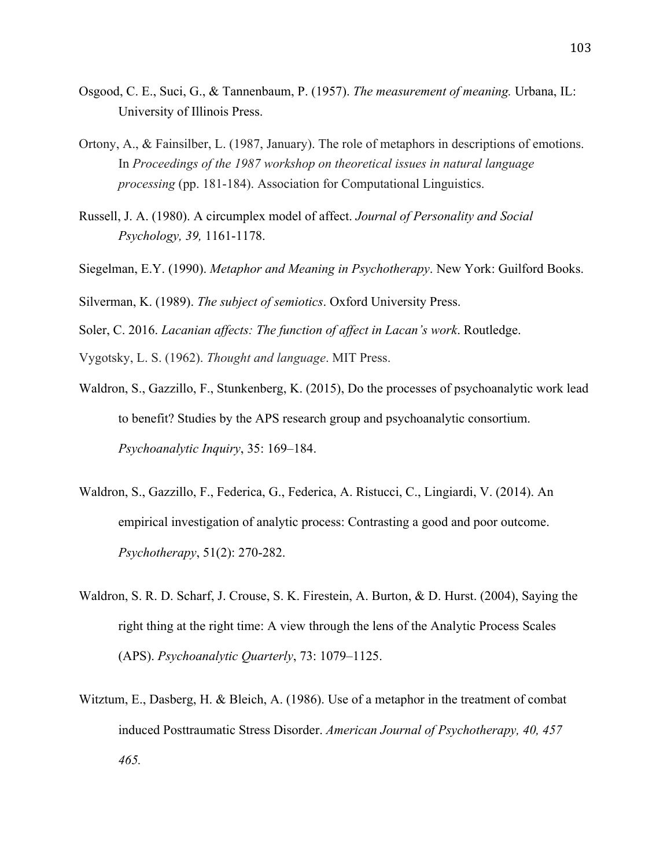- Osgood, C. E., Suci, G., & Tannenbaum, P. (1957). *The measurement of meaning.* Urbana, IL: University of Illinois Press.
- Ortony, A., & Fainsilber, L. (1987, January). The role of metaphors in descriptions of emotions. In *Proceedings of the 1987 workshop on theoretical issues in natural language processing* (pp. 181-184). Association for Computational Linguistics.
- Russell, J. A. (1980). A circumplex model of affect. *Journal of Personality and Social Psychology, 39,* 1161-1178.
- Siegelman, E.Y. (1990). *Metaphor and Meaning in Psychotherapy*. New York: Guilford Books.
- Silverman, K. (1989). *The subject of semiotics*. Oxford University Press.
- Soler, C. 2016. *Lacanian affects: The function of affect in Lacan's work*. Routledge.
- Vygotsky, L. S. (1962). *Thought and language*. MIT Press.
- Waldron, S., Gazzillo, F., Stunkenberg, K. (2015), Do the processes of psychoanalytic work lead to benefit? Studies by the APS research group and psychoanalytic consortium. *Psychoanalytic Inquiry*, 35: 169–184.
- Waldron, S., Gazzillo, F., Federica, G., Federica, A. Ristucci, C., Lingiardi, V. (2014). An empirical investigation of analytic process: Contrasting a good and poor outcome. *Psychotherapy*, 51(2): 270-282.
- Waldron, S. R. D. Scharf, J. Crouse, S. K. Firestein, A. Burton, & D. Hurst. (2004), Saying the right thing at the right time: A view through the lens of the Analytic Process Scales (APS). *Psychoanalytic Quarterly*, 73: 1079–1125.
- Witztum, E., Dasberg, H. & Bleich, A. (1986). Use of a metaphor in the treatment of combat induced Posttraumatic Stress Disorder. *American Journal of Psychotherapy, 40, 457 465.*